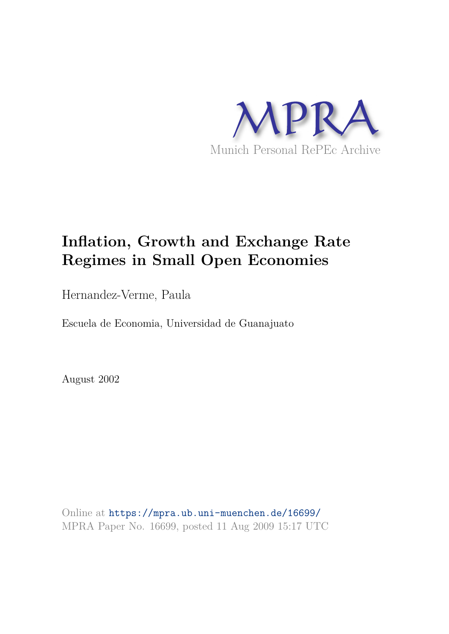

# **Inflation, Growth and Exchange Rate Regimes in Small Open Economies**

Hernandez-Verme, Paula

Escuela de Economia, Universidad de Guanajuato

August 2002

Online at https://mpra.ub.uni-muenchen.de/16699/ MPRA Paper No. 16699, posted 11 Aug 2009 15:17 UTC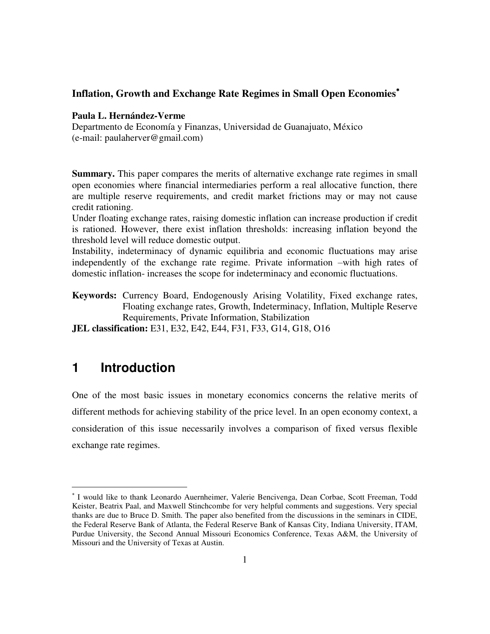#### **Inflation, Growth and Exchange Rate Regimes in Small Open Economies**

#### **Paula L. Hernández-Verme**

Departmento de Economía y Finanzas, Universidad de Guanajuato, México (e-mail: paulaherver@gmail.com)

**Summary.** This paper compares the merits of alternative exchange rate regimes in small open economies where financial intermediaries perform a real allocative function, there are multiple reserve requirements, and credit market frictions may or may not cause credit rationing.

Under floating exchange rates, raising domestic inflation can increase production if credit is rationed. However, there exist inflation thresholds: increasing inflation beyond the threshold level will reduce domestic output.

Instability, indeterminacy of dynamic equilibria and economic fluctuations may arise independently of the exchange rate regime. Private information –with high rates of domestic inflation- increases the scope for indeterminacy and economic fluctuations.

**Keywords:** Currency Board, Endogenously Arising Volatility, Fixed exchange rates, Floating exchange rates, Growth, Indeterminacy, Inflation, Multiple Reserve Requirements, Private Information, Stabilization

**JEL classification:** E31, E32, E42, E44, F31, F33, G14, G18, O16

## **1 Introduction**

 $\overline{a}$ 

One of the most basic issues in monetary economics concerns the relative merits of different methods for achieving stability of the price level. In an open economy context, a consideration of this issue necessarily involves a comparison of fixed versus flexible exchange rate regimes.

 I would like to thank Leonardo Auernheimer, Valerie Bencivenga, Dean Corbae, Scott Freeman, Todd Keister, Beatrix Paal, and Maxwell Stinchcombe for very helpful comments and suggestions. Very special thanks are due to Bruce D. Smith. The paper also benefited from the discussions in the seminars in CIDE, the Federal Reserve Bank of Atlanta, the Federal Reserve Bank of Kansas City, Indiana University, ITAM, Purdue University, the Second Annual Missouri Economics Conference, Texas A&M, the University of Missouri and the University of Texas at Austin.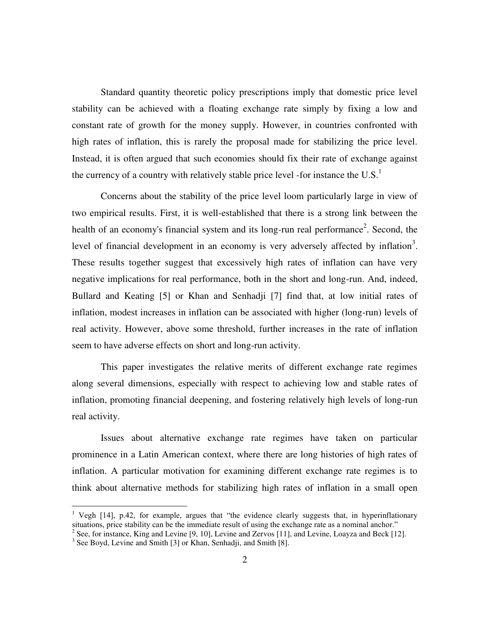Standard quantity theoretic policy prescriptions imply that domestic price level stability can be achieved with a floating exchange rate simply by fixing a low and constant rate of growth for the money supply. However, in countries confronted with high rates of inflation, this is rarely the proposal made for stabilizing the price level. Instead, it is often argued that such economies should fix their rate of exchange against the currency of a country with relatively stable price level -for instance the U.S.<sup>1</sup>

Concerns about the stability of the price level loom particularly large in view of two empirical results. First, it is well-established that there is a strong link between the health of an economy's financial system and its long-run real performance<sup>2</sup>. Second, the level of financial development in an economy is very adversely affected by inflation<sup>3</sup>. These results together suggest that excessively high rates of inflation can have very negative implications for real performance, both in the short and long-run. And, indeed, Bullard and Keating [5] or Khan and Senhadji [7] find that, at low initial rates of inflation, modest increases in inflation can be associated with higher (long-run) levels of real activity. However, above some threshold, further increases in the rate of inflation seem to have adverse effects on short and long-run activity.

This paper investigates the relative merits of different exchange rate regimes along several dimensions, especially with respect to achieving low and stable rates of inflation, promoting financial deepening, and fostering relatively high levels of long-run real activity.

Issues about alternative exchange rate regimes have taken on particular prominence in a Latin American context, where there are long histories of high rates of inflation. A particular motivation for examining different exchange rate regimes is to think about alternative methods for stabilizing high rates of inflation in a small open

 $\overline{a}$ 

<sup>&</sup>lt;sup>1</sup> Vegh [14], p.42, for example, argues that "the evidence clearly suggests that, in hyperinflationary situations, price stability can be the immediate result of using the exchange rate as a nominal anchor."

<sup>&</sup>lt;sup>2</sup> See, for instance, King and Levine [9, 10], Levine and Zervos [11], and Levine, Loayza and Beck [12].

 $3$  See Boyd, Levine and Smith [3] or Khan, Senhadji, and Smith [8].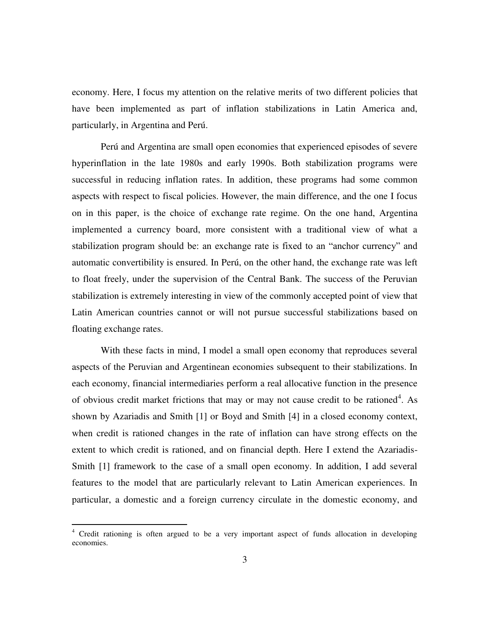economy. Here, I focus my attention on the relative merits of two different policies that have been implemented as part of inflation stabilizations in Latin America and, particularly, in Argentina and Perú.

Perú and Argentina are small open economies that experienced episodes of severe hyperinflation in the late 1980s and early 1990s. Both stabilization programs were successful in reducing inflation rates. In addition, these programs had some common aspects with respect to fiscal policies. However, the main difference, and the one I focus on in this paper, is the choice of exchange rate regime. On the one hand, Argentina implemented a currency board, more consistent with a traditional view of what a stabilization program should be: an exchange rate is fixed to an "anchor currency" and automatic convertibility is ensured. In Perú, on the other hand, the exchange rate was left to float freely, under the supervision of the Central Bank. The success of the Peruvian stabilization is extremely interesting in view of the commonly accepted point of view that Latin American countries cannot or will not pursue successful stabilizations based on floating exchange rates.

With these facts in mind, I model a small open economy that reproduces several aspects of the Peruvian and Argentinean economies subsequent to their stabilizations. In each economy, financial intermediaries perform a real allocative function in the presence of obvious credit market frictions that may or may not cause credit to be rationed<sup>4</sup>. As shown by Azariadis and Smith [1] or Boyd and Smith [4] in a closed economy context, when credit is rationed changes in the rate of inflation can have strong effects on the extent to which credit is rationed, and on financial depth. Here I extend the Azariadis-Smith [1] framework to the case of a small open economy. In addition, I add several features to the model that are particularly relevant to Latin American experiences. In particular, a domestic and a foreign currency circulate in the domestic economy, and

 4 Credit rationing is often argued to be a very important aspect of funds allocation in developing economies.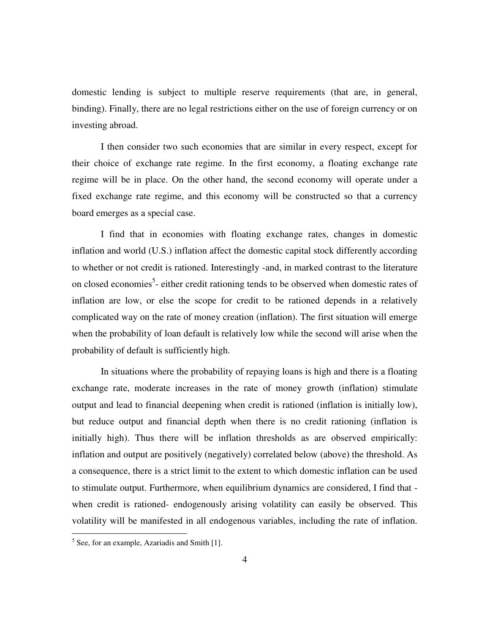domestic lending is subject to multiple reserve requirements (that are, in general, binding). Finally, there are no legal restrictions either on the use of foreign currency or on investing abroad.

I then consider two such economies that are similar in every respect, except for their choice of exchange rate regime. In the first economy, a floating exchange rate regime will be in place. On the other hand, the second economy will operate under a fixed exchange rate regime, and this economy will be constructed so that a currency board emerges as a special case.

I find that in economies with floating exchange rates, changes in domestic inflation and world (U.S.) inflation affect the domestic capital stock differently according to whether or not credit is rationed. Interestingly -and, in marked contrast to the literature on closed economies<sup>5</sup>- either credit rationing tends to be observed when domestic rates of inflation are low, or else the scope for credit to be rationed depends in a relatively complicated way on the rate of money creation (inflation). The first situation will emerge when the probability of loan default is relatively low while the second will arise when the probability of default is sufficiently high.

In situations where the probability of repaying loans is high and there is a floating exchange rate, moderate increases in the rate of money growth (inflation) stimulate output and lead to financial deepening when credit is rationed (inflation is initially low), but reduce output and financial depth when there is no credit rationing (inflation is initially high). Thus there will be inflation thresholds as are observed empirically: inflation and output are positively (negatively) correlated below (above) the threshold. As a consequence, there is a strict limit to the extent to which domestic inflation can be used to stimulate output. Furthermore, when equilibrium dynamics are considered, I find that when credit is rationed- endogenously arising volatility can easily be observed. This volatility will be manifested in all endogenous variables, including the rate of inflation.

<sup>&</sup>lt;sup>5</sup> See, for an example, Azariadis and Smith [1].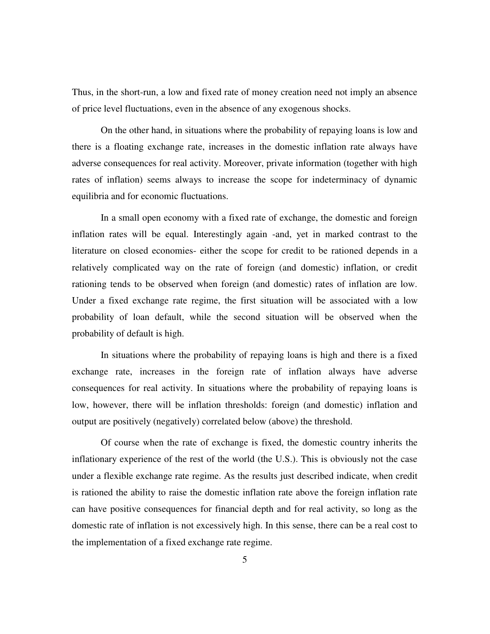Thus, in the short-run, a low and fixed rate of money creation need not imply an absence of price level fluctuations, even in the absence of any exogenous shocks.

On the other hand, in situations where the probability of repaying loans is low and there is a floating exchange rate, increases in the domestic inflation rate always have adverse consequences for real activity. Moreover, private information (together with high rates of inflation) seems always to increase the scope for indeterminacy of dynamic equilibria and for economic fluctuations.

In a small open economy with a fixed rate of exchange, the domestic and foreign inflation rates will be equal. Interestingly again -and, yet in marked contrast to the literature on closed economies- either the scope for credit to be rationed depends in a relatively complicated way on the rate of foreign (and domestic) inflation, or credit rationing tends to be observed when foreign (and domestic) rates of inflation are low. Under a fixed exchange rate regime, the first situation will be associated with a low probability of loan default, while the second situation will be observed when the probability of default is high.

In situations where the probability of repaying loans is high and there is a fixed exchange rate, increases in the foreign rate of inflation always have adverse consequences for real activity. In situations where the probability of repaying loans is low, however, there will be inflation thresholds: foreign (and domestic) inflation and output are positively (negatively) correlated below (above) the threshold.

Of course when the rate of exchange is fixed, the domestic country inherits the inflationary experience of the rest of the world (the U.S.). This is obviously not the case under a flexible exchange rate regime. As the results just described indicate, when credit is rationed the ability to raise the domestic inflation rate above the foreign inflation rate can have positive consequences for financial depth and for real activity, so long as the domestic rate of inflation is not excessively high. In this sense, there can be a real cost to the implementation of a fixed exchange rate regime.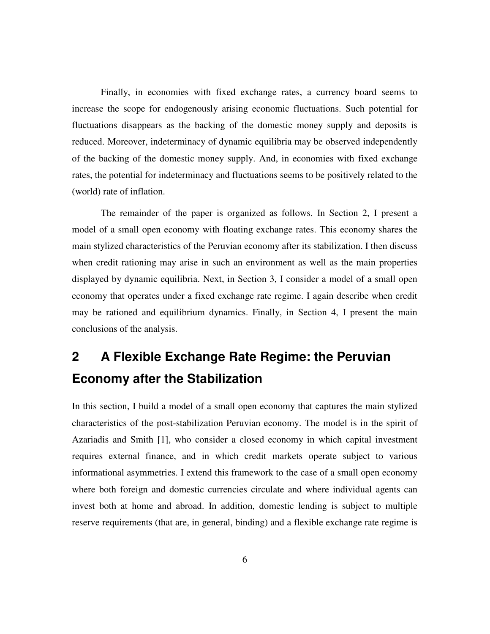Finally, in economies with fixed exchange rates, a currency board seems to increase the scope for endogenously arising economic fluctuations. Such potential for fluctuations disappears as the backing of the domestic money supply and deposits is reduced. Moreover, indeterminacy of dynamic equilibria may be observed independently of the backing of the domestic money supply. And, in economies with fixed exchange rates, the potential for indeterminacy and fluctuations seems to be positively related to the (world) rate of inflation.

The remainder of the paper is organized as follows. In Section 2, I present a model of a small open economy with floating exchange rates. This economy shares the main stylized characteristics of the Peruvian economy after its stabilization. I then discuss when credit rationing may arise in such an environment as well as the main properties displayed by dynamic equilibria. Next, in Section 3, I consider a model of a small open economy that operates under a fixed exchange rate regime. I again describe when credit may be rationed and equilibrium dynamics. Finally, in Section 4, I present the main conclusions of the analysis.

# **2 A Flexible Exchange Rate Regime: the Peruvian Economy after the Stabilization**

In this section, I build a model of a small open economy that captures the main stylized characteristics of the post-stabilization Peruvian economy. The model is in the spirit of Azariadis and Smith [1], who consider a closed economy in which capital investment requires external finance, and in which credit markets operate subject to various informational asymmetries. I extend this framework to the case of a small open economy where both foreign and domestic currencies circulate and where individual agents can invest both at home and abroad. In addition, domestic lending is subject to multiple reserve requirements (that are, in general, binding) and a flexible exchange rate regime is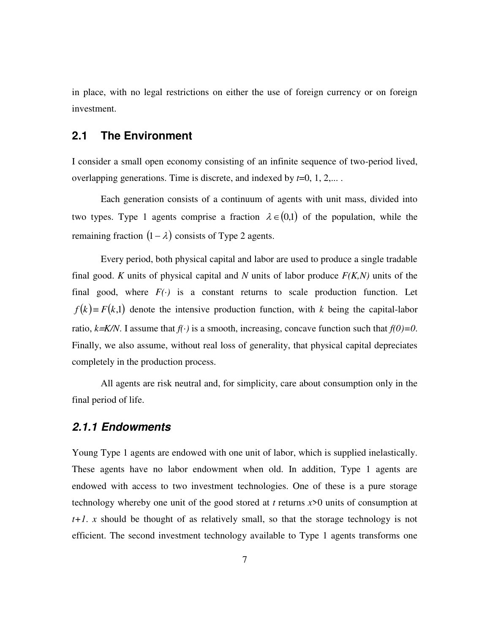in place, with no legal restrictions on either the use of foreign currency or on foreign investment.

#### **2.1 The Environment**

I consider a small open economy consisting of an infinite sequence of two-period lived, overlapping generations. Time is discrete, and indexed by *t*=0, 1, 2,... .

Each generation consists of a continuum of agents with unit mass, divided into two types. Type 1 agents comprise a fraction  $\lambda \in (0,1)$  of the population, while the remaining fraction  $(1 - \lambda)$  consists of Type 2 agents.

Every period, both physical capital and labor are used to produce a single tradable final good. *K* units of physical capital and *N* units of labor produce *F(K,N)* units of the final good, where  $F(\cdot)$  is a constant returns to scale production function. Let  $f(k) \equiv F(k,1)$  denote the intensive production function, with *k* being the capital-labor ratio,  $k=K/N$ . I assume that  $f(\cdot)$  is a smooth, increasing, concave function such that  $f(0)=0$ . Finally, we also assume, without real loss of generality, that physical capital depreciates completely in the production process.

All agents are risk neutral and, for simplicity, care about consumption only in the final period of life.

#### *2.1.1 Endowments*

Young Type 1 agents are endowed with one unit of labor, which is supplied inelastically. These agents have no labor endowment when old. In addition, Type 1 agents are endowed with access to two investment technologies. One of these is a pure storage technology whereby one unit of the good stored at *t* returns *x*>0 units of consumption at *t+1*. *x* should be thought of as relatively small, so that the storage technology is not efficient. The second investment technology available to Type 1 agents transforms one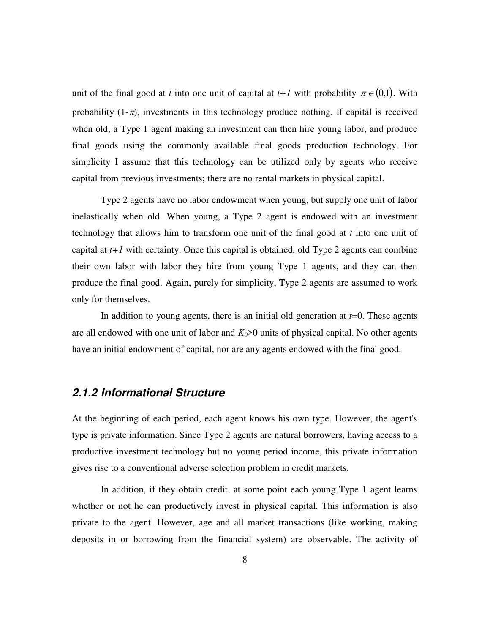unit of the final good at *t* into one unit of capital at  $t+1$  with probability  $\pi \in (0,1)$ . With probability  $(1-\pi)$ , investments in this technology produce nothing. If capital is received when old, a Type 1 agent making an investment can then hire young labor, and produce final goods using the commonly available final goods production technology. For simplicity I assume that this technology can be utilized only by agents who receive capital from previous investments; there are no rental markets in physical capital.

Type 2 agents have no labor endowment when young, but supply one unit of labor inelastically when old. When young, a Type 2 agent is endowed with an investment technology that allows him to transform one unit of the final good at *t* into one unit of capital at  $t+1$  with certainty. Once this capital is obtained, old Type 2 agents can combine their own labor with labor they hire from young Type 1 agents, and they can then produce the final good. Again, purely for simplicity, Type 2 agents are assumed to work only for themselves.

In addition to young agents, there is an initial old generation at *t*=0. These agents are all endowed with one unit of labor and  $K_0$ >0 units of physical capital. No other agents have an initial endowment of capital, nor are any agents endowed with the final good.

### *2.1.2 Informational Structure*

At the beginning of each period, each agent knows his own type. However, the agent's type is private information. Since Type 2 agents are natural borrowers, having access to a productive investment technology but no young period income, this private information gives rise to a conventional adverse selection problem in credit markets.

In addition, if they obtain credit, at some point each young Type 1 agent learns whether or not he can productively invest in physical capital. This information is also private to the agent. However, age and all market transactions (like working, making deposits in or borrowing from the financial system) are observable. The activity of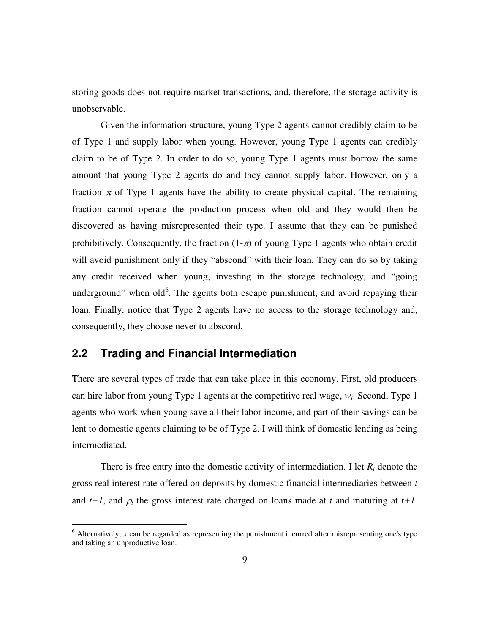storing goods does not require market transactions, and, therefore, the storage activity is unobservable.

Given the information structure, young Type 2 agents cannot credibly claim to be of Type 1 and supply labor when young. However, young Type 1 agents can credibly claim to be of Type 2. In order to do so, young Type 1 agents must borrow the same amount that young Type 2 agents do and they cannot supply labor. However, only a fraction  $\pi$  of Type 1 agents have the ability to create physical capital. The remaining fraction cannot operate the production process when old and they would then be discovered as having misrepresented their type. I assume that they can be punished prohibitively. Consequently, the fraction  $(1-\pi)$  of young Type 1 agents who obtain credit will avoid punishment only if they "abscond" with their loan. They can do so by taking any credit received when young, investing in the storage technology, and "going underground" when  $old^6$ . The agents both escape punishment, and avoid repaying their loan. Finally, notice that Type 2 agents have no access to the storage technology and, consequently, they choose never to abscond.

#### **2.2 Trading and Financial Intermediation**

There are several types of trade that can take place in this economy. First, old producers can hire labor from young Type 1 agents at the competitive real wage, *w<sup>t</sup>* . Second, Type 1 agents who work when young save all their labor income, and part of their savings can be lent to domestic agents claiming to be of Type 2. I will think of domestic lending as being intermediated.

There is free entry into the domestic activity of intermediation. I let  $R_t$  denote the gross real interest rate offered on deposits by domestic financial intermediaries between *t* and  $t+1$ , and  $\rho_t$  the gross interest rate charged on loans made at  $t$  and maturing at  $t+1$ .

<sup>&</sup>lt;sup>6</sup> Alternatively, *x* can be regarded as representing the punishment incurred after misrepresenting one's type and taking an unproductive loan.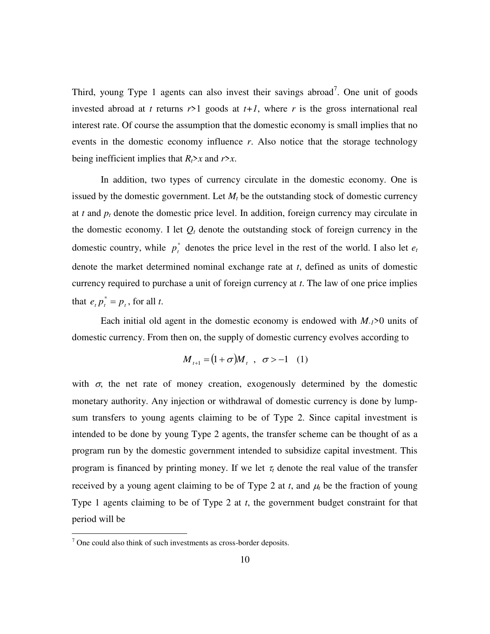Third, young Type 1 agents can also invest their savings abroad<sup>7</sup>. One unit of goods invested abroad at *t* returns  $r > 1$  goods at  $t+1$ , where *r* is the gross international real interest rate. Of course the assumption that the domestic economy is small implies that no events in the domestic economy influence *r*. Also notice that the storage technology being inefficient implies that  $R_t > x$  and  $r > x$ .

In addition, two types of currency circulate in the domestic economy. One is issued by the domestic government. Let  $M_t$  be the outstanding stock of domestic currency at  $t$  and  $p_t$  denote the domestic price level. In addition, foreign currency may circulate in the domestic economy. I let  $Q_t$  denote the outstanding stock of foreign currency in the domestic country, while  $p_t^*$  denotes the price level in the rest of the world. I also let  $e_t$ denote the market determined nominal exchange rate at *t*, defined as units of domestic currency required to purchase a unit of foreign currency at *t*. The law of one price implies that  $e_t p_t^* = p_t$ , for all *t*.

Each initial old agent in the domestic economy is endowed with  $M<sub>-1</sub>$  $>0$  units of domestic currency. From then on, the supply of domestic currency evolves according to

$$
M_{t+1} = (1+\sigma)M_t , \quad \sigma > -1 \quad (1)
$$

with  $\sigma$ , the net rate of money creation, exogenously determined by the domestic monetary authority. Any injection or withdrawal of domestic currency is done by lumpsum transfers to young agents claiming to be of Type 2. Since capital investment is intended to be done by young Type 2 agents, the transfer scheme can be thought of as a program run by the domestic government intended to subsidize capital investment. This program is financed by printing money. If we let  $\tau_t$  denote the real value of the transfer received by a young agent claiming to be of Type 2 at  $t$ , and  $\mu_t$  be the fraction of young Type 1 agents claiming to be of Type 2 at *t*, the government budget constraint for that period will be

 7 One could also think of such investments as cross-border deposits.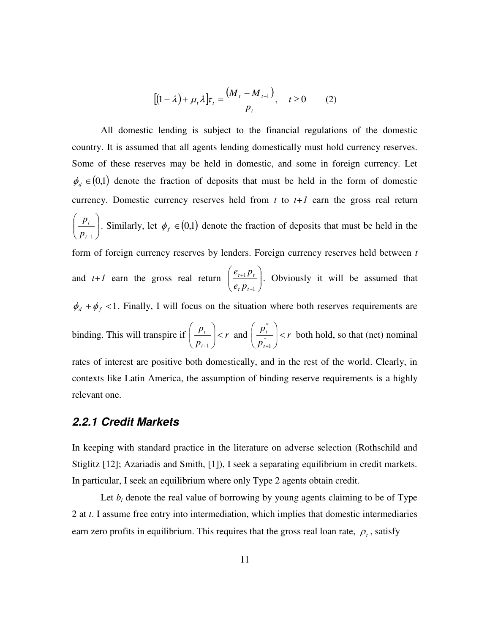$$
[(1-\lambda)+\mu_t\lambda]_{\tau_t} = \frac{(M_t - M_{t-1})}{p_t}, \quad t \ge 0 \qquad (2)
$$

All domestic lending is subject to the financial regulations of the domestic country. It is assumed that all agents lending domestically must hold currency reserves. Some of these reserves may be held in domestic, and some in foreign currency. Let  $\phi_d \in (0,1)$  denote the fraction of deposits that must be held in the form of domestic currency. Domestic currency reserves held from *t* to *t+1* earn the gross real return  $\overline{\phantom{a}}$ J  $\setminus$  $\overline{\phantom{a}}$  $\setminus$ ſ  $t+1$ *t p*  $\left(\frac{p_t}{p_t}\right)$ . Similarly, let  $\phi_f \in (0,1)$  denote the fraction of deposits that must be held in the form of foreign currency reserves by lenders. Foreign currency reserves held between *t* and  $t+1$  earn the gross real return  $\left| \frac{e_{t+1}p_t}{e_n} \right|$  $\bigg)$  $\setminus$  $\overline{\phantom{a}}$  $\setminus$ ſ  $^{+}$  $^{+}$ 1 1  $t P_t$  $t+1$   $P t$ *e p*  $e_{i+1}p$ . Obviously it will be assumed that  $\phi_d + \phi_f$  <1. Finally, I will focus on the situation where both reserves requirements are binding. This will transpire if  $\left| \frac{P_t}{r} \right| < r$ *p p t*  $\frac{t}{\sqrt{t}}$   $<$ J  $\backslash$  $\overline{\phantom{a}}$  $\setminus$ ſ  $+1$ and  $\left| \frac{P_t}{r} \right| < r$ *p p t*  $\frac{t}{t}$  < J  $\backslash$  $\overline{\phantom{a}}$  $\setminus$ ſ \* 1 \* both hold, so that (net) nominal rates of interest are positive both domestically, and in the rest of the world. Clearly, in contexts like Latin America, the assumption of binding reserve requirements is a highly relevant one.

#### *2.2.1 Credit Markets*

In keeping with standard practice in the literature on adverse selection (Rothschild and Stiglitz [12]; Azariadis and Smith, [1]), I seek a separating equilibrium in credit markets. In particular, I seek an equilibrium where only Type 2 agents obtain credit.

Let  $b_t$  denote the real value of borrowing by young agents claiming to be of Type 2 at *t*. I assume free entry into intermediation, which implies that domestic intermediaries earn zero profits in equilibrium. This requires that the gross real loan rate,  $\rho_t$ , satisfy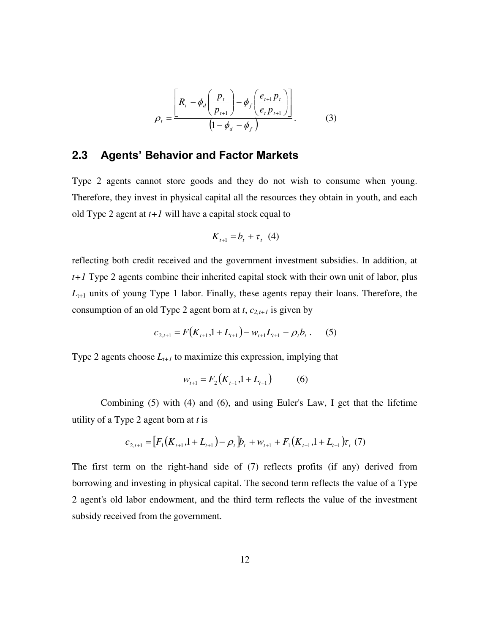$$
\rho_{t} = \frac{\left[R_{t} - \phi_{d}\left(\frac{p_{t}}{p_{t+1}}\right) - \phi_{f}\left(\frac{e_{t+1}p_{t}}{e_{t}p_{t+1}}\right)\right]}{\left(1 - \phi_{d} - \phi_{f}\right)}.
$$
(3)

#### **2.3 Agents' Behavior and Factor Markets**

Type 2 agents cannot store goods and they do not wish to consume when young. Therefore, they invest in physical capital all the resources they obtain in youth, and each old Type 2 agent at  $t+1$  will have a capital stock equal to

$$
K_{t+1} = b_t + \tau_t \quad (4)
$$

reflecting both credit received and the government investment subsidies. In addition, at *t+1* Type 2 agents combine their inherited capital stock with their own unit of labor, plus *L*t+1 units of young Type 1 labor. Finally, these agents repay their loans. Therefore, the consumption of an old Type 2 agent born at  $t$ ,  $c_{2,t+1}$  is given by

$$
c_{2,t+1} = F(K_{t+1}, 1 + L_{t+1}) - w_{t+1} L_{t+1} - \rho_t b_t. \tag{5}
$$

Type 2 agents choose *Lt+1* to maximize this expression, implying that

$$
w_{t+1} = F_2(K_{t+1}, 1 + L_{t+1})
$$
 (6)

Combining (5) with (4) and (6), and using Euler's Law, I get that the lifetime utility of a Type 2 agent born at *t* is

$$
c_{2,t+1} = [F_1(K_{t+1}, 1 + L_{t+1}) - \rho_t]b_t + w_{t+1} + F_1(K_{t+1}, 1 + L_{t+1})\tau_t (7)
$$

The first term on the right-hand side of (7) reflects profits (if any) derived from borrowing and investing in physical capital. The second term reflects the value of a Type 2 agent's old labor endowment, and the third term reflects the value of the investment subsidy received from the government.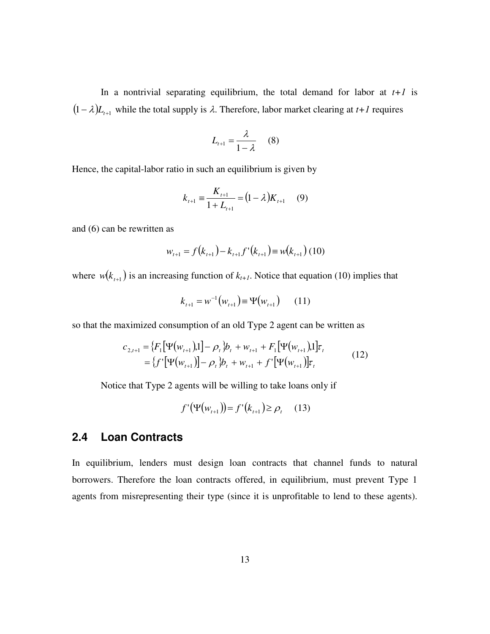In a nontrivial separating equilibrium, the total demand for labor at  $t+1$  is  $(1 - \lambda)L_{t+1}$  while the total supply is  $\lambda$ . Therefore, labor market clearing at *t*+*I* requires

$$
L_{t+1} = \frac{\lambda}{1 - \lambda} \qquad (8)
$$

Hence, the capital-labor ratio in such an equilibrium is given by

$$
k_{t+1} \equiv \frac{K_{t+1}}{1 + L_{t+1}} = (1 - \lambda)K_{t+1} \qquad (9)
$$

and (6) can be rewritten as

$$
w_{t+1} = f(k_{t+1}) - k_{t+1} f'(k_{t+1}) \equiv w(k_{t+1}) \ (10)
$$

where  $w(k_{t+1})$  is an increasing function of  $k_{t+1}$ . Notice that equation (10) implies that

$$
k_{t+1} = w^{-1}(w_{t+1}) \equiv \Psi(w_{t+1}) \qquad (11)
$$

so that the maximized consumption of an old Type 2 agent can be written as

$$
c_{2,t+1} = \{F_1[\Psi(w_{t+1}),1] - \rho_t\}b_t + w_{t+1} + F_1[\Psi(w_{t+1}),1] \tau_t = \{f'[\Psi(w_{t+1})] - \rho_t\}b_t + w_{t+1} + f'[\Psi(w_{t+1})] \tau_t
$$
(12)

Notice that Type 2 agents will be willing to take loans only if

$$
f'(\Psi(w_{t+1})) = f'(k_{t+1}) \ge \rho_t \quad (13)
$$

#### **2.4 Loan Contracts**

In equilibrium, lenders must design loan contracts that channel funds to natural borrowers. Therefore the loan contracts offered, in equilibrium, must prevent Type 1 agents from misrepresenting their type (since it is unprofitable to lend to these agents).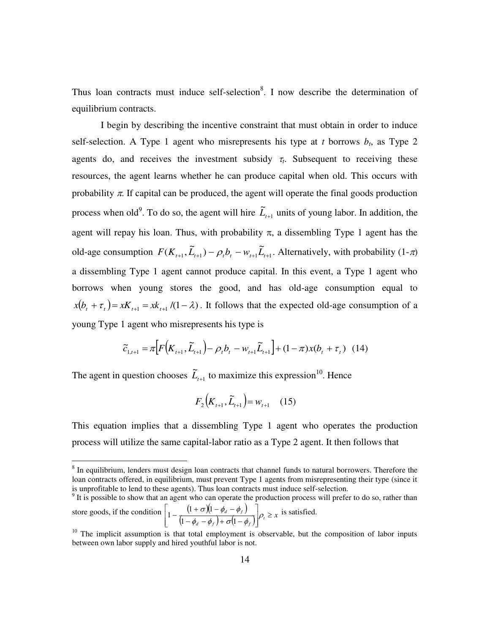Thus loan contracts must induce self-selection<sup>8</sup>. I now describe the determination of equilibrium contracts.

I begin by describing the incentive constraint that must obtain in order to induce self-selection. A Type 1 agent who misrepresents his type at  $t$  borrows  $b_t$ , as Type 2 agents do, and receives the investment subsidy  $\tau_t$ . Subsequent to receiving these resources, the agent learns whether he can produce capital when old. This occurs with probability  $\pi$ . If capital can be produced, the agent will operate the final goods production process when old<sup>9</sup>. To do so, the agent will hire  $\tilde{L}_{t+1}$  units of young labor. In addition, the agent will repay his loan. Thus, with probability  $\pi$ , a dissembling Type 1 agent has the old-age consumption  $F(K_{t+1}, \tilde{L}_{t+1}) - \rho_t b_t - w_{t+1} \tilde{L}_{t+1}$ . Alternatively, with probability  $(1-\pi)$ a dissembling Type 1 agent cannot produce capital. In this event, a Type 1 agent who borrows when young stores the good, and has old-age consumption equal to  $x(b_t + \tau_t) = xK_{t+1} = xk_{t+1}/(1 - \lambda)$ . It follows that the expected old-age consumption of a young Type 1 agent who misrepresents his type is

$$
\widetilde{c}_{1,t+1} = \pi \Big[ F\Big(K_{t+1}, \widetilde{L}_{t+1}\Big) - \rho_t b_t - w_{t+1} \widetilde{L}_{t+1} \Big] + (1 - \pi) x (b_t + \tau_t) \tag{14}
$$

The agent in question chooses  $\tilde{L}_{t+1}$  to maximize this expression<sup>10</sup>. Hence

$$
F_2\big(K_{t+1}, \widetilde{L}_{t+1}\big) = w_{t+1} \quad (15)
$$

This equation implies that a dissembling Type 1 agent who operates the production process will utilize the same capital-labor ratio as a Type 2 agent. It then follows that

 $\overline{a}$ 

<sup>&</sup>lt;sup>8</sup> In equilibrium, lenders must design loan contracts that channel funds to natural borrowers. Therefore the loan contracts offered, in equilibrium, must prevent Type 1 agents from misrepresenting their type (since it is unprofitable to lend to these agents). Thus loan contracts must induce self-selection.

 $9$  It is possible to show that an agent who can operate the production process will prefer to do so, rather than store goods, if the condition  $\begin{bmatrix} 1 - \frac{(1+\sigma)(1-\phi_d-\phi_f)}{2} \end{bmatrix}$  $\overline{\phantom{a}}$  $\mathbf{r}$  $\sigma$  )(1 –  $\phi_a - \phi_a$ 

 $\frac{d}{(1-\phi_a-\phi_f)+\sigma(1-\phi_f)}\bigg|\rho_t\geq x$  $\frac{d}{d} \frac{\varphi_f}{\varphi_f}$   $\left| \rho \right| \geq$  $\overline{\phantom{a}}$  $\overline{\phantom{a}}$ J  $\mathsf{I}$  $\mathbf{r}$ L  $-\phi_{\scriptscriptstyle A}-\phi_{\scriptscriptstyle f}$  ) +  $\sigma$ (1  $-\frac{(1+\sigma)(1-\phi_{d}-\phi_{f})}{(1-\phi_{d}-\phi_{f})+\sigma(1-\phi_{f})}\Bigg|\rho_{d},$  $(1 - \phi_d - \phi_f) + \sigma(1)$  $1 - \frac{(1+\sigma)(1-\phi_d-\phi_f)}{(\sigma_d-\sigma_d)(1-\phi_d-\phi_f)}\bigg|_{\rho_t \geq x}$  is satisfied.

 $10$  The implicit assumption is that total employment is observable, but the composition of labor inputs between own labor supply and hired youthful labor is not.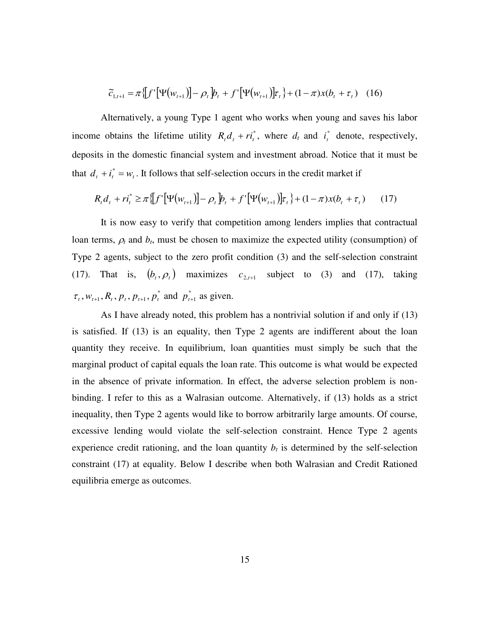$$
\tilde{c}_{1,t+1} = \pi \left\{ \left[ f' \left[ \Psi(w_{t+1}) \right] - \rho_t \right] b_t + f' \left[ \Psi(w_{t+1}) \right] \tau_t \right\} + (1 - \pi) x (b_t + \tau_t) \tag{16}
$$

Alternatively, a young Type 1 agent who works when young and saves his labor income obtains the lifetime utility  $R_t d_t + r \dot{t}_t^*$ , where  $d_t$  and  $\dot{t}_t^*$  denote, respectively, deposits in the domestic financial system and investment abroad. Notice that it must be that  $d_t + i_t^* = w_t$ . It follows that self-selection occurs in the credit market if

$$
R_t d_t + r t_t^* \ge \pi \left\{ \left[ f' \left[ \Psi(w_{t+1}) \right] - \rho_t \right] b_t + f' \left[ \Psi(w_{t+1}) \right] \tau_t \right\} + (1 - \pi) x (b_t + \tau_t) \tag{17}
$$

It is now easy to verify that competition among lenders implies that contractual loan terms,  $\rho_t$  and  $b_t$ , must be chosen to maximize the expected utility (consumption) of Type 2 agents, subject to the zero profit condition (3) and the self-selection constraint (17). That is,  $(b_t, \rho_t)$  maximizes  $c_{2,t+1}$  subject to (3) and (17), taking \*  $\tau_t$ ,  $w_{t+1}$ ,  $R_t$ ,  $p_t$ ,  $p_{t+1}$ ,  $p_t^*$  and  $p_{t+1}^*$  as given.

As I have already noted, this problem has a nontrivial solution if and only if (13) is satisfied. If (13) is an equality, then Type 2 agents are indifferent about the loan quantity they receive. In equilibrium, loan quantities must simply be such that the marginal product of capital equals the loan rate. This outcome is what would be expected in the absence of private information. In effect, the adverse selection problem is nonbinding. I refer to this as a Walrasian outcome. Alternatively, if (13) holds as a strict inequality, then Type 2 agents would like to borrow arbitrarily large amounts. Of course, excessive lending would violate the self-selection constraint. Hence Type 2 agents experience credit rationing, and the loan quantity  $b_t$  is determined by the self-selection constraint (17) at equality. Below I describe when both Walrasian and Credit Rationed equilibria emerge as outcomes.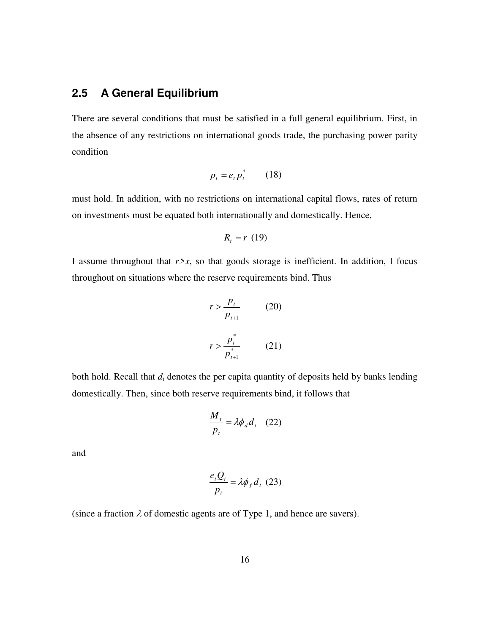#### **2.5 A General Equilibrium**

There are several conditions that must be satisfied in a full general equilibrium. First, in the absence of any restrictions on international goods trade, the purchasing power parity condition

$$
p_t = e_t p_t^* \qquad (18)
$$

must hold. In addition, with no restrictions on international capital flows, rates of return on investments must be equated both internationally and domestically. Hence,

$$
R_t = r (19)
$$

I assume throughout that  $r > x$ , so that goods storage is inefficient. In addition, I focus throughout on situations where the reserve requirements bind. Thus

$$
r > \frac{p_t}{p_{t+1}}
$$
 (20)  

$$
r > \frac{p_t^*}{p_{t+1}^*}
$$
 (21)

both hold. Recall that  $d_t$  denotes the per capita quantity of deposits held by banks lending domestically. Then, since both reserve requirements bind, it follows that

$$
\frac{M_t}{p_t} = \lambda \phi_d d_t \quad (22)
$$

and

$$
\frac{e_t Q_t}{p_t} = \lambda \phi_f d_t \quad (23)
$$

(since a fraction  $\lambda$  of domestic agents are of Type 1, and hence are savers).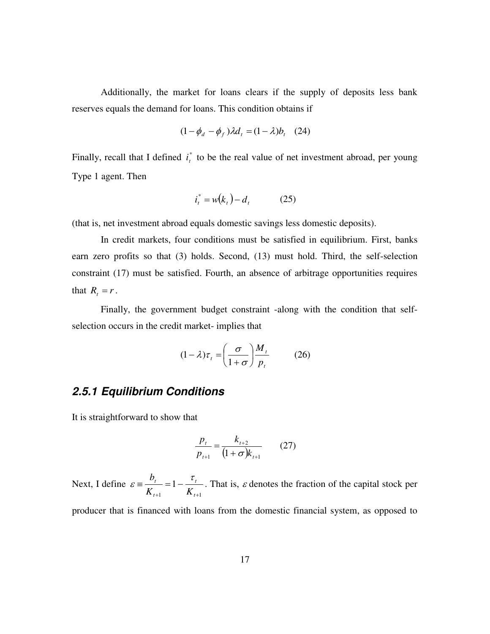Additionally, the market for loans clears if the supply of deposits less bank reserves equals the demand for loans. This condition obtains if

$$
(1 - \phi_d - \phi_f) \lambda d_t = (1 - \lambda) b_t \quad (24)
$$

Finally, recall that I defined  $i_t^*$  to be the real value of net investment abroad, per young Type 1 agent. Then

$$
i_t^* = w(k_t) - d_t \qquad (25)
$$

(that is, net investment abroad equals domestic savings less domestic deposits).

In credit markets, four conditions must be satisfied in equilibrium. First, banks earn zero profits so that (3) holds. Second, (13) must hold. Third, the self-selection constraint (17) must be satisfied. Fourth, an absence of arbitrage opportunities requires that  $R_t = r$ .

Finally, the government budget constraint -along with the condition that selfselection occurs in the credit market- implies that

$$
(1 - \lambda)\tau_t = \left(\frac{\sigma}{1 + \sigma}\right)\frac{M_t}{p_t} \tag{26}
$$

#### *2.5.1 Equilibrium Conditions*

It is straightforward to show that

$$
\frac{p_{t}}{p_{t+1}} = \frac{k_{t+2}}{(1+\sigma)k_{t+1}} \qquad (27)
$$

Next, I define 1  $\mathbf{I} \mathbf{I}$ <sub>t+1</sub> 1  $+1$   $\mathbf{A}_{t+1}$  $\equiv \frac{U_t}{\sqrt{2}} = 1$ *t t t t*  $K_{t+1}$  *K*  $b_{t}$   $\tau$  $\varepsilon = \frac{\varepsilon_t}{\sigma} = 1 - \frac{v_t}{\sigma}$ . That is,  $\varepsilon$  denotes the fraction of the capital stock per

producer that is financed with loans from the domestic financial system, as opposed to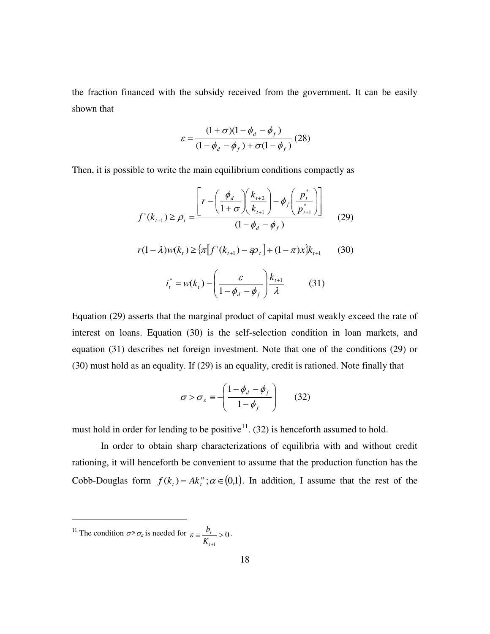the fraction financed with the subsidy received from the government. It can be easily shown that

$$
\varepsilon = \frac{(1+\sigma)(1-\phi_d-\phi_f)}{(1-\phi_d-\phi_f)+\sigma(1-\phi_f)}(28)
$$

Then, it is possible to write the main equilibrium conditions compactly as

$$
f'(k_{t+1}) \ge \rho_t = \frac{\left[r - \left(\frac{\phi_d}{1+\sigma}\right)\left(\frac{k_{t+2}}{k_{t+1}}\right) - \phi_f\left(\frac{p_t^*}{p_{t+1}^*}\right)\right]}{(1-\phi_d - \phi_f)}
$$
(29)  

$$
r(1-\lambda)w(k_t) \ge \left\{\pi[f'(k_{t+1}) - \varphi_t] + (1-\pi)x\right\}k_{t+1}
$$
(30)  

$$
i_t^* = w(k_t) - \left(\frac{\varepsilon}{1-\phi_d - \phi_f}\right)\frac{k_{t+1}}{\lambda}
$$
(31)

Equation (29) asserts that the marginal product of capital must weakly exceed the rate of interest on loans. Equation (30) is the self-selection condition in loan markets, and equation (31) describes net foreign investment. Note that one of the conditions (29) or (30) must hold as an equality. If (29) is an equality, credit is rationed. Note finally that

$$
\sigma > \sigma_{\varepsilon} \equiv \left( \frac{1 - \phi_d - \phi_f}{1 - \phi_f} \right) \qquad (32)
$$

must hold in order for lending to be positive<sup>11</sup>. (32) is henceforth assumed to hold.

In order to obtain sharp characterizations of equilibria with and without credit rationing, it will henceforth be convenient to assume that the production function has the Cobb-Douglas form  $f(k_t) = Ak_t^{\alpha}$ ;  $\alpha \in (0,1)$ . In addition, I assume that the rest of the

<sup>11</sup> The condition  $\sigma > \sigma_{\varepsilon}$  is needed for  $\varepsilon = \frac{b_{t}}{s} > 0$ 1  $\equiv \frac{v_t}{1}$  > *t t K*  $\varepsilon \equiv \frac{b_{t}}{c} > 0$ .

 $\overline{a}$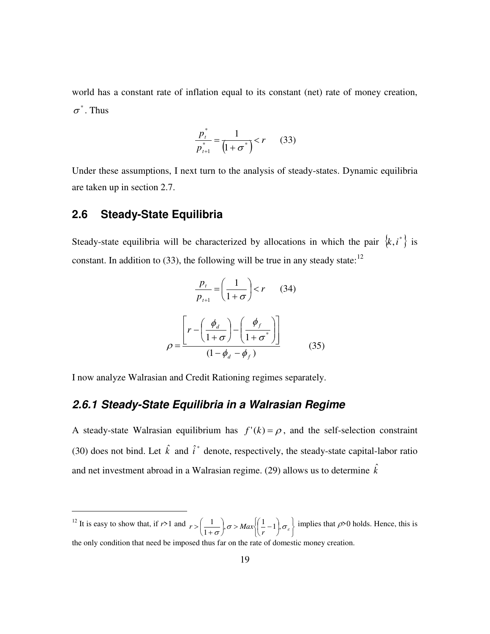world has a constant rate of inflation equal to its constant (net) rate of money creation,  $\sigma^*$ . Thus

$$
\frac{p_{t}^{*}}{p_{t+1}^{*}} = \frac{1}{(1+\sigma^{*})} < r
$$
 (33)

Under these assumptions, I next turn to the analysis of steady-states. Dynamic equilibria are taken up in section 2.7.

#### **2.6 Steady-State Equilibria**

 $\overline{a}$ 

Steady-state equilibria will be characterized by allocations in which the pair  $\{k, i^*\}$  is constant. In addition to (33), the following will be true in any steady state:<sup>12</sup>

$$
\frac{p_t}{p_{t+1}} = \left(\frac{1}{1+\sigma}\right) < r \qquad (34)
$$

$$
\rho = \frac{\left[r - \left(\frac{\phi_d}{1+\sigma}\right) - \left(\frac{\phi_f}{1+\sigma^*}\right)\right]}{(1-\phi_d-\phi_f)} \qquad (35)
$$

I now analyze Walrasian and Credit Rationing regimes separately.

### *2.6.1 Steady-State Equilibria in a Walrasian Regime*

A steady-state Walrasian equilibrium has  $f'(k) = \rho$ , and the self-selection constraint (30) does not bind. Let  $\hat{k}$  and  $\hat{i}^*$  denote, respectively, the steady-state capital-labor ratio and net investment abroad in a Walrasian regime. (29) allows us to determine  $\hat{k}$ 

<sup>&</sup>lt;sup>12</sup> It is easy to show that, if  $r > 1$  and  $\left\{\begin{array}{c} 1 \\ 0 \end{array}\right\}$  $\left\{\left(\frac{1}{r}-1\right)\right\}$  $\left(\frac{1}{r}-1\right)$  $\bigg), \sigma > Max \bigg\{ \bigg( \frac{1}{r} \left(\frac{1}{1+\sigma}\right)$ ſ  $>\left(\frac{1}{1+\sigma}\right), \sigma > Max \left(\frac{1}{r}-1\right), \sigma_{\varepsilon}$ 1  $r > \left(\frac{1}{1+\sigma}\right), \sigma > Max \left\{\left(\frac{1}{r}-1\right), \sigma_{\varepsilon}\right\}$  implies that  $\rho > 0$  holds. Hence, this is the only condition that need be imposed thus far on the rate of domestic money creation.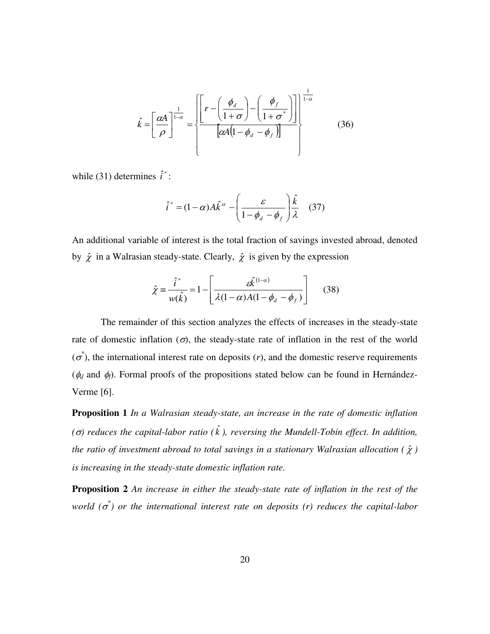$$
\hat{k} = \left[\frac{\alpha A}{\rho}\right]^{\frac{1}{1-\alpha}} = \left\{\frac{\left[r - \left(\frac{\phi_d}{1+\sigma}\right) - \left(\frac{\phi_f}{1+\sigma^*}\right)\right]}{\left[\alpha A \left(1-\phi_d-\phi_f\right)\right]}\right\}^{\frac{1}{1-\alpha}}
$$
(36)

while (31) determines  $\hat{i}^*$ :

$$
\hat{i}^* = (1 - \alpha)A\hat{k}^{\alpha} - \left(\frac{\varepsilon}{1 - \phi_d - \phi_f}\right)\frac{\hat{k}}{\lambda}
$$
 (37)

An additional variable of interest is the total fraction of savings invested abroad, denoted by  $\hat{\chi}$  in a Walrasian steady-state. Clearly,  $\hat{\chi}$  is given by the expression

$$
\hat{\chi} = \frac{\hat{i}^*}{w(\hat{k})} = 1 - \left[ \frac{\hat{\mathbf{g}}(\mathbf{u} - \alpha)}{\lambda(1 - \alpha)A(1 - \phi_d - \phi_f)} \right] \tag{38}
$$

The remainder of this section analyzes the effects of increases in the steady-state rate of domestic inflation  $(\sigma)$ , the steady-state rate of inflation in the rest of the world  $(\sigma^*)$ , the international interest rate on deposits  $(r)$ , and the domestic reserve requirements  $(\phi_d$  and  $\phi_f$ ). Formal proofs of the propositions stated below can be found in Hernández-Verme [6].

**Proposition 1** *In a Walrasian steady-state, an increase in the rate of domestic inflation*   $(\sigma)$  reduces the capital-labor ratio ( $\hat{k}$ ), reversing the Mundell-Tobin effect. In addition, *the ratio of investment abroad to total savings in a stationary Walrasian allocation (* $\hat{\chi}$ *) is increasing in the steady-state domestic inflation rate.*

**Proposition 2** *An increase in either the steady-state rate of inflation in the rest of the world ( \* ) or the international interest rate on deposits (r) reduces the capital-labor*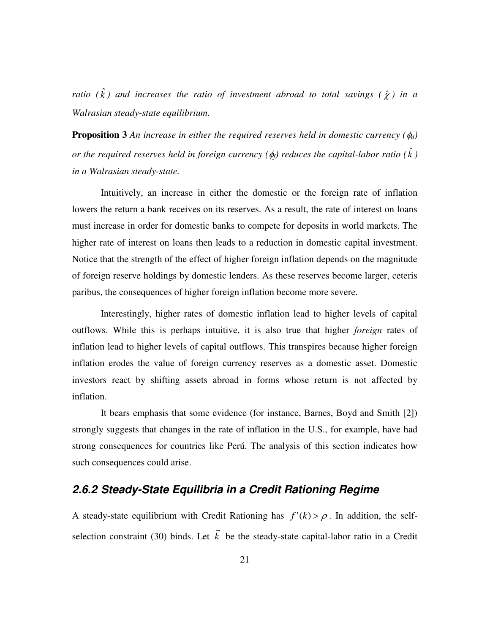ratio  $(\hat{k})$  and increases the ratio of investment abroad to total savings (  $\hat{\chi}$  ) in a *Walrasian steady-state equilibrium.* 

**Proposition 3** An increase in either the required reserves held in domestic currency ( $\phi_d$ ) *or the required reserves held in foreign currency (* $\phi$ *<sub><i>f*</sub>) reduces the capital-labor ratio ( $\hat{k}$ ) *in a Walrasian steady-state.* 

Intuitively, an increase in either the domestic or the foreign rate of inflation lowers the return a bank receives on its reserves. As a result, the rate of interest on loans must increase in order for domestic banks to compete for deposits in world markets. The higher rate of interest on loans then leads to a reduction in domestic capital investment. Notice that the strength of the effect of higher foreign inflation depends on the magnitude of foreign reserve holdings by domestic lenders. As these reserves become larger, ceteris paribus, the consequences of higher foreign inflation become more severe.

Interestingly, higher rates of domestic inflation lead to higher levels of capital outflows. While this is perhaps intuitive, it is also true that higher *foreign* rates of inflation lead to higher levels of capital outflows. This transpires because higher foreign inflation erodes the value of foreign currency reserves as a domestic asset. Domestic investors react by shifting assets abroad in forms whose return is not affected by inflation.

It bears emphasis that some evidence (for instance, Barnes, Boyd and Smith [2]) strongly suggests that changes in the rate of inflation in the U.S., for example, have had strong consequences for countries like Perú. The analysis of this section indicates how such consequences could arise.

### *2.6.2 Steady-State Equilibria in a Credit Rationing Regime*

A steady-state equilibrium with Credit Rationing has  $f'(k) > \rho$ . In addition, the selfselection constraint (30) binds. Let  $\tilde{k}$  be the steady-state capital-labor ratio in a Credit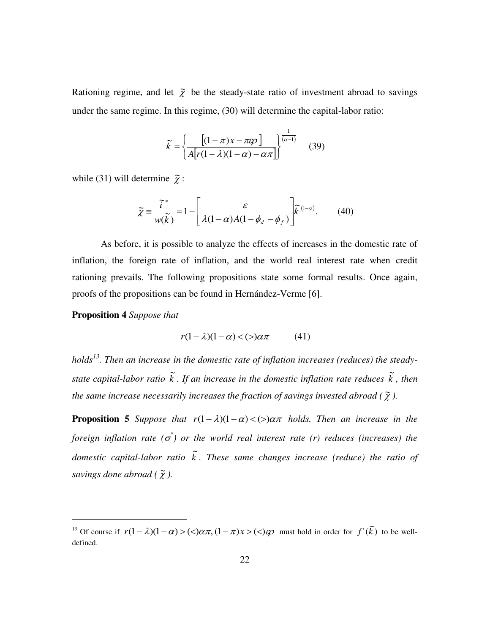Rationing regime, and let  $\tilde{\chi}$  be the steady-state ratio of investment abroad to savings under the same regime. In this regime, (30) will determine the capital-labor ratio:

$$
\widetilde{k} = \left\{ \frac{\left[ (1 - \pi)x - \pi \varphi \right]}{A[r(1 - \lambda)(1 - \alpha) - \alpha \pi]} \right\}^{\frac{1}{(\alpha - 1)}} \tag{39}
$$

while (31) will determine  $\tilde{\chi}$ :

$$
\widetilde{\chi} = \frac{\widetilde{i}^*}{w(\widetilde{k})} = 1 - \left[ \frac{\varepsilon}{\lambda(1-\alpha)A(1-\phi_d-\phi_f)} \right] \widetilde{k}^{(1-\alpha)}.
$$
 (40)

As before, it is possible to analyze the effects of increases in the domestic rate of inflation, the foreign rate of inflation, and the world real interest rate when credit rationing prevails. The following propositions state some formal results. Once again, proofs of the propositions can be found in Hernández-Verme [6].

**Proposition 4** *Suppose that* 

 $\overline{a}$ 

$$
r(1 - \lambda)(1 - \alpha) < (>)\alpha\pi \tag{41}
$$

*holds<sup>13</sup>. Then an increase in the domestic rate of inflation increases (reduces) the steady*state capital-labor ratio  $\tilde{k}$  . If an increase in the domestic inflation rate reduces  $\tilde{k}$  , then the same increase necessarily increases the fraction of savings invested abroad (  $\tilde{\chi}$  ).

**Proposition 5** *Suppose that*  $r(1 - \lambda)(1 - \alpha) < (>\lambda) \alpha \pi$  *holds. Then an increase in the* foreign inflation rate  $(\sigma^*)$  or the world real interest rate (r) reduces (increases) the *domestic capital-labor ratio k* ~ *. These same changes increase (reduce) the ratio of*  savings done abroad (  $\tilde{\chi}$  ).

<sup>&</sup>lt;sup>13</sup> Of course if  $r(1 - \lambda)(1 - \alpha) > (\alpha \pi, (1 - \pi)x) < (\alpha \beta)$  must hold in order for  $f'(\tilde{k})$  to be welldefined.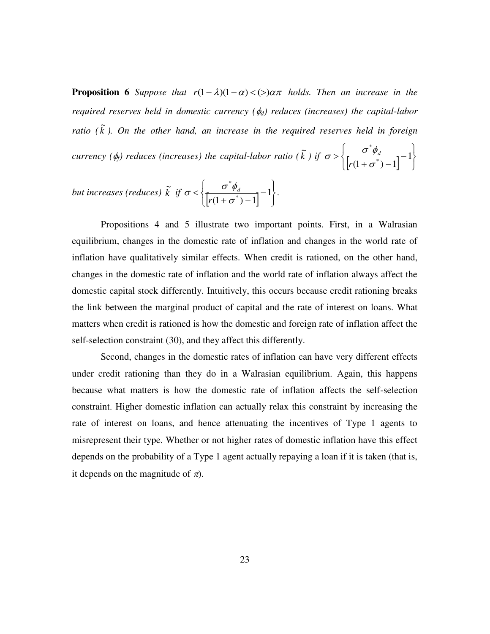**Proposition 6** *Suppose that*  $r(1 - \lambda)(1 - \alpha) < (>\lambda) \alpha \pi$  *holds. Then an increase in the required reserves held in domestic currency (d) reduces (increases) the capital-labor*  ratio  $(\tilde{k})$ . On the other hand, an increase in the required reserves held in foreign *currency (* $\phi$ *<sub>f</sub>) reduces (increases) the capital-labor ratio (* $\tilde{k}$ *) if*  $\sigma > \left\{\frac{\sigma^*\phi_d}{\left[r(1+\sigma^*)-1\right]}-1\right\}$  $\overline{1}$  $\overline{\mathcal{L}}$ ⇃  $\left\lceil \right\rceil$  $\overline{a}$  $+ \, \sigma^*) >\frac{6\sqrt{9d}}{1.1 \cdot 1.1}-1$  $(1 + \sigma^*) - 1$ \*  $\sigma$  $\sigma > \frac{\sigma \phi_i}{r(1+\sigma^*)}$ *d*

but increases (reduces) 
$$
\tilde{k}
$$
 if  $\sigma < \left\{ \frac{\sigma^* \phi_d}{[r(1 + \sigma^*) - 1]} - 1 \right\}$ .

Propositions 4 and 5 illustrate two important points. First, in a Walrasian equilibrium, changes in the domestic rate of inflation and changes in the world rate of inflation have qualitatively similar effects. When credit is rationed, on the other hand, changes in the domestic rate of inflation and the world rate of inflation always affect the domestic capital stock differently. Intuitively, this occurs because credit rationing breaks the link between the marginal product of capital and the rate of interest on loans. What matters when credit is rationed is how the domestic and foreign rate of inflation affect the self-selection constraint (30), and they affect this differently.

Second, changes in the domestic rates of inflation can have very different effects under credit rationing than they do in a Walrasian equilibrium. Again, this happens because what matters is how the domestic rate of inflation affects the self-selection constraint. Higher domestic inflation can actually relax this constraint by increasing the rate of interest on loans, and hence attenuating the incentives of Type 1 agents to misrepresent their type. Whether or not higher rates of domestic inflation have this effect depends on the probability of a Type 1 agent actually repaying a loan if it is taken (that is, it depends on the magnitude of  $\pi$ ).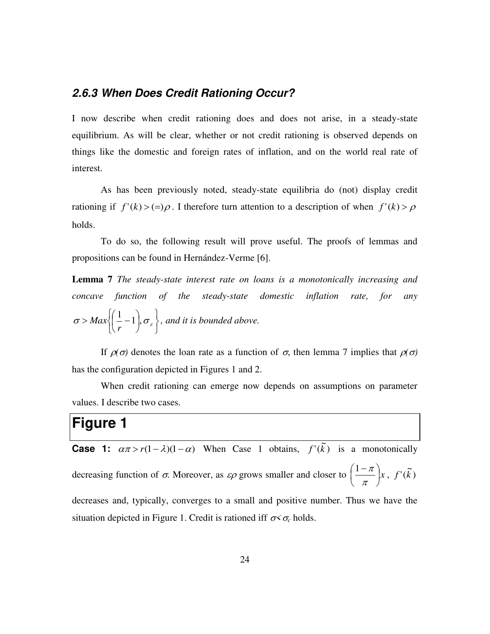#### *2.6.3 When Does Credit Rationing Occur?*

I now describe when credit rationing does and does not arise, in a steady-state equilibrium. As will be clear, whether or not credit rationing is observed depends on things like the domestic and foreign rates of inflation, and on the world real rate of interest.

As has been previously noted, steady-state equilibria do (not) display credit rationing if  $f'(k) > (=\rho)$ . I therefore turn attention to a description of when  $f'(k) > \rho$ holds.

To do so, the following result will prove useful. The proofs of lemmas and propositions can be found in Hernández-Verme [6].

**Lemma 7** *The steady-state interest rate on loans is a monotonically increasing and concave function of the steady-state domestic inflation rate, for any*  J  $\left\{ \right\}$  $\mathcal{L}$  $\overline{\mathcal{L}}$ ┤  $\left\lceil$  $\overline{\phantom{a}}$ J  $\left(\frac{1}{-1}\right)$  $\setminus$  $\sigma >$ Max $\left\{ \begin{array}{c} 1 \\ -1 \end{array} \right\}$ ,  $\sigma_{\epsilon}$ *r*  $Max_{1}$   $\vert$   $\vert$   $-$  1  $\vert$ ,  $\sigma_{\varepsilon}$   $\rangle$ , and it is bounded above.

If  $\rho(\sigma)$  denotes the loan rate as a function of  $\sigma$ , then lemma 7 implies that  $\rho(\sigma)$ has the configuration depicted in Figures 1 and 2.

When credit rationing can emerge now depends on assumptions on parameter values. I describe two cases.

## **Figure 1**

**Case 1:**  $\alpha \pi > r(1-\lambda)(1-\alpha)$  When Case 1 obtains,  $f'(\tilde{k})$  is a monotonically decreasing function of  $\sigma$ . Moreover, as  $\varepsilon \rho$  grows smaller and closer to  $\left| \frac{\partial u}{\partial x} \right|$  x J  $\left(\frac{1-\pi}{\pi}\right)$  $\setminus$  $\left(1-\right)$ π  $\frac{1-\pi}{x}$   $x, f'(\tilde{k})$ decreases and, typically, converges to a small and positive number. Thus we have the

situation depicted in Figure 1. Credit is rationed iff  $\sigma \leq \sigma_c$  holds.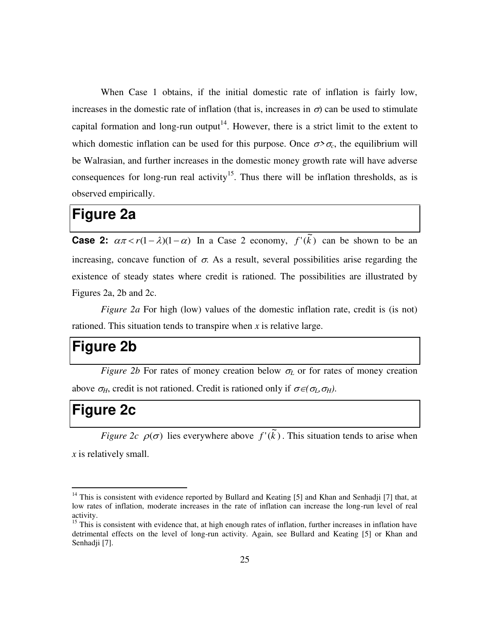When Case 1 obtains, if the initial domestic rate of inflation is fairly low, increases in the domestic rate of inflation (that is, increases in  $\sigma$ ) can be used to stimulate capital formation and long-run output<sup>14</sup>. However, there is a strict limit to the extent to which domestic inflation can be used for this purpose. Once  $\sigma$   $\sigma_c$ , the equilibrium will be Walrasian, and further increases in the domestic money growth rate will have adverse consequences for long-run real activity<sup>15</sup>. Thus there will be inflation thresholds, as is observed empirically.

## **Figure 2a**

**Case 2:**  $\alpha \pi \lt r(1-\lambda)(1-\alpha)$  In a Case 2 economy,  $f'(\tilde{k})$  can be shown to be an increasing, concave function of  $\sigma$ . As a result, several possibilities arise regarding the existence of steady states where credit is rationed. The possibilities are illustrated by Figures 2a, 2b and 2c.

*Figure 2a* For high (low) values of the domestic inflation rate, credit is (is not) rationed. This situation tends to transpire when *x* is relative large.

## **Figure 2b**

*Figure 2b* For rates of money creation below  $\sigma_L$  or for rates of money creation above  $\sigma_H$ , credit is not rationed. Credit is rationed only if  $\sigma \in (\sigma_I, \sigma_H)$ .

## **Figure 2c**

 $\overline{a}$ 

*Figure 2c*  $\rho(\sigma)$  lies everywhere above  $f'(\tilde{k})$ . This situation tends to arise when *x* is relatively small.

<sup>&</sup>lt;sup>14</sup> This is consistent with evidence reported by Bullard and Keating [5] and Khan and Senhadji [7] that, at low rates of inflation, moderate increases in the rate of inflation can increase the long-run level of real activity.

 $15$  This is consistent with evidence that, at high enough rates of inflation, further increases in inflation have detrimental effects on the level of long-run activity. Again, see Bullard and Keating [5] or Khan and Senhadji [7].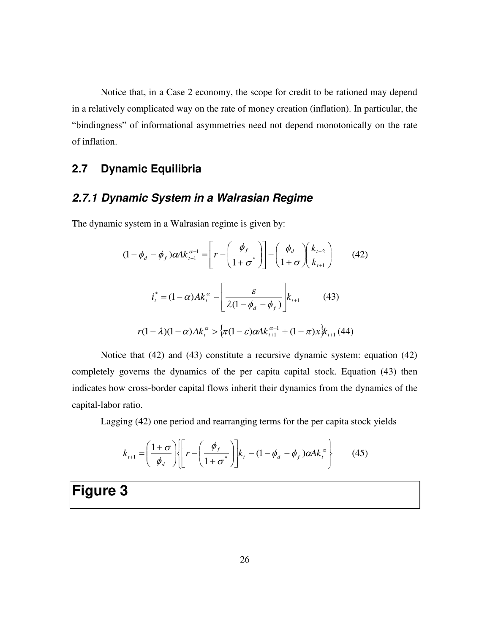Notice that, in a Case 2 economy, the scope for credit to be rationed may depend in a relatively complicated way on the rate of money creation (inflation). In particular, the "bindingness" of informational asymmetries need not depend monotonically on the rate of inflation.

### **2.7 Dynamic Equilibria**

#### *2.7.1 Dynamic System in a Walrasian Regime*

The dynamic system in a Walrasian regime is given by:

$$
(1 - \phi_d - \phi_f) \alpha A k_{t+1}^{\alpha - 1} = \left[ r - \left( \frac{\phi_f}{1 + \sigma^*} \right) \right] - \left( \frac{\phi_d}{1 + \sigma} \right) \left( \frac{k_{t+2}}{k_{t+1}} \right) \tag{42}
$$
  

$$
i_t^* = (1 - \alpha) A k_t^{\alpha} - \left[ \frac{\varepsilon}{\lambda (1 - \phi_d - \phi_f)} \right] k_{t+1} \tag{43}
$$
  

$$
r(1 - \lambda)(1 - \alpha) A k_t^{\alpha} > \left\{ \pi (1 - \varepsilon) \alpha A k_{t+1}^{\alpha - 1} + (1 - \pi) x \right\} k_{t+1} \tag{44}
$$

Notice that (42) and (43) constitute a recursive dynamic system: equation (42) completely governs the dynamics of the per capita capital stock. Equation (43) then indicates how cross-border capital flows inherit their dynamics from the dynamics of the capital-labor ratio.

Lagging (42) one period and rearranging terms for the per capita stock yields

$$
k_{t+1} = \left(\frac{1+\sigma}{\phi_d}\right) \left\{ \left[ r - \left(\frac{\phi_f}{1+\sigma^*}\right) \right] k_t - (1-\phi_d - \phi_f) \alpha A k_t^{\alpha} \right\} \tag{45}
$$

**Figure 3**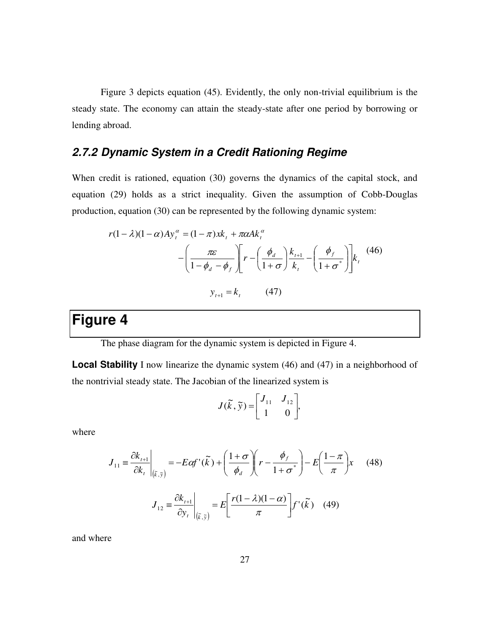Figure 3 depicts equation (45). Evidently, the only non-trivial equilibrium is the steady state. The economy can attain the steady-state after one period by borrowing or lending abroad.

### *2.7.2 Dynamic System in a Credit Rationing Regime*

When credit is rationed, equation (30) governs the dynamics of the capital stock, and equation (29) holds as a strict inequality. Given the assumption of Cobb-Douglas production, equation (30) can be represented by the following dynamic system:

$$
r(1 - \lambda)(1 - \alpha)Ay_t^{\alpha} = (1 - \pi)xk_t + \pi\alpha Ak_t^{\alpha}
$$

$$
-\left(\frac{\pi\varepsilon}{1 - \phi_d - \phi_f}\right)\left[r - \left(\frac{\phi_d}{1 + \sigma}\right)\frac{k_{t+1}}{k_t} - \left(\frac{\phi_f}{1 + \sigma^*}\right)\right]k_t
$$
(46)
$$
y_{t+1} = k_t
$$
(47)

# **Figure 4**

The phase diagram for the dynamic system is depicted in Figure 4.

**Local Stability** I now linearize the dynamic system (46) and (47) in a neighborhood of the nontrivial steady state. The Jacobian of the linearized system is

$$
J(\widetilde{k}, \widetilde{y}) = \begin{bmatrix} J_{11} & J_{12} \\ 1 & 0 \end{bmatrix},
$$

where

$$
J_{11} = \frac{\partial k_{t+1}}{\partial k_t}\Big|_{(\tilde{k}, \tilde{y})} = -E\varphi f'(\tilde{k}) + \left(\frac{1+\sigma}{\phi_d}\right)\left(r - \frac{\phi_f}{1+\sigma^*}\right) - E\left(\frac{1-\pi}{\pi}\right)x \quad (48)
$$

$$
J_{12} = \frac{\partial k_{t+1}}{\partial y_t}\Big|_{(\tilde{k}, \tilde{y})} = E\left[\frac{r(1-\lambda)(1-\alpha)}{\pi}\right]f'(\tilde{k}) \quad (49)
$$

and where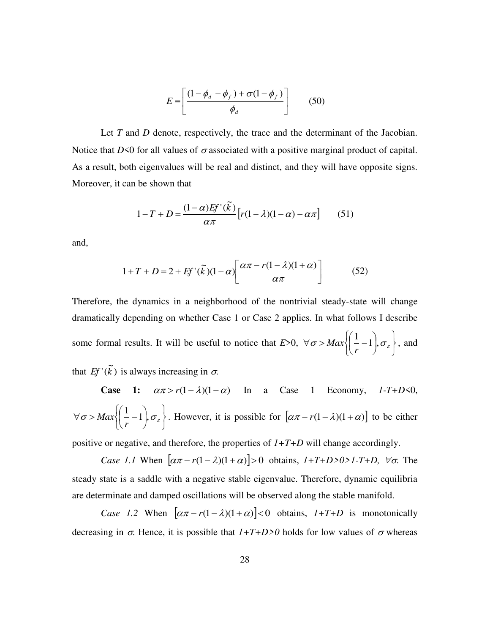$$
E = \left[ \frac{(1 - \phi_d - \phi_f) + \sigma(1 - \phi_f)}{\phi_d} \right]
$$
 (50)

Let *T* and *D* denote, respectively, the trace and the determinant of the Jacobian. Notice that  $D \le 0$  for all values of  $\sigma$  associated with a positive marginal product of capital. As a result, both eigenvalues will be real and distinct, and they will have opposite signs. Moreover, it can be shown that

$$
1 - T + D = \frac{(1 - \alpha)Ef'(\tilde{k})}{\alpha \pi} \left[ r(1 - \lambda)(1 - \alpha) - \alpha \pi \right] \tag{51}
$$

and,

$$
1 + T + D = 2 + Ef'(\tilde{k})(1 - \alpha) \left[ \frac{\alpha \pi - r(1 - \lambda)(1 + \alpha)}{\alpha \pi} \right]
$$
 (52)

Therefore, the dynamics in a neighborhood of the nontrivial steady-state will change dramatically depending on whether Case 1 or Case 2 applies. In what follows I describe some formal results. It will be useful to notice that *E*>0, J  $\left\{ \right\}$  $\mathbf{I}$  $\overline{\mathcal{L}}$ ┤  $\left\lceil$  $\overline{\phantom{a}}$ J  $\left(\frac{1}{-1}\right)$  $\setminus$  $\forall \sigma > Max \bigg\{ \bigg( \frac{1}{-} - 1 \bigg), \sigma_{\varepsilon}$ *r*  $\left| \frac{1}{n} - 1 \right|, \sigma_{\varepsilon}$ , and that  $Ef'(\tilde{k})$  is always increasing in  $\sigma$ .

**Case 1:**  $\alpha \pi > r(1-\lambda)(1-\alpha)$  In a Case 1 Economy,  $1 - T + D \le 0$ , J  $\left\{ \right\}$  $\mathcal{L}$  $\overline{\mathcal{L}}$ ┤  $\left\lceil$  $\overline{\phantom{a}}$ J  $\left(\frac{1}{-1}\right)$  $\setminus$  $\forall \sigma > Max \bigg\{ \bigg(1 - 1\bigg), \sigma_{\epsilon}$ *r*  $Max\left\{\left(\frac{1}{r}-1\right), \sigma_{\varepsilon}\right\}$ . However, it is possible for  $\left[\alpha\pi - r(1-\lambda)(1+\alpha)\right]$  to be either

positive or negative, and therefore, the properties of *1+T+D* will change accordingly.

*Case 1.1* When  $[\alpha \pi - r(1-\lambda)(1+\alpha)] > 0$  obtains,  $1+T+D>0>1-T+D$ ,  $\forall \sigma$ . The steady state is a saddle with a negative stable eigenvalue. Therefore, dynamic equilibria are determinate and damped oscillations will be observed along the stable manifold.

*Case 1.2* When  $[\alpha \pi - r(1-\lambda)(1+\alpha)] < 0$  obtains,  $1+T+D$  is monotonically decreasing in  $\sigma$ . Hence, it is possible that  $1+T+D>0$  holds for low values of  $\sigma$  whereas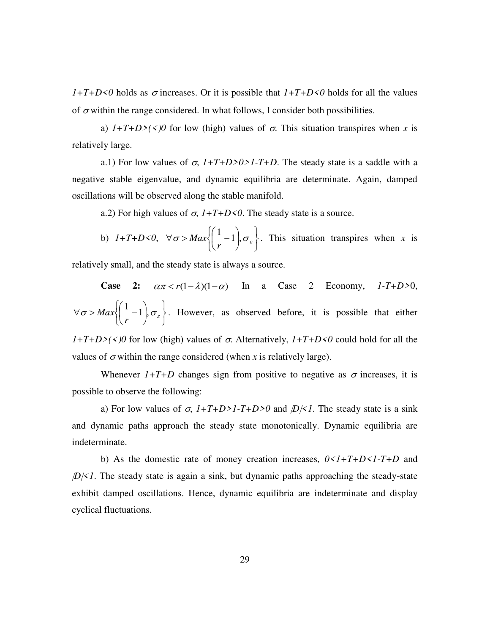$1+T+D<0$  holds as  $\sigma$  increases. Or it is possible that  $1+T+D<0$  holds for all the values of  $\sigma$  within the range considered. In what follows, I consider both possibilities.

a)  $1+T+D<sub>0</sub>(*0*)$  for low (high) values of  $\sigma$ . This situation transpires when *x* is relatively large.

a.1) For low values of  $\sigma$ ,  $1+T+D>0>1-T+D$ . The steady state is a saddle with a negative stable eigenvalue, and dynamic equilibria are determinate. Again, damped oscillations will be observed along the stable manifold.

a.2) For high values of  $\sigma$ ,  $1+T+D<0$ . The steady state is a source.

b) 
$$
1+T+D<0
$$
,  $\forall \sigma > Max\left\{\left(\frac{1}{r}-1\right), \sigma_{\varepsilon}\right\}$ . This situation transpires when x is

relatively small, and the steady state is always a source.

**Case 2:**  $\alpha \pi \langle r(1-\lambda)(1-\alpha) \rangle$  In a Case 2 Economy, 1-T+D>0, J  $\left\{ \right\}$  $\overline{1}$  $\overline{\mathcal{L}}$ )<br>1  $\left\lceil \right\rceil$  $\overline{\phantom{a}}$ J  $\left(\frac{1}{-1}\right)$  $\setminus$  $\forall \sigma > Max \Big\{ \Big( \frac{1}{-} - 1 \Big), \sigma_{\varepsilon}$ *r*  $Max\left\{\left[--1\right], \sigma_{\varepsilon}\right\}$ . However, as observed before, it is possible that either

 $1+T+D<sub>0</sub>(<sub>0</sub>)$  for low (high) values of  $\sigma$ . Alternatively,  $1+T+D<sub>0</sub>$  could hold for all the values of  $\sigma$  within the range considered (when *x* is relatively large).

Whenever  $1+T+D$  changes sign from positive to negative as  $\sigma$  increases, it is possible to observe the following:

a) For low values of  $\sigma$ ,  $1+T+D>1-T+D>0$  and  $D/1$ . The steady state is a sink and dynamic paths approach the steady state monotonically. Dynamic equilibria are indeterminate.

b) As the domestic rate of money creation increases, *0<1+T+D<1-T+D* and  $D \times 1$ . The steady state is again a sink, but dynamic paths approaching the steady-state exhibit damped oscillations. Hence, dynamic equilibria are indeterminate and display cyclical fluctuations.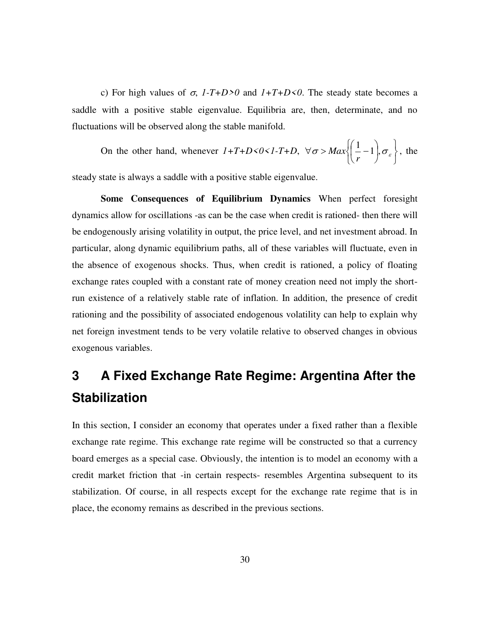c) For high values of  $\sigma$ ,  $1-T+D>0$  and  $1+T+D<0$ . The steady state becomes a saddle with a positive stable eigenvalue. Equilibria are, then, determinate, and no fluctuations will be observed along the stable manifold.

On the other hand, whenever *1+T+D<0<1-T+D*,  $\int$  $\left\{ \right\}$  $\mathbf{I}$  $\overline{\mathcal{L}}$ ╎  $\left\lceil \right\rceil$  $\overline{\phantom{a}}$ J  $\left(\frac{1}{-1}\right)$  $\setminus$  $\forall \sigma > Max \Big\{ \Big( \frac{1}{-} - 1 \Big), \sigma_{\varepsilon}$ *r*  $\left| \frac{1}{\epsilon} - 1 \right|, \sigma_{\epsilon}$ , the

steady state is always a saddle with a positive stable eigenvalue.

**Some Consequences of Equilibrium Dynamics** When perfect foresight dynamics allow for oscillations -as can be the case when credit is rationed- then there will be endogenously arising volatility in output, the price level, and net investment abroad. In particular, along dynamic equilibrium paths, all of these variables will fluctuate, even in the absence of exogenous shocks. Thus, when credit is rationed, a policy of floating exchange rates coupled with a constant rate of money creation need not imply the shortrun existence of a relatively stable rate of inflation. In addition, the presence of credit rationing and the possibility of associated endogenous volatility can help to explain why net foreign investment tends to be very volatile relative to observed changes in obvious exogenous variables.

# **3 A Fixed Exchange Rate Regime: Argentina After the Stabilization**

In this section, I consider an economy that operates under a fixed rather than a flexible exchange rate regime. This exchange rate regime will be constructed so that a currency board emerges as a special case. Obviously, the intention is to model an economy with a credit market friction that -in certain respects- resembles Argentina subsequent to its stabilization. Of course, in all respects except for the exchange rate regime that is in place, the economy remains as described in the previous sections.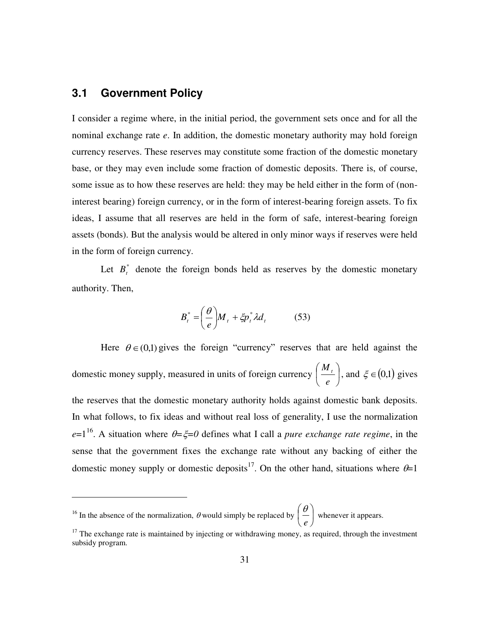#### **3.1 Government Policy**

 $\overline{a}$ 

I consider a regime where, in the initial period, the government sets once and for all the nominal exchange rate *e*. In addition, the domestic monetary authority may hold foreign currency reserves. These reserves may constitute some fraction of the domestic monetary base, or they may even include some fraction of domestic deposits. There is, of course, some issue as to how these reserves are held: they may be held either in the form of (noninterest bearing) foreign currency, or in the form of interest-bearing foreign assets. To fix ideas, I assume that all reserves are held in the form of safe, interest-bearing foreign assets (bonds). But the analysis would be altered in only minor ways if reserves were held in the form of foreign currency.

Let  $B_t^*$  denote the foreign bonds held as reserves by the domestic monetary authority. Then,

$$
B_t^* = \left(\frac{\theta}{e}\right) M_t + \zeta p_t^* \lambda d_t \tag{53}
$$

Here  $\theta \in (0,1)$  gives the foreign "currency" reserves that are held against the domestic money supply, measured in units of foreign currency  $\left| \frac{m_t}{m_t} \right|$ J  $\left(\frac{\boldsymbol{M}}{t}\right)$  $\setminus$ ſ *e*  $\left(\frac{M_t}{M}\right)$ , and  $\xi \in (0,1)$  gives the reserves that the domestic monetary authority holds against domestic bank deposits. In what follows, to fix ideas and without real loss of generality, I use the normalization  $e=1^{16}$ . A situation where  $\theta=\xi=0$  defines what I call a *pure exchange rate regime*, in the sense that the government fixes the exchange rate without any backing of either the

domestic money supply or domestic deposits<sup>17</sup>. On the other hand, situations where  $\theta=1$ 

<sup>&</sup>lt;sup>16</sup> In the absence of the normalization,  $\theta$  would simply be replaced by  $\left| \begin{array}{c} \sim \end{array} \right|$ J  $\left(\frac{\theta}{\theta}\right)$  $\setminus$ ſ *e*  $\theta$ whenever it appears.

 $17$  The exchange rate is maintained by injecting or withdrawing money, as required, through the investment subsidy program.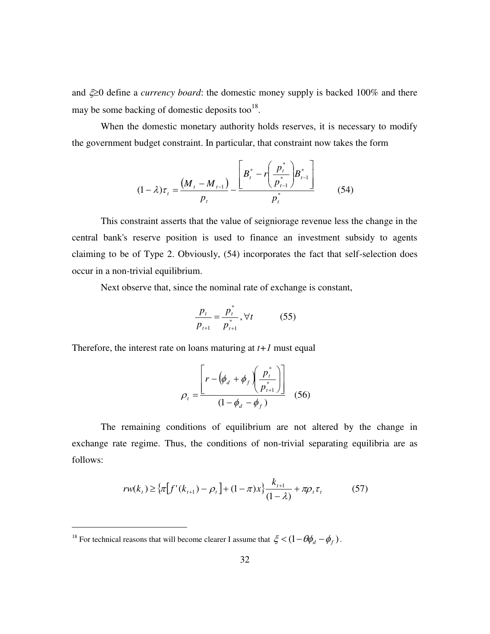and  $\zeta \geq 0$  define a *currency board*: the domestic money supply is backed 100% and there may be some backing of domestic deposits too $^{18}$ .

When the domestic monetary authority holds reserves, it is necessary to modify the government budget constraint. In particular, that constraint now takes the form

$$
(1 - \lambda)\tau_{t} = \frac{(M_{t} - M_{t-1})}{p_{t}} - \frac{\left[B_{t}^{*} - r\left(\frac{p_{t}^{*}}{p_{t-1}^{*}}\right)B_{t-1}^{*}\right]}{p_{t}^{*}}
$$
(54)

This constraint asserts that the value of seigniorage revenue less the change in the central bank's reserve position is used to finance an investment subsidy to agents claiming to be of Type 2. Obviously, (54) incorporates the fact that self-selection does occur in a non-trivial equilibrium.

Next observe that, since the nominal rate of exchange is constant,

$$
\frac{p_t}{p_{t+1}} = \frac{p_t^*}{p_{t+1}^*}, \forall t \tag{55}
$$

Therefore, the interest rate on loans maturing at *t+1* must equal

$$
\rho_{t} = \frac{\left[r - \left(\phi_{d} + \phi_{f}\left(\frac{p_{t}^{*}}{p_{t+1}^{*}}\right)\right]}{\left(1 - \phi_{d} - \phi_{f}\right)} \tag{56}
$$

The remaining conditions of equilibrium are not altered by the change in exchange rate regime. Thus, the conditions of non-trivial separating equilibria are as follows:

$$
rw(kt) \ge \{\pi[f'(kt+1) - \rhot] + (1 - \pi)x\} \frac{k_{t+1}}{(1 - \lambda)} + \pi \rho_t \tau_t
$$
 (57)

 $\overline{a}$ 

<sup>&</sup>lt;sup>18</sup> For technical reasons that will become clearer I assume that  $\zeta < (1 - \theta \phi_d - \phi_f)$ .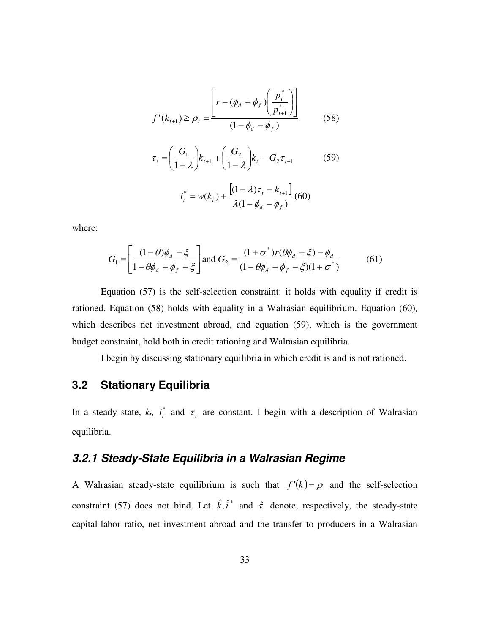$$
f'(k_{t+1}) \ge \rho_t = \frac{\left[r - (\phi_d + \phi_f) \left(\frac{p_t^*}{p_{t+1}^*}\right)\right]}{(1 - \phi_d - \phi_f)}
$$
(58)

$$
\tau_{t} = \left(\frac{G_{1}}{1-\lambda}\right) k_{t+1} + \left(\frac{G_{2}}{1-\lambda}\right) k_{t} - G_{2} \tau_{t-1}
$$
 (59)

$$
i_t^* = w(k_t) + \frac{[(1 - \lambda)\tau_t - k_{t+1}]}{\lambda(1 - \phi_d - \phi_f)}
$$
(60)

where:

$$
G_1 \equiv \left[ \frac{(1-\theta)\phi_d - \xi}{1-\theta\phi_d - \phi_f - \xi} \right] \text{and } G_2 \equiv \frac{(1+\sigma^*)r(\theta\phi_d + \xi) - \phi_d}{(1-\theta\phi_d - \phi_f - \xi)(1+\sigma^*)}
$$
(61)

Equation (57) is the self-selection constraint: it holds with equality if credit is rationed. Equation (58) holds with equality in a Walrasian equilibrium. Equation (60), which describes net investment abroad, and equation (59), which is the government budget constraint, hold both in credit rationing and Walrasian equilibria.

I begin by discussing stationary equilibria in which credit is and is not rationed.

### **3.2 Stationary Equilibria**

In a steady state,  $k_t$ ,  $i_t^*$  $i_t^*$  and  $\tau_t$  are constant. I begin with a description of Walrasian equilibria.

#### *3.2.1 Steady-State Equilibria in a Walrasian Regime*

A Walrasian steady-state equilibrium is such that  $f'(k) = \rho$  and the self-selection constraint (57) does not bind. Let  $\hat{k}, \hat{i}^*$  and  $\hat{\tau}$  denote, respectively, the steady-state capital-labor ratio, net investment abroad and the transfer to producers in a Walrasian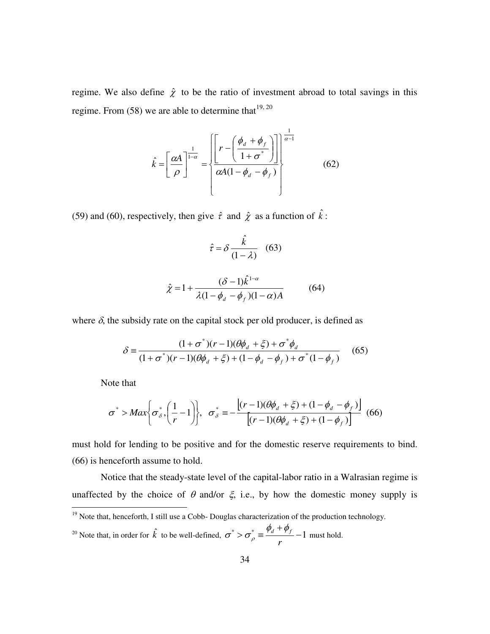regime. We also define  $\hat{\chi}$  to be the ratio of investment abroad to total savings in this regime. From  $(58)$  we are able to determine that  $19, 20$ 

$$
\hat{k} = \left[\frac{\alpha A}{\rho}\right]^{\frac{1}{1-\alpha}} = \left\{\frac{\left[r - \left(\frac{\phi_d + \phi_f}{1 + \sigma^*}\right)\right]}{\alpha A (1 - \phi_d - \phi_f)}\right\}^{\frac{1}{\alpha - 1}}
$$
(62)

(59) and (60), respectively, then give  $\hat{\tau}$  and  $\hat{\chi}$  as a function of  $\hat{k}$ :

$$
\hat{\tau} = \delta \frac{\hat{k}}{(1 - \lambda)} \quad (63)
$$

$$
\hat{\chi} = 1 + \frac{(\delta - 1)\hat{k}^{1-\alpha}}{\lambda(1 - \phi_d - \phi_f)(1 - \alpha)A}
$$
(64)

where  $\delta$ , the subsidy rate on the capital stock per old producer, is defined as

$$
\delta = \frac{(1+\sigma^*)(r-1)(\theta\phi_d + \xi) + \sigma^*\phi_d}{(1+\sigma^*)(r-1)(\theta\phi_d + \xi) + (1-\phi_d - \phi_f) + \sigma^*(1-\phi_f)}
$$
(65)

Note that

 $\overline{a}$ 

$$
\sigma^* > Max \bigg\{\sigma^*_\delta, \bigg(\frac{1}{r} - 1\bigg)\bigg\}, \quad \sigma^*_\delta \equiv -\frac{\big[(r-1)(\theta\phi_d + \xi) + (1 - \phi_d - \phi_f)\big]}{\big[(r-1)(\theta\phi_d + \xi) + (1 - \phi_f)\big]}\tag{66}
$$

must hold for lending to be positive and for the domestic reserve requirements to bind. (66) is henceforth assume to hold.

Notice that the steady-state level of the capital-labor ratio in a Walrasian regime is unaffected by the choice of  $\theta$  and/or  $\xi$ , i.e., by how the domestic money supply is

<sup>20</sup> Note that, in order for  $\hat{k}$  to be well-defined,  $\sigma^* > \sigma^*_{\rho} \equiv \frac{\psi_d + \psi_f}{\sigma} - 1$  $\ddot{}$  $>\sigma$  = *r*  $\phi_d + \phi_f$  $\sigma > \sigma_{\rho} \equiv \frac{m_{\rho} m_{\rho}}{m_{\rho}} - 1$  must hold.

 $19$  Note that, henceforth, I still use a Cobb- Douglas characterization of the production technology.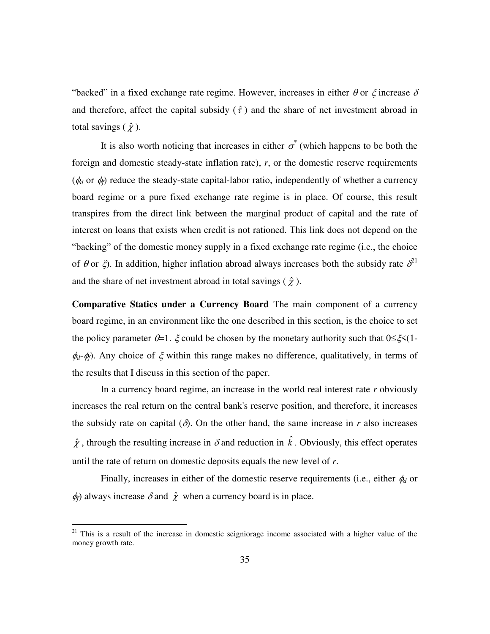"backed" in a fixed exchange rate regime. However, increases in either  $\theta$  or  $\xi$  increase  $\delta$ and therefore, affect the capital subsidy  $(\hat{\tau})$  and the share of net investment abroad in total savings ( $\hat{\chi}$ ).

It is also worth noticing that increases in either  $\sigma^*$  (which happens to be both the foreign and domestic steady-state inflation rate), *r*, or the domestic reserve requirements  $(\phi_d \text{ or } \phi_f)$  reduce the steady-state capital-labor ratio, independently of whether a currency board regime or a pure fixed exchange rate regime is in place. Of course, this result transpires from the direct link between the marginal product of capital and the rate of interest on loans that exists when credit is not rationed. This link does not depend on the "backing" of the domestic money supply in a fixed exchange rate regime (i.e., the choice of  $\theta$  or  $\xi$ ). In addition, higher inflation abroad always increases both the subsidy rate  $\delta^{21}$ and the share of net investment abroad in total savings ( $\hat{\chi}$ ).

**Comparative Statics under a Currency Board** The main component of a currency board regime, in an environment like the one described in this section, is the choice to set the policy parameter  $\theta=1$ .  $\xi$  could be chosen by the monetary authority such that  $0\leq \xi \leq (1-\xi)$  $\phi_d$ - $\phi_f$ ). Any choice of  $\xi$  within this range makes no difference, qualitatively, in terms of the results that I discuss in this section of the paper.

In a currency board regime, an increase in the world real interest rate *r* obviously increases the real return on the central bank's reserve position, and therefore, it increases the subsidy rate on capital  $(\delta)$ . On the other hand, the same increase in *r* also increases  $\hat{\chi}$ , through the resulting increase in  $\delta$  and reduction in  $\hat{k}$ . Obviously, this effect operates until the rate of return on domestic deposits equals the new level of *r*.

Finally, increases in either of the domestic reserve requirements (i.e., either  $\phi_d$  or  $\phi_f$ ) always increase  $\delta$  and  $\hat{\chi}$  when a currency board is in place.

 $\overline{a}$ 

<sup>&</sup>lt;sup>21</sup> This is a result of the increase in domestic seigniorage income associated with a higher value of the money growth rate.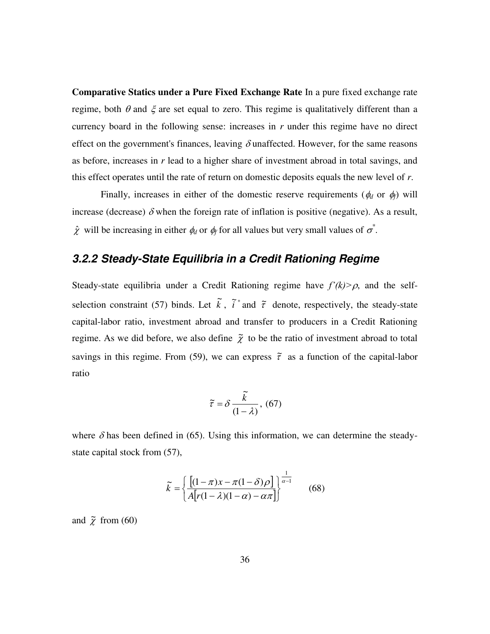**Comparative Statics under a Pure Fixed Exchange Rate** In a pure fixed exchange rate regime, both  $\theta$  and  $\xi$  are set equal to zero. This regime is qualitatively different than a currency board in the following sense: increases in *r* under this regime have no direct effect on the government's finances, leaving  $\delta$  unaffected. However, for the same reasons as before, increases in *r* lead to a higher share of investment abroad in total savings, and this effect operates until the rate of return on domestic deposits equals the new level of *r*.

Finally, increases in either of the domestic reserve requirements ( $\phi_d$  or  $\phi_f$ ) will increase (decrease)  $\delta$  when the foreign rate of inflation is positive (negative). As a result,  $\hat{\chi}$  will be increasing in either  $\phi_d$  or  $\phi_f$  for all values but very small values of  $\sigma^*$ .

### *3.2.2 Steady-State Equilibria in a Credit Rationing Regime*

Steady-state equilibria under a Credit Rationing regime have  $f'(k) > \rho$ , and the selfselection constraint (57) binds. Let  $\tilde{k}$ ,  $\tilde{i}$  and  $\tilde{\tau}$  denote, respectively, the steady-state capital-labor ratio, investment abroad and transfer to producers in a Credit Rationing regime. As we did before, we also define  $\tilde{\chi}$  to be the ratio of investment abroad to total savings in this regime. From (59), we can express  $\tilde{\tau}$  as a function of the capital-labor ratio

$$
\widetilde{\tau} = \delta \frac{\widetilde{k}}{(1 - \lambda)}, \ (67)
$$

where  $\delta$  has been defined in (65). Using this information, we can determine the steadystate capital stock from (57),

$$
\widetilde{k} = \left\{ \frac{\left[ (1-\pi)x - \pi(1-\delta)\rho \right]}{A[r(1-\lambda)(1-\alpha) - \alpha\pi]} \right\}^{\frac{1}{\alpha-1}}
$$
(68)

and  $\tilde{\chi}$  from (60)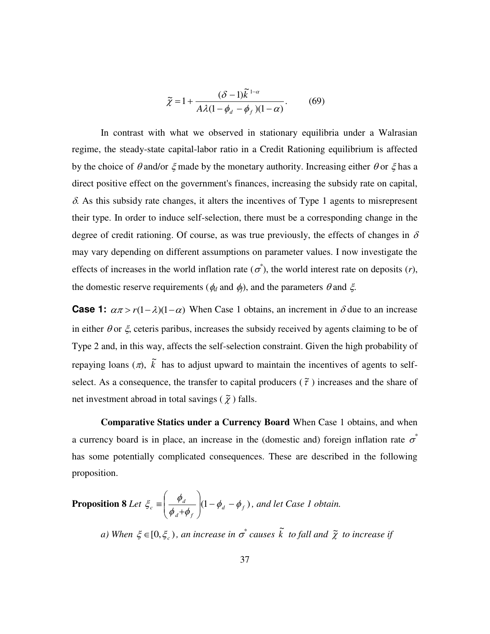$$
\widetilde{\chi} = 1 + \frac{(\delta - 1)\widetilde{k}^{1-\alpha}}{A\lambda(1 - \phi_d - \phi_f)(1-\alpha)}.
$$
 (69)

In contrast with what we observed in stationary equilibria under a Walrasian regime, the steady-state capital-labor ratio in a Credit Rationing equilibrium is affected by the choice of  $\theta$  and/or  $\xi$  made by the monetary authority. Increasing either  $\theta$  or  $\xi$  has a direct positive effect on the government's finances, increasing the subsidy rate on capital,  $\delta$ . As this subsidy rate changes, it alters the incentives of Type 1 agents to misrepresent their type. In order to induce self-selection, there must be a corresponding change in the degree of credit rationing. Of course, as was true previously, the effects of changes in  $\delta$ may vary depending on different assumptions on parameter values. I now investigate the effects of increases in the world inflation rate  $(\sigma^*)$ , the world interest rate on deposits  $(r)$ , the domestic reserve requirements ( $\phi_d$  and  $\phi_f$ ), and the parameters  $\theta$  and  $\xi$ .

**Case 1:**  $\alpha \pi > r(1-\lambda)(1-\alpha)$  When Case 1 obtains, an increment in  $\delta$  due to an increase in either  $\theta$  or  $\xi$ , ceteris paribus, increases the subsidy received by agents claiming to be of Type 2 and, in this way, affects the self-selection constraint. Given the high probability of repaying loans  $(\pi)$ ,  $\tilde{k}$  has to adjust upward to maintain the incentives of agents to selfselect. As a consequence, the transfer to capital producers  $(\tilde{\tau})$  increases and the share of net investment abroad in total savings  $(\tilde{\chi})$  falls.

**Comparative Statics under a Currency Board** When Case 1 obtains, and when a currency board is in place, an increase in the (domestic and) foreign inflation rate  $\sigma^*$ has some potentially complicated consequences. These are described in the following proposition.

**Proposition 8** Let 
$$
\xi_c \equiv \left(\frac{\phi_d}{\phi_d + \phi_f}\right) (1 - \phi_d - \phi_f)
$$
, and let Case 1 obtain.

*a*) When  $\xi \in [0, \xi_c)$ , an increase in  $\sigma^*$  causes  $\tilde{k}$  to fall and  $\tilde{\chi}$  to increase if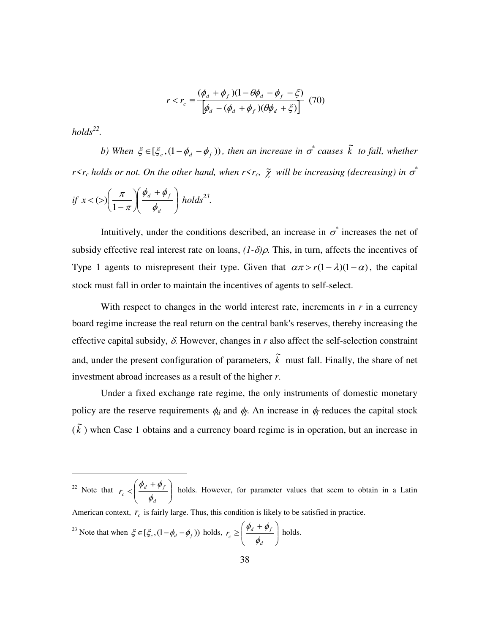$$
r < r_c \equiv \frac{(\phi_d + \phi_f)(1 - \theta \phi_d - \phi_f - \xi)}{[\phi_d - (\phi_d + \phi_f)(\theta \phi_d + \xi)]} \tag{70}
$$

*holds<sup>22</sup> .* 

 $\overline{a}$ 

*b*) When  $\xi \in [\xi_c, (1-\phi_d-\phi_f))$ , then an increase in  $\sigma^*$  causes  $\tilde{k}$  to fall, whether *r*<*r*<sub>c</sub> *holds or not. On the other hand, when*  $r$ *<<i>r*<sub>c</sub>,  $\tilde{\chi}$  *will be increasing (decreasing) in*  $\sigma^*$ 

$$
if \ x <(>) \bigg(\frac{\pi}{1-\pi}\bigg) \bigg(\frac{\phi_d+\phi_f}{\phi_d}\bigg) \ holds^{23}.
$$

Intuitively, under the conditions described, an increase in  $\sigma^*$  increases the net of subsidy effective real interest rate on loans,  $(1-\delta)\rho$ . This, in turn, affects the incentives of Type 1 agents to misrepresent their type. Given that  $\alpha \pi > r(1 - \lambda)(1 - \alpha)$ , the capital stock must fall in order to maintain the incentives of agents to self-select.

With respect to changes in the world interest rate, increments in  $r$  in a currency board regime increase the real return on the central bank's reserves, thereby increasing the effective capital subsidy,  $\delta$ . However, changes in  $r$  also affect the self-selection constraint and, under the present configuration of parameters,  $\tilde{k}$  must fall. Finally, the share of net investment abroad increases as a result of the higher *r*.

Under a fixed exchange rate regime, the only instruments of domestic monetary policy are the reserve requirements  $\phi_d$  and  $\phi_f$ . An increase in  $\phi_f$  reduces the capital stock  $(\tilde{k})$  when Case 1 obtains and a currency board regime is in operation, but an increase in

<sup>23</sup> Note that when  $\xi \in [\xi_c, (1-\phi_d-\phi_f))$  holds,  $r_c \ge \left| \frac{\phi_d + \phi_f}{\phi_f} \right|$ J  $\backslash$  $\overline{\phantom{a}}$  $\setminus$  $\geq \left(\frac{\phi_d +$ *d*  $d \times \varPsi_f$  $r_c$  $\phi$  $\left(\frac{\phi_d + \phi_f}{\phi_d}\right)$  holds.

<sup>&</sup>lt;sup>22</sup> Note that  $r_c < \left| \frac{\varphi_d + \varphi_f}{\phi} \right|$ J  $\backslash$  $\overline{\phantom{a}}$  $\setminus$  $\lt \left( \frac{\phi_d +$ *d d f c r*  $\phi$  $\left(\frac{\phi_d + \phi_f}{\phi_d + \phi_f}\right)$  holds. However, for parameter values that seem to obtain in a Latin

American context,  $r_c$  is fairly large. Thus, this condition is likely to be satisfied in practice.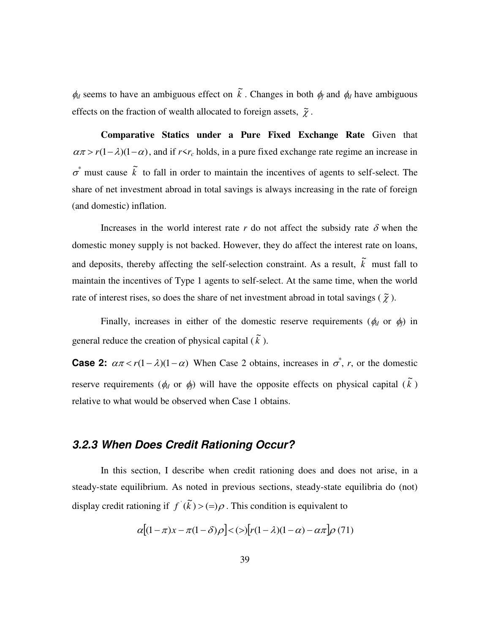$\phi_d$  seems to have an ambiguous effect on  $\tilde{k}$ . Changes in both  $\phi_f$  and  $\phi_d$  have ambiguous effects on the fraction of wealth allocated to foreign assets,  $\tilde{\chi}$ .

**Comparative Statics under a Pure Fixed Exchange Rate** Given that  $\alpha \pi > r(1-\lambda)(1-\alpha)$ , and if  $r \leq r_c$  holds, in a pure fixed exchange rate regime an increase in  $\sigma^*$  must cause  $\tilde{k}$  to fall in order to maintain the incentives of agents to self-select. The share of net investment abroad in total savings is always increasing in the rate of foreign (and domestic) inflation.

Increases in the world interest rate  $r$  do not affect the subsidy rate  $\delta$  when the domestic money supply is not backed. However, they do affect the interest rate on loans, and deposits, thereby affecting the self-selection constraint. As a result,  $\tilde{k}$  must fall to maintain the incentives of Type 1 agents to self-select. At the same time, when the world rate of interest rises, so does the share of net investment abroad in total savings  $(\tilde{\chi})$ .

Finally, increases in either of the domestic reserve requirements ( $\phi_d$  or  $\phi_f$ ) in general reduce the creation of physical capital  $(\tilde{k})$ .

**Case 2:**  $\alpha \pi \lt r(1-\lambda)(1-\alpha)$  When Case 2 obtains, increases in  $\sigma^*$ , r, or the domestic reserve requirements ( $\phi_d$  or  $\phi_f$ ) will have the opposite effects on physical capital ( $\tilde{k}$ ) relative to what would be observed when Case 1 obtains.

### *3.2.3 When Does Credit Rationing Occur?*

In this section, I describe when credit rationing does and does not arise, in a steady-state equilibrium. As noted in previous sections, steady-state equilibria do (not) display credit rationing if  $f'(\tilde{k}) > (=\rho)$ . This condition is equivalent to

$$
\alpha[(1-\pi)x-\pi(1-\delta)\rho] < (2)[r(1-\lambda)(1-\alpha)-\alpha\pi]\rho(71)
$$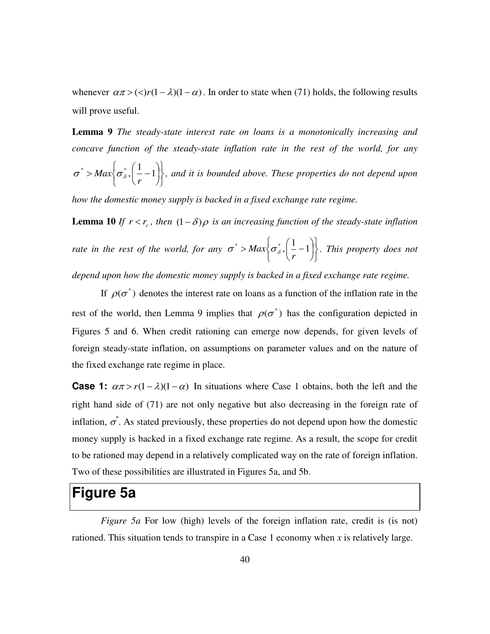whenever  $\alpha \pi > (\langle r(1-\lambda)(1-\alpha) \rangle)$ . In order to state when (71) holds, the following results will prove useful.

**Lemma 9** *The steady-state interest rate on loans is a monotonically increasing and concave function of the steady-state inflation rate in the rest of the world, for any*  J  $\left\{ \right\}$  $\mathcal{L}$  $\overline{\mathcal{L}}$ ┤  $\sqrt{ }$  $\overline{\phantom{a}}$ J  $\left(\frac{1}{-1}\right)$  $\setminus$ \* > Max $\frac{1}{\sigma_{\delta}}$ ,  $\left( \frac{1}{\sigma_{-1}} \right)$ *r*  $\sigma^*$  > Max $\{\sigma^*_\delta,\}$   $\{-1\}$ , and it is bounded above. These properties do not depend upon

*how the domestic money supply is backed in a fixed exchange rate regime.* 

**Lemma 10** *If*  $r < r_c$ , then  $(1 - \delta)\rho$  is an increasing function of the steady-state inflation *rate in the rest of the world, for any*  J  $\left\{ \right\}$  $\mathcal{L}$  $\overline{\mathcal{L}}$ ┤  $\sqrt{ }$  $\overline{\phantom{a}}$ J  $\left(\frac{1}{-1}\right)$  $\setminus$ \* > Max $\sigma_{\delta}^*$ ,  $\left(1-1\right)$ *r*  $\sigma^*$  > Max $\{\sigma^*_\delta, |-1|\}$ . This property does not *depend upon how the domestic money supply is backed in a fixed exchange rate regime.* 

If  $\rho(\sigma^*)$  denotes the interest rate on loans as a function of the inflation rate in the rest of the world, then Lemma 9 implies that  $\rho(\sigma^*)$  has the configuration depicted in Figures 5 and 6. When credit rationing can emerge now depends, for given levels of foreign steady-state inflation, on assumptions on parameter values and on the nature of the fixed exchange rate regime in place.

**Case 1:**  $\alpha \pi > r(1 - \lambda)(1 - \alpha)$  In situations where Case 1 obtains, both the left and the right hand side of (71) are not only negative but also decreasing in the foreign rate of inflation,  $\sigma^*$ . As stated previously, these properties do not depend upon how the domestic money supply is backed in a fixed exchange rate regime. As a result, the scope for credit to be rationed may depend in a relatively complicated way on the rate of foreign inflation. Two of these possibilities are illustrated in Figures 5a, and 5b.

## **Figure 5a**

*Figure 5a* For low (high) levels of the foreign inflation rate, credit is (is not) rationed. This situation tends to transpire in a Case 1 economy when *x* is relatively large.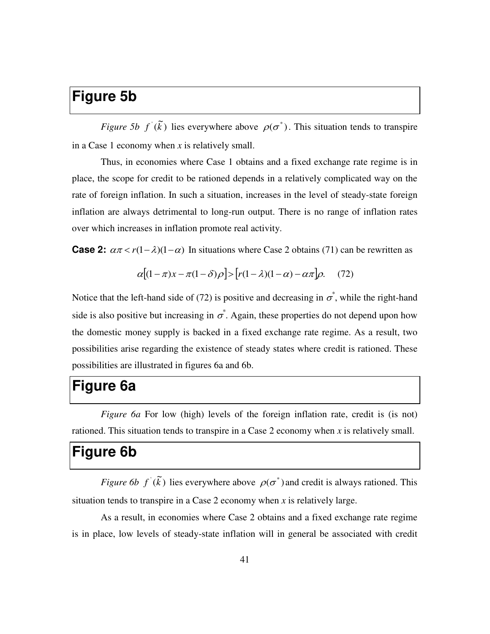# **Figure 5b**

*Figure 5b*  $f(\tilde{k})$  lies everywhere above  $\rho(\sigma^*)$ . This situation tends to transpire in a Case 1 economy when *x* is relatively small.

Thus, in economies where Case 1 obtains and a fixed exchange rate regime is in place, the scope for credit to be rationed depends in a relatively complicated way on the rate of foreign inflation. In such a situation, increases in the level of steady-state foreign inflation are always detrimental to long-run output. There is no range of inflation rates over which increases in inflation promote real activity.

**Case 2:**  $\alpha \pi \langle r(1-\lambda)(1-\alpha) \rangle$  In situations where Case 2 obtains (71) can be rewritten as

$$
\alpha[(1-\pi)x-\pi(1-\delta)\rho] > [r(1-\lambda)(1-\alpha)-\alpha\pi]\rho. \quad (72)
$$

Notice that the left-hand side of (72) is positive and decreasing in  $\sigma^*$ , while the right-hand side is also positive but increasing in  $\sigma^*$ . Again, these properties do not depend upon how the domestic money supply is backed in a fixed exchange rate regime. As a result, two possibilities arise regarding the existence of steady states where credit is rationed. These possibilities are illustrated in figures 6a and 6b.

# **Figure 6a**

*Figure 6a* For low (high) levels of the foreign inflation rate, credit is (is not) rationed. This situation tends to transpire in a Case 2 economy when *x* is relatively small.

# **Figure 6b**

*Figure 6b*  $f(\vec{k})$  lies everywhere above  $\rho(\sigma^*)$  and credit is always rationed. This situation tends to transpire in a Case 2 economy when *x* is relatively large.

As a result, in economies where Case 2 obtains and a fixed exchange rate regime is in place, low levels of steady-state inflation will in general be associated with credit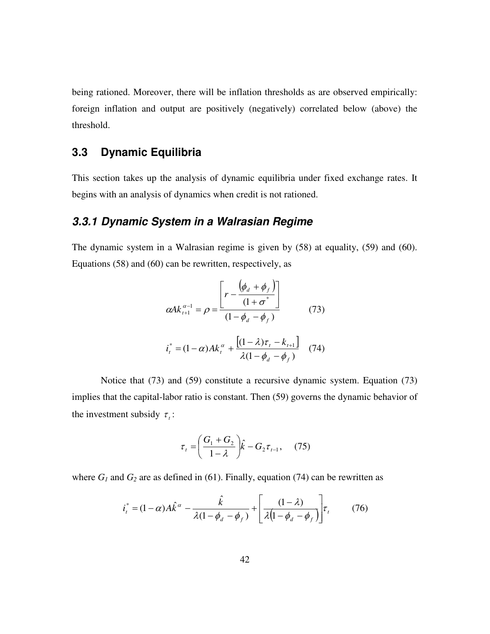being rationed. Moreover, there will be inflation thresholds as are observed empirically: foreign inflation and output are positively (negatively) correlated below (above) the threshold.

### **3.3 Dynamic Equilibria**

This section takes up the analysis of dynamic equilibria under fixed exchange rates. It begins with an analysis of dynamics when credit is not rationed.

### *3.3.1 Dynamic System in a Walrasian Regime*

The dynamic system in a Walrasian regime is given by (58) at equality, (59) and (60). Equations (58) and (60) can be rewritten, respectively, as

$$
\alpha A k_{t+1}^{\alpha-1} = \rho = \frac{\left[r - \frac{(\phi_d + \phi_f)}{(1 + \sigma^*)}\right]}{(1 - \phi_d - \phi_f)}
$$
(73)  

$$
i_t^* = (1 - \alpha) A k_t^{\alpha} + \frac{\left[(1 - \lambda)\tau_t - k_{t+1}\right]}{\lambda(1 - \phi_d - \phi_f)}
$$
(74)

Notice that (73) and (59) constitute a recursive dynamic system. Equation (73) implies that the capital-labor ratio is constant. Then (59) governs the dynamic behavior of the investment subsidy  $\tau_i$ :

$$
\tau_t = \left(\frac{G_1 + G_2}{1 - \lambda}\right)\hat{k} - G_2 \tau_{t-1},\qquad(75)
$$

where  $G_I$  and  $G_2$  are as defined in (61). Finally, equation (74) can be rewritten as

$$
i_t^* = (1 - \alpha)A\hat{k}^{\alpha} - \frac{\hat{k}}{\lambda(1 - \phi_d - \phi_f)} + \left[\frac{(1 - \lambda)}{\lambda(1 - \phi_d - \phi_f)}\right]\tau_t
$$
 (76)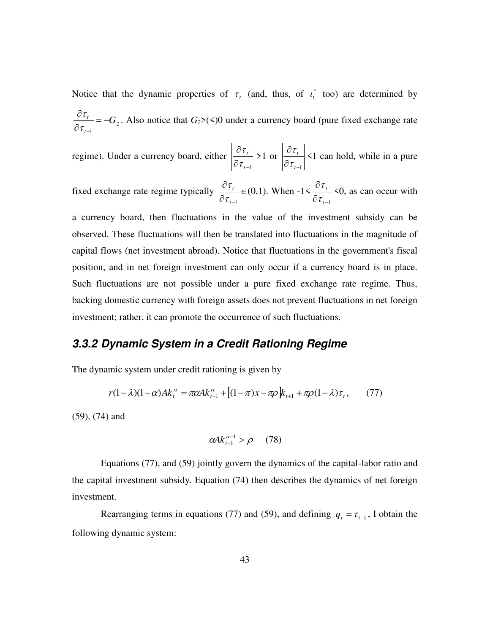Notice that the dynamic properties of  $\tau_t$  (and, thus, of  $i_t^*$  too) are determined by 2 1 *G t*  $\frac{t}{ } = \partial$  $\partial$  $\tau_{t-}$  $\frac{\tau_i}{\tau}$  = - $G_2$ . Also notice that  $G_2$ >(<)0 under a currency board (pure fixed exchange rate

regime). Under a currency board, either  $\partial \tau_{_{t-1}}$  $\partial$ *t t* τ  $\frac{\tau_t}{\tau}$  >1 or  $\partial \tau_{_{t-1}}$  $\partial$ *t t* τ  $\left| \frac{\tau_i}{\tau_i} \right|$  <1 can hold, while in a pure

fixed exchange rate regime typically  $\frac{C_i}{C_i} \in$  $\partial$  $\partial$  $t-1$ *t* τ  $\frac{\tau_t}{\tau} \in (0,1)$ . When -1<  $\partial \tau_{_{t-1}}$  $\partial$ *t t* τ  $\frac{\tau_t}{\tau}$  <0, as can occur with

a currency board, then fluctuations in the value of the investment subsidy can be observed. These fluctuations will then be translated into fluctuations in the magnitude of capital flows (net investment abroad). Notice that fluctuations in the government's fiscal position, and in net foreign investment can only occur if a currency board is in place. Such fluctuations are not possible under a pure fixed exchange rate regime. Thus, backing domestic currency with foreign assets does not prevent fluctuations in net foreign investment; rather, it can promote the occurrence of such fluctuations.

### *3.3.2 Dynamic System in a Credit Rationing Regime*

The dynamic system under credit rationing is given by

$$
r(1 - \lambda)(1 - \alpha)Ak_t^{\alpha} = \pi \alpha Ak_{t+1}^{\alpha} + [(1 - \pi)x - \pi \rho]k_{t+1} + \pi \rho(1 - \lambda)\tau_t, \qquad (77)
$$

(59), (74) and

$$
\alpha Ak_{t+1}^{\alpha-1} > \rho \qquad (78)
$$

Equations (77), and (59) jointly govern the dynamics of the capital-labor ratio and the capital investment subsidy. Equation (74) then describes the dynamics of net foreign investment.

Rearranging terms in equations (77) and (59), and defining  $q_t = \tau_{t-1}$ , I obtain the following dynamic system: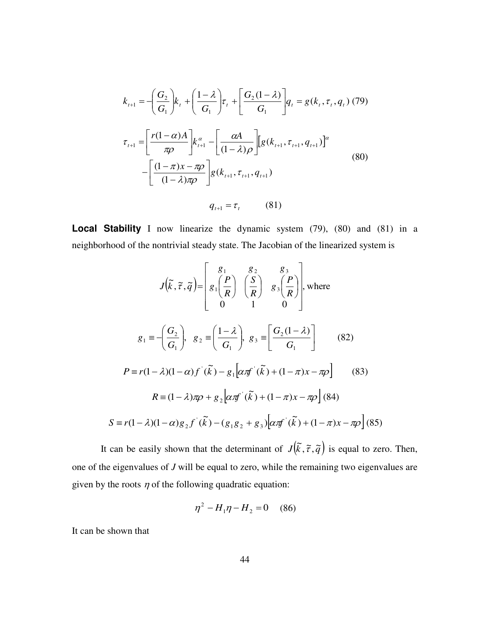$$
k_{t+1} = -\left(\frac{G_2}{G_1}\right)k_t + \left(\frac{1-\lambda}{G_1}\right)\tau_t + \left[\frac{G_2(1-\lambda)}{G_1}\right]q_t = g(k_t, \tau_t, q_t) (79)
$$
  

$$
\tau_{t+1} = \left[\frac{r(1-\alpha)A}{\pi\rho}\right]k_{t+1}^{\alpha} - \left[\frac{\alpha A}{(1-\lambda)\rho}\right]g(k_{t+1}, \tau_{t+1}, q_{t+1})]^{\alpha}
$$
  

$$
-\left[\frac{(1-\pi)x - \pi\rho}{(1-\lambda)\pi\rho}\right]g(k_{t+1}, \tau_{t+1}, q_{t+1})
$$
  

$$
q_{t+1} = \tau_t
$$
 (81)

**Local Stability** I now linearize the dynamic system (79), (80) and (81) in a neighborhood of the nontrivial steady state. The Jacobian of the linearized system is

$$
J(\tilde{k}, \tilde{\tau}, \tilde{q}) = \begin{bmatrix} g_1 & g_2 & g_3 \\ g_1 \left(\frac{P}{R}\right) & \left(\frac{S}{R}\right) & g_3 \left(\frac{P}{R}\right) \\ 0 & 1 & 0 \end{bmatrix}, \text{ where}
$$
  
\n
$$
g_1 = -\left(\frac{G_2}{G_1}\right), \quad g_2 = \left(\frac{1-\lambda}{G_1}\right), \quad g_3 = \left[\frac{G_2(1-\lambda)}{G_1}\right] \quad (82)
$$
  
\n
$$
P = r(1-\lambda)(1-\alpha)f'(\tilde{k}) - g_1 \left[\alpha \pi f'(\tilde{k}) + (1-\pi)x - \pi \rho\right] \quad (83)
$$
  
\n
$$
R = (1-\lambda)\pi \rho + g_2 \left[\alpha \pi f'(\tilde{k}) + (1-\pi)x - \pi \rho\right] \quad (84)
$$
  
\n
$$
S = r(1-\lambda)(1-\alpha)g_2 f'(\tilde{k}) - (g_1 g_2 + g_3) \left[\alpha \pi f'(\tilde{k}) + (1-\pi)x - \pi \rho\right] \quad (85)
$$

It can be easily shown that the determinant of  $J(\tilde{k}, \tilde{\tau}, \tilde{q})$  is equal to zero. Then, one of the eigenvalues of *J* will be equal to zero, while the remaining two eigenvalues are given by the roots  $\eta$  of the following quadratic equation:

$$
\eta^2 - H_1 \eta - H_2 = 0 \quad (86)
$$

It can be shown that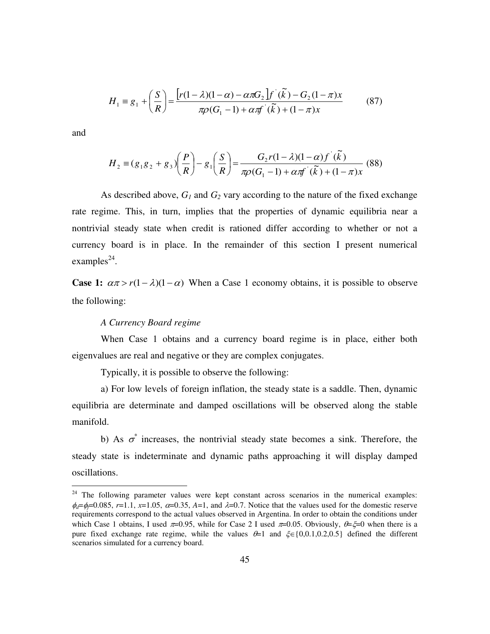$$
H_1 = g_1 + \left(\frac{S}{R}\right) = \frac{\left[r(1-\lambda)(1-\alpha) - \alpha\pi G_2\right]f'(\tilde{k}) - G_2(1-\pi)x}{\pi\rho(G_1 - 1) + \alpha\pi'(\tilde{k}) + (1-\pi)x}
$$
(87)

and

 $\overline{a}$ 

$$
H_2 = (g_1 g_2 + g_3) \left(\frac{P}{R}\right) - g_1 \left(\frac{S}{R}\right) = \frac{G_2 r (1 - \lambda)(1 - \alpha) f'(\tilde{k})}{\pi \rho (G_1 - 1) + \alpha \pi'(\tilde{k}) + (1 - \pi)x}
$$
(88)

As described above,  $G_I$  and  $G_2$  vary according to the nature of the fixed exchange rate regime. This, in turn, implies that the properties of dynamic equilibria near a nontrivial steady state when credit is rationed differ according to whether or not a currency board is in place. In the remainder of this section I present numerical  $examples^{24}$ .

**Case 1:**  $\alpha \pi > r(1 - \lambda)(1 - \alpha)$  When a Case 1 economy obtains, it is possible to observe the following:

#### *A Currency Board regime*

When Case 1 obtains and a currency board regime is in place, either both eigenvalues are real and negative or they are complex conjugates.

Typically, it is possible to observe the following:

a) For low levels of foreign inflation, the steady state is a saddle. Then, dynamic equilibria are determinate and damped oscillations will be observed along the stable manifold.

b) As  $\sigma^*$  increases, the nontrivial steady state becomes a sink. Therefore, the steady state is indeterminate and dynamic paths approaching it will display damped oscillations.

<sup>&</sup>lt;sup>24</sup> The following parameter values were kept constant across scenarios in the numerical examples:  $\phi_d = \phi_f = 0.085$ , *r*=1.1, *x*=1.05,  $\alpha = 0.35$ , *A*=1, and *λ*=0.7. Notice that the values used for the domestic reserve requirements correspond to the actual values observed in Argentina. In order to obtain the conditions under which Case 1 obtains, I used  $\pi=0.95$ , while for Case 2 I used  $\pi=0.05$ . Obviously,  $\theta=\xi=0$  when there is a pure fixed exchange rate regime, while the values  $\theta = 1$  and  $\xi \in \{0,0.1,0.2,0.5\}$  defined the different scenarios simulated for a currency board.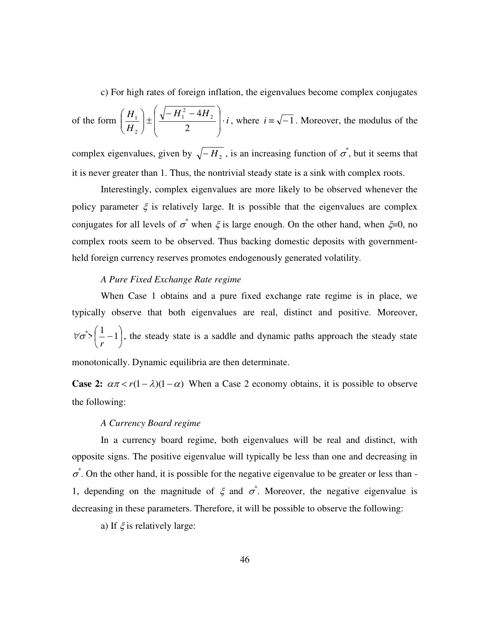c) For high rates of foreign inflation, the eigenvalues become complex conjugates

of the form 
$$
\left(\frac{H_1}{H_2}\right) \pm \left(\frac{\sqrt{-H_1^2 - 4H_2}}{2}\right) \cdot i
$$
, where  $i \equiv \sqrt{-1}$ . Moreover, the modulus of the

complex eigenvalues, given by  $\sqrt{-H_2}$ , is an increasing function of  $\sigma^*$ , but it seems that it is never greater than 1. Thus, the nontrivial steady state is a sink with complex roots.

Interestingly, complex eigenvalues are more likely to be observed whenever the policy parameter  $\xi$  is relatively large. It is possible that the eigenvalues are complex conjugates for all levels of  $\sigma^*$  when  $\xi$  is large enough. On the other hand, when  $\xi=0$ , no complex roots seem to be observed. Thus backing domestic deposits with governmentheld foreign currency reserves promotes endogenously generated volatility.

#### *A Pure Fixed Exchange Rate regime*

When Case 1 obtains and a pure fixed exchange rate regime is in place, we typically observe that both eigenvalues are real, distinct and positive. Moreover,  $\forall \sigma^*$ > $\left( \begin{array}{c} 1 \\ -1 \end{array} \right)$ J  $\left(\frac{1}{-1}\right)$  $\setminus$  $\left(\frac{1}{-1}\right)$ *r* , the steady state is a saddle and dynamic paths approach the steady state monotonically. Dynamic equilibria are then determinate.

**Case 2:**  $\alpha \pi \langle r(1-\lambda)(1-\alpha)$  When a Case 2 economy obtains, it is possible to observe the following:

#### *A Currency Board regime*

In a currency board regime, both eigenvalues will be real and distinct, with opposite signs. The positive eigenvalue will typically be less than one and decreasing in  $\sigma^*$ . On the other hand, it is possible for the negative eigenvalue to be greater or less than -1, depending on the magnitude of  $\xi$  and  $\sigma^*$ . Moreover, the negative eigenvalue is decreasing in these parameters. Therefore, it will be possible to observe the following:

a) If  $\xi$  is relatively large: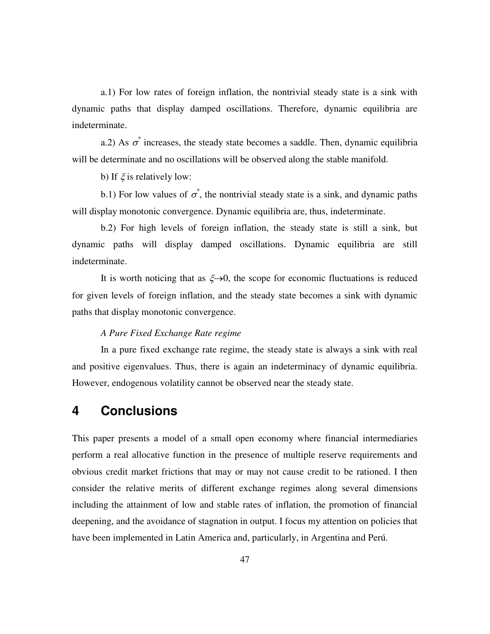a.1) For low rates of foreign inflation, the nontrivial steady state is a sink with dynamic paths that display damped oscillations. Therefore, dynamic equilibria are indeterminate.

a.2) As  $\sigma^*$  increases, the steady state becomes a saddle. Then, dynamic equilibria will be determinate and no oscillations will be observed along the stable manifold.

b) If  $\xi$  is relatively low:

b.1) For low values of  $\sigma^*$ , the nontrivial steady state is a sink, and dynamic paths will display monotonic convergence. Dynamic equilibria are, thus, indeterminate.

b.2) For high levels of foreign inflation, the steady state is still a sink, but dynamic paths will display damped oscillations. Dynamic equilibria are still indeterminate.

It is worth noticing that as  $\xi \rightarrow 0$ , the scope for economic fluctuations is reduced for given levels of foreign inflation, and the steady state becomes a sink with dynamic paths that display monotonic convergence.

#### *A Pure Fixed Exchange Rate regime*

In a pure fixed exchange rate regime, the steady state is always a sink with real and positive eigenvalues. Thus, there is again an indeterminacy of dynamic equilibria. However, endogenous volatility cannot be observed near the steady state.

## **4 Conclusions**

This paper presents a model of a small open economy where financial intermediaries perform a real allocative function in the presence of multiple reserve requirements and obvious credit market frictions that may or may not cause credit to be rationed. I then consider the relative merits of different exchange regimes along several dimensions including the attainment of low and stable rates of inflation, the promotion of financial deepening, and the avoidance of stagnation in output. I focus my attention on policies that have been implemented in Latin America and, particularly, in Argentina and Perú.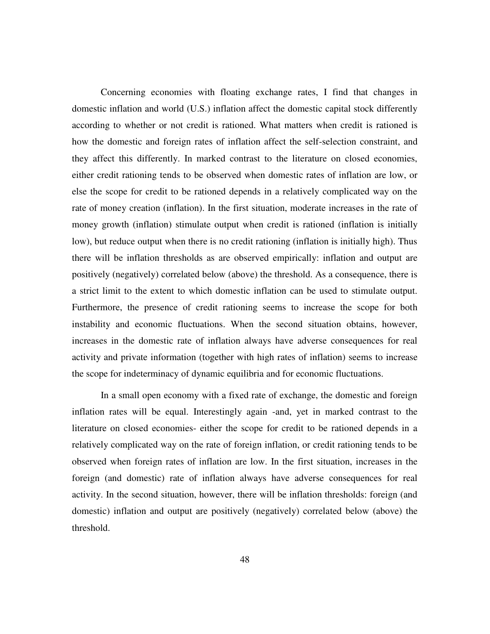Concerning economies with floating exchange rates, I find that changes in domestic inflation and world (U.S.) inflation affect the domestic capital stock differently according to whether or not credit is rationed. What matters when credit is rationed is how the domestic and foreign rates of inflation affect the self-selection constraint, and they affect this differently. In marked contrast to the literature on closed economies, either credit rationing tends to be observed when domestic rates of inflation are low, or else the scope for credit to be rationed depends in a relatively complicated way on the rate of money creation (inflation). In the first situation, moderate increases in the rate of money growth (inflation) stimulate output when credit is rationed (inflation is initially low), but reduce output when there is no credit rationing (inflation is initially high). Thus there will be inflation thresholds as are observed empirically: inflation and output are positively (negatively) correlated below (above) the threshold. As a consequence, there is a strict limit to the extent to which domestic inflation can be used to stimulate output. Furthermore, the presence of credit rationing seems to increase the scope for both instability and economic fluctuations. When the second situation obtains, however, increases in the domestic rate of inflation always have adverse consequences for real activity and private information (together with high rates of inflation) seems to increase the scope for indeterminacy of dynamic equilibria and for economic fluctuations.

In a small open economy with a fixed rate of exchange, the domestic and foreign inflation rates will be equal. Interestingly again -and, yet in marked contrast to the literature on closed economies- either the scope for credit to be rationed depends in a relatively complicated way on the rate of foreign inflation, or credit rationing tends to be observed when foreign rates of inflation are low. In the first situation, increases in the foreign (and domestic) rate of inflation always have adverse consequences for real activity. In the second situation, however, there will be inflation thresholds: foreign (and domestic) inflation and output are positively (negatively) correlated below (above) the threshold.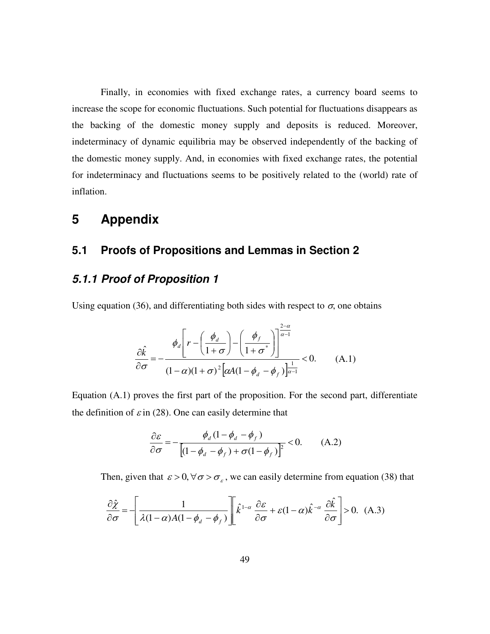Finally, in economies with fixed exchange rates, a currency board seems to increase the scope for economic fluctuations. Such potential for fluctuations disappears as the backing of the domestic money supply and deposits is reduced. Moreover, indeterminacy of dynamic equilibria may be observed independently of the backing of the domestic money supply. And, in economies with fixed exchange rates, the potential for indeterminacy and fluctuations seems to be positively related to the (world) rate of inflation.

## **5 Appendix**

### **5.1 Proofs of Propositions and Lemmas in Section 2**

### *5.1.1 Proof of Proposition 1*

Using equation (36), and differentiating both sides with respect to  $\sigma$ , one obtains

$$
\frac{\partial \hat{k}}{\partial \sigma} = -\frac{\phi_d}{(1-\alpha)(1+\sigma)^2} \left[ \frac{\phi_d}{1+\sigma^*} \right]_0^{\frac{2-\alpha}{\alpha-1}} < 0. \quad (A.1)
$$

Equation (A.1) proves the first part of the proposition. For the second part, differentiate the definition of  $\varepsilon$  in (28). One can easily determine that

$$
\frac{\partial \varepsilon}{\partial \sigma} = -\frac{\phi_d (1 - \phi_d - \phi_f)}{\left[ (1 - \phi_d - \phi_f) + \sigma (1 - \phi_f) \right]^2} < 0. \tag{A.2}
$$

Then, given that  $\varepsilon > 0$ ,  $\forall \sigma > \sigma_{\varepsilon}$ , we can easily determine from equation (38) that

$$
\frac{\partial \hat{\chi}}{\partial \sigma} = -\left[\frac{1}{\lambda(1-\alpha)A(1-\phi_d-\phi_f)}\right] \left[\hat{k}^{1-\alpha} \frac{\partial \varepsilon}{\partial \sigma} + \varepsilon(1-\alpha)\hat{k}^{-\alpha} \frac{\partial \hat{k}}{\partial \sigma}\right] > 0. \quad (A.3)
$$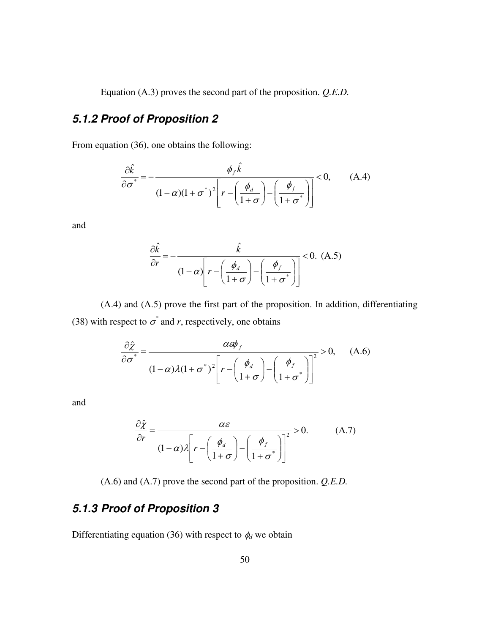Equation (A.3) proves the second part of the proposition. *Q.E.D.*

## *5.1.2 Proof of Proposition 2*

From equation (36), one obtains the following:

$$
\frac{\partial \hat{k}}{\partial \sigma^*} = -\frac{\phi_f \hat{k}}{(1-\alpha)(1+\sigma^*)^2 \left[r - \left(\frac{\phi_d}{1+\sigma}\right) - \left(\frac{\phi_f}{1+\sigma^*}\right)\right]} < 0, \quad (A.4)
$$

and

$$
\frac{\partial \hat{k}}{\partial r} = -\frac{\hat{k}}{(1-\alpha)\left[r - \left(\frac{\phi_d}{1+\sigma}\right) - \left(\frac{\phi_f}{1+\sigma^*}\right)\right]} < 0. \text{ (A.5)}
$$

(A.4) and (A.5) prove the first part of the proposition. In addition, differentiating (38) with respect to  $\sigma^*$  and *r*, respectively, one obtains

$$
\frac{\partial \hat{\chi}}{\partial \sigma^*} = \frac{\alpha \alpha \phi_f}{(1 - \alpha) \lambda (1 + \sigma^*)^2 \left[ r - \left( \frac{\phi_d}{1 + \sigma} \right) - \left( \frac{\phi_f}{1 + \sigma^*} \right) \right]^2} > 0,\quad (A.6)
$$

and

$$
\frac{\partial \hat{\chi}}{\partial r} = \frac{\alpha \varepsilon}{(1 - \alpha) \lambda \left[ r - \left( \frac{\phi_d}{1 + \sigma} \right) - \left( \frac{\phi_f}{1 + \sigma^*} \right) \right]^2} > 0. \tag{A.7}
$$

(A.6) and (A.7) prove the second part of the proposition. *Q.E.D.* 

## *5.1.3 Proof of Proposition 3*

Differentiating equation (36) with respect to  $\phi_d$  we obtain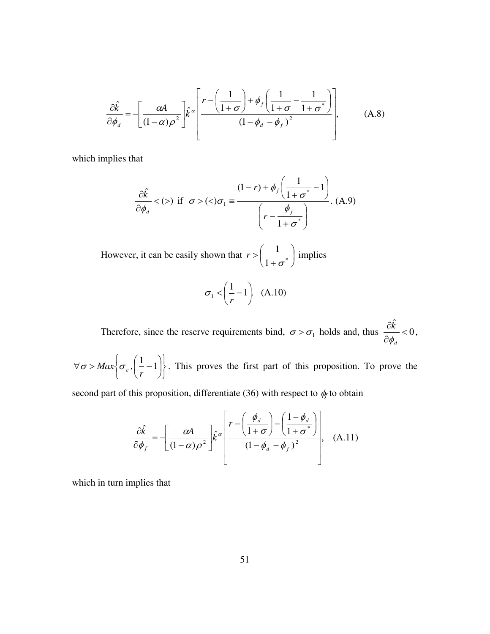$$
\frac{\partial \hat{k}}{\partial \phi_d} = -\left[\frac{\alpha A}{(1-\alpha)\rho^2}\right] \hat{k}^{\alpha} \left[\frac{r - \left(\frac{1}{1+\sigma}\right) + \phi_f \left(\frac{1}{1+\sigma} - \frac{1}{1+\sigma^*}\right)}{(1-\phi_d - \phi_f)^2}\right],\tag{A.8}
$$

which implies that

$$
\frac{\partial \hat{k}}{\partial \phi_d} < (\gt) \text{ if } \sigma > (\lt) \sigma_1 \equiv \frac{(1-r) + \phi_f \left(\frac{1}{1+\sigma^*} - 1\right)}{\left(r - \frac{\phi_f}{1+\sigma^*}\right)}.\text{ (A.9)}
$$

However, it can be easily shown that  $r > \frac{1}{1 - \epsilon}$ J  $\left(\frac{1}{\cdot}\right)$  $\setminus$ ſ  $>\left(\frac{1}{1+\sigma^*}\right)$ 1  $r > \left(\frac{1}{1+\sigma^*}\right)$  implies

$$
\sigma_1 < \left(\frac{1}{r} - 1\right). \quad \text{(A.10)}
$$

Therefore, since the reserve requirements bind,  $\sigma > \sigma_1$  holds and, thus  $\frac{\sigma_1}{\sigma_1} < 0$ ˆ  $\lt$  $\partial$  $\partial$ *d k*  $\phi$ ,

J  $\left\{ \right\}$  $\mathbf{I}$  $\overline{\mathcal{L}}$ ⇃  $\left\lceil$  $\overline{\phantom{a}}$ J  $\left(\frac{1}{-1}\right)$  $\setminus$  $\forall \sigma > Max \bigg\{\sigma_{\varepsilon}, \bigg(1\overline{1}-1\bigg)$ *r*  $\sigma > Max\{\sigma_{\varepsilon}, -1\}$ . This proves the first part of this proposition. To prove the

second part of this proposition, differentiate  $(36)$  with respect to  $\phi_f$  to obtain

$$
\frac{\partial \hat{k}}{\partial \phi_f} = -\left[\frac{\alpha A}{(1-\alpha)\rho^2}\right] \hat{k}^{\alpha} \left[\frac{r - \left(\frac{\phi_d}{1+\sigma}\right) - \left(\frac{1-\phi_d}{1+\sigma^*}\right)}{(1-\phi_d-\phi_f)^2}\right], \quad (A.11)
$$

which in turn implies that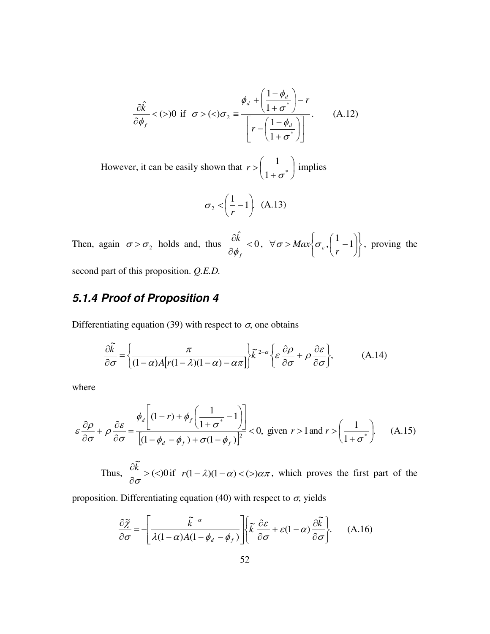$$
\frac{\partial \hat{k}}{\partial \phi_f} < (\gt) 0 \text{ if } \sigma > (\lt) \sigma_2 \equiv \frac{\phi_d + \left(\frac{1 - \phi_d}{1 + \sigma^*}\right) - r}{\left[r - \left(\frac{1 - \phi_d}{1 + \sigma^*}\right)\right]}.
$$
\n(A.12)

However, it can be easily shown that  $r > \frac{1}{1 - \epsilon}$ J  $\left(\frac{1}{\cdot}\right)$  $\setminus$ ſ  $>\left(\frac{1}{1+\sigma^*}\right)$ 1  $r > \left(\frac{1}{1+\sigma^*}\right)$  implies

$$
\sigma_2 < \left(\frac{1}{r} - 1\right). \quad \text{(A.13)}
$$

Then, again  $\sigma > \sigma_2$  holds and, thus  $\frac{\sigma_2}{\sigma_1} < 0$ ˆ  $\lt$  $\partial$  $\partial$ *f k*  $\phi$ , J  $\left\{ \right\}$  $\mathbf{I}$  $\overline{\mathcal{L}}$ ⇃  $\left\lceil$  $\overline{\phantom{a}}$ J  $\left(\frac{1}{-1}\right)$  $\setminus$  $\forall \sigma > Max \bigg\{\sigma_{\varepsilon}, \bigg(1\overline{1}-1\bigg)$ *r*  $\sigma >$  *Max* $\{\sigma_{\varepsilon}, -1\}$ , proving the

second part of this proposition. *Q.E.D.* 

## *5.1.4 Proof of Proposition 4*

Differentiating equation (39) with respect to  $\sigma$ , one obtains

$$
\frac{\partial \tilde{k}}{\partial \sigma} = \left\{ \frac{\pi}{(1-\alpha)A[r(1-\lambda)(1-\alpha)-\alpha\pi]} \right\} \tilde{k}^{2-\alpha} \left\{ \varepsilon \frac{\partial \rho}{\partial \sigma} + \rho \frac{\partial \varepsilon}{\partial \sigma} \right\},\tag{A.14}
$$

where

$$
\varepsilon \frac{\partial \rho}{\partial \sigma} + \rho \frac{\partial \varepsilon}{\partial \sigma} = \frac{\phi_d \left[ (1 - r) + \phi_f \left( \frac{1}{1 + \sigma^*} - 1 \right) \right]}{\left[ (1 - \phi_d - \phi_f) + \sigma (1 - \phi_f) \right]^2} < 0, \text{ given } r > 1 \text{ and } r > \left( \frac{1}{1 + \sigma^*} \right). \tag{A.15}
$$

Thus, 
$$
\frac{\partial k}{\partial \sigma}
$$
 > (<)0 if  $r(1-\lambda)(1-\alpha)$  < (<)>\alpha\pi, which proves the first part of the

proposition. Differentiating equation (40) with respect to  $\sigma$ , yields

$$
\frac{\partial \tilde{\chi}}{\partial \sigma} = -\left[ \frac{\tilde{k}^{-\alpha}}{\lambda (1 - \alpha) A (1 - \phi_d - \phi_f)} \right] \left\{ \tilde{k} \frac{\partial \varepsilon}{\partial \sigma} + \varepsilon (1 - \alpha) \frac{\partial \tilde{k}}{\partial \sigma} \right\}.
$$
 (A.16)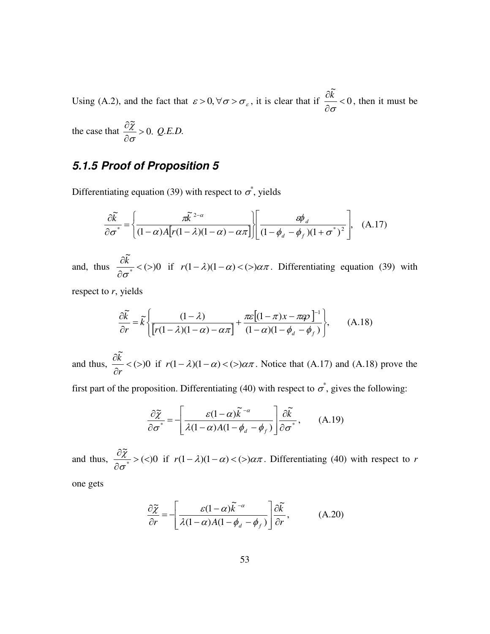Using (A.2), and the fact that  $\varepsilon > 0$ ,  $\forall \sigma > \sigma_{\varepsilon}$ , it is clear that if  $\frac{\sigma_{\varepsilon}}{2} < 0$ ~<br>~  $\lt$  $\partial$  $\partial$ σ  $k \leq 0$ , then it must be  $\tilde{v}$ 

the case that  $\frac{6\lambda}{2} > 0$ .  $>$  $\partial$  $\partial$  $\sigma$  $\frac{\chi}{\gamma} > 0$ . *Q.E.D.* 

## *5.1.5 Proof of Proposition 5*

Differentiating equation (39) with respect to  $\sigma^*$ , yields

$$
\frac{\partial \widetilde{k}}{\partial \sigma^*} = \left\{ \frac{\pi \widetilde{k}^{2-\alpha}}{(1-\alpha)A[r(1-\lambda)(1-\alpha)-\alpha\pi]} \right\} \left[ \frac{\omega_{d}}{(1-\phi_{d}-\phi_{f})(1+\sigma^*)^2} \right], \quad (A.17)
$$

and, thus  $\frac{6k}{2\pi} < (>)0$ ~<br>~  $\frac{1}{\ast}$  < (>  $\partial$  $\partial$  $\sigma$  $\frac{k}{n}$  < (>)0 if  $r(1-\lambda)(1-\alpha)$  < (>) $\alpha\pi$ . Differentiating equation (39) with

respect to *r*, yields

$$
\frac{\partial \widetilde{k}}{\partial r} = \widetilde{k} \left\{ \frac{(1-\lambda)}{\left[r(1-\lambda)(1-\alpha) - \alpha \pi\right]} + \frac{\pi \varepsilon \left[(1-\pi)x - \pi \varepsilon \rho\right]^{-1}}{(1-\alpha)(1-\phi_d - \phi_f)} \right\},\tag{A.18}
$$

and thus,  $\frac{6k}{2} < (>)0$ ~<br>~  $\lt$  ( $>$  $\partial$  $\partial$ *r*  $\frac{k}{n}$  < (>)0 if  $r(1 - \lambda)(1 - \alpha)$  < (>) $\alpha\pi$ . Notice that (A.17) and (A.18) prove the

first part of the proposition. Differentiating (40) with respect to  $\sigma^*$ , gives the following:

$$
\frac{\partial \widetilde{\chi}}{\partial \sigma^*} = -\left[ \frac{\varepsilon (1 - \alpha) \widetilde{k}^{-\alpha}}{\lambda (1 - \alpha) A (1 - \phi_d - \phi_f)} \right] \frac{\partial \widetilde{k}}{\partial \sigma^*}, \quad (A.19)
$$

and thus,  $\frac{0}{2}$  > (<)0  $\tilde{\tilde{v}}$ \*  $\partial$  $\partial$  $\sigma$  $\frac{1}{\lambda}$  > (<)0 if  $r(1 - \lambda)(1 - \alpha)$  < (>) $\alpha\pi$ . Differentiating (40) with respect to *r* 

one gets

$$
\frac{\partial \widetilde{\chi}}{\partial r} = -\left[\frac{\varepsilon(1-\alpha)\widetilde{k}^{-\alpha}}{\lambda(1-\alpha)A(1-\phi_d-\phi_f)}\right] \frac{\partial \widetilde{k}}{\partial r}, \quad (A.20)
$$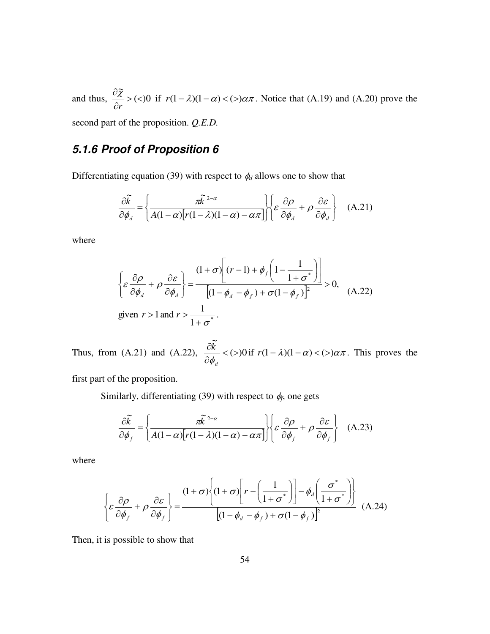and thus,  $\frac{6\lambda}{2}$  > (<)0  $\tilde{\mathcal{V}}$  $>(<$  $\partial$  $\partial$ *r*  $\frac{\partial Z}{\partial t}$  > (<)0 if  $r(1 - \lambda)(1 - \alpha)$  < (>) $\alpha\pi$ . Notice that (A.19) and (A.20) prove the second part of the proposition. *Q.E.D.* 

### *5.1.6 Proof of Proposition 6*

Differentiating equation (39) with respect to  $\phi_d$  allows one to show that

$$
\frac{\partial \widetilde{k}}{\partial \phi_d} = \left\{ \frac{\pi \widetilde{k}^{2-\alpha}}{A(1-\alpha)\left[r(1-\lambda)(1-\alpha) - \alpha \pi\right]} \right\} \left\{ \varepsilon \frac{\partial \rho}{\partial \phi_d} + \rho \frac{\partial \varepsilon}{\partial \phi_d} \right\} \quad (A.21)
$$

where

$$
\left\{\varepsilon \frac{\partial \rho}{\partial \phi_d} + \rho \frac{\partial \varepsilon}{\partial \phi_d}\right\} = \frac{(1+\sigma)\left[ (r-1) + \phi_f \left(1 - \frac{1}{1+\sigma^*}\right) \right]}{\left[ (1-\phi_d - \phi_f) + \sigma (1-\phi_f) \right]^2} > 0, \quad (A.22)
$$
  
given  $r > 1$  and  $r > \frac{1}{1+\sigma^*}$ .

Thus, from (A.21) and (A.22),  $\frac{c}{\alpha}$  < (>)0 if  $r(1 - \lambda)(1 - \alpha)$  < (>) $\alpha \pi$  $\phi$ (>)(0 if  $r(1 - \lambda)(1 - \alpha)$  < (>)  $\tilde{i}$  $\langle \rangle 0$  if  $r(1-\lambda)(1-\alpha) \langle \rangle$  $\partial$  $\partial$  $\frac{k}{r}$  < (>)0 if r *d* . This proves the

first part of the proposition.

Similarly, differentiating (39) with respect to  $\phi_f$ , one gets

$$
\frac{\partial \widetilde{k}}{\partial \phi_f} = \left\{ \frac{\pi \widetilde{k}^{2-\alpha}}{A(1-\alpha)\left[r(1-\lambda)(1-\alpha) - \alpha \pi\right]} \right\} \left\{ \varepsilon \frac{\partial \rho}{\partial \phi_f} + \rho \frac{\partial \varepsilon}{\partial \phi_f} \right\} \quad (A.23)
$$

where

$$
\left\{\varepsilon \frac{\partial \rho}{\partial \phi_f} + \rho \frac{\partial \varepsilon}{\partial \phi_f}\right\} = \frac{(1+\sigma)\left\{(1+\sigma) \left[r - \left(\frac{1}{1+\sigma^*}\right)\right] - \phi_d \left(\frac{\sigma^*}{1+\sigma^*}\right)\right\}}{\left[(1-\phi_d - \phi_f) + \sigma(1-\phi_f)\right]^2} (A.24)
$$

Then, it is possible to show that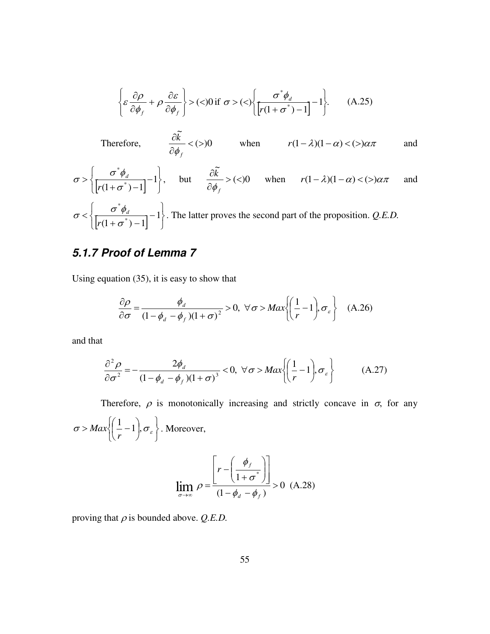$$
\left\{\varepsilon \frac{\partial \rho}{\partial \phi_f} + \rho \frac{\partial \varepsilon}{\partial \phi_f}\right\} > (<0) \text{ if } \sigma > (<)\left\{\frac{\sigma^* \phi_d}{\left[r(1 + \sigma^*) - 1\right]} - 1\right\}.
$$
 (A.25)

Therefore,  $\frac{\partial x}{\partial x} < (>)0$ ~<br>~  $\lt$  ( $>$  $\partial$  $\partial$ *f k*  $\phi$ when  $r(1 - \lambda)(1 - \alpha) < (>\varepsilon) \alpha \pi$  and

$$
\sigma > \left\{ \frac{\sigma^* \phi_d}{\left[r(1+\sigma^*)-1\right]} - 1 \right\}, \quad \text{but} \quad \frac{\partial \tilde{k}}{\partial \phi_f} > (<0 \quad \text{when} \quad r(1-\lambda)(1-\alpha) < (<) \alpha \pi \quad \text{and}
$$
\n
$$
\sigma < \left\{ \frac{\sigma^* \phi_d}{\left[r(1+\sigma^*)-1\right]} - 1 \right\}. \text{ The latter proves the second part of the proposition. Q.E.D.}
$$

## *5.1.7 Proof of Lemma 7*

Using equation (35), it is easy to show that

$$
\frac{\partial \rho}{\partial \sigma} = \frac{\phi_d}{(1 - \phi_d - \phi_f)(1 + \sigma)^2} > 0, \ \forall \sigma > Max \left\{ \left( \frac{1}{r} - 1 \right), \sigma_{\varepsilon} \right\} \quad (A.26)
$$

and that

$$
\frac{\partial^2 \rho}{\partial \sigma^2} = -\frac{2\phi_d}{\left(1 - \phi_d - \phi_f\right)\left(1 + \sigma\right)^3} < 0, \ \forall \sigma > Max \left\{ \left(\frac{1}{r} - 1\right), \sigma_{\varepsilon} \right\} \tag{A.27}
$$

Therefore,  $\rho$  is monotonically increasing and strictly concave in  $\sigma$ , for any J  $\left\{ \right\}$  $\mathbf{I}$  $\overline{\mathcal{L}}$ ┤  $\left($  $\overline{\phantom{a}}$  $\bigg)$  $\left(\frac{1}{-1}\right)$  $\setminus$  $\sigma >$ Max $\left\{ \begin{array}{c} 1 \\ -1 \end{array} \right\}$ ,  $\sigma_{\epsilon}$ *r*  $\left| \frac{1}{n} - 1 \right|, \sigma_{\varepsilon}$ . Moreover,

$$
\lim_{\sigma \to \infty} \rho = \frac{\left[ r - \left( \frac{\phi_f}{1 + \sigma^*} \right) \right]}{(1 - \phi_d - \phi_f)} > 0 \quad \text{(A.28)}
$$

proving that  $\rho$  is bounded above. *Q.E.D.*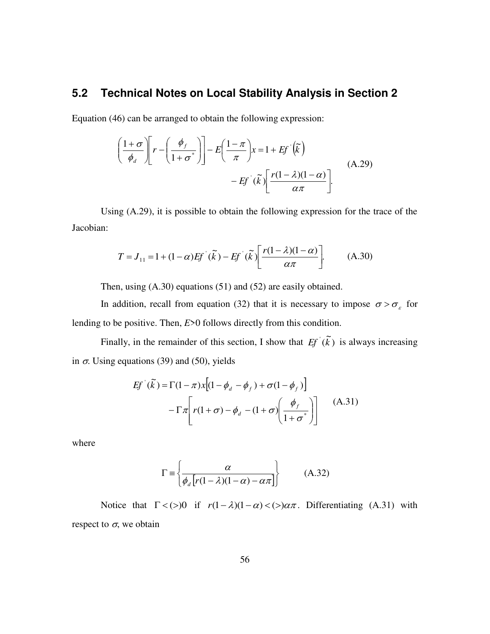### **5.2 Technical Notes on Local Stability Analysis in Section 2**

Equation (46) can be arranged to obtain the following expression:

$$
\left(\frac{1+\sigma}{\phi_d}\left[r-\left(\frac{\phi_f}{1+\sigma^*}\right)\right]-E\left(\frac{1-\pi}{\pi}\right)x=1+Ef'\left(\tilde{k}\right)\\-Ef'\left(\tilde{k}\right)\left[\frac{r(1-\lambda)(1-\alpha)}{\alpha\pi}\right].
$$
\n(A.29)

Using (A.29), it is possible to obtain the following expression for the trace of the Jacobian:

$$
T = J_{11} = 1 + (1 - \alpha)Ef'(\tilde{k}) - Ef'(\tilde{k}) \left[ \frac{r(1 - \lambda)(1 - \alpha)}{\alpha \pi} \right].
$$
 (A.30)

Then, using (A.30) equations (51) and (52) are easily obtained.

In addition, recall from equation (32) that it is necessary to impose  $\sigma > \sigma_{\epsilon}$  for lending to be positive. Then, *E*>0 follows directly from this condition.

Finally, in the remainder of this section, I show that  $Ef'(\tilde{k})$  is always increasing in  $\sigma$ . Using equations (39) and (50), yields

$$
Ef'(\tilde{k}) = \Gamma(1-\pi)x\Big[(1-\phi_d-\phi_f) + \sigma(1-\phi_f)\Big]
$$

$$
-\Gamma\pi\Big[r(1+\sigma) - \phi_d - (1+\sigma)\Big(\frac{\phi_f}{1+\sigma^*}\Big)\Big]
$$
(A.31)

where

$$
\Gamma = \left\{ \frac{\alpha}{\phi_d \left[ r(1 - \lambda)(1 - \alpha) - \alpha \pi \right]} \right\}
$$
 (A.32)

Notice that  $\Gamma$  < (>)0 if  $r(1 - \lambda)(1 - \alpha)$  < (>) $\alpha\pi$ . Differentiating (A.31) with respect to  $\sigma$ , we obtain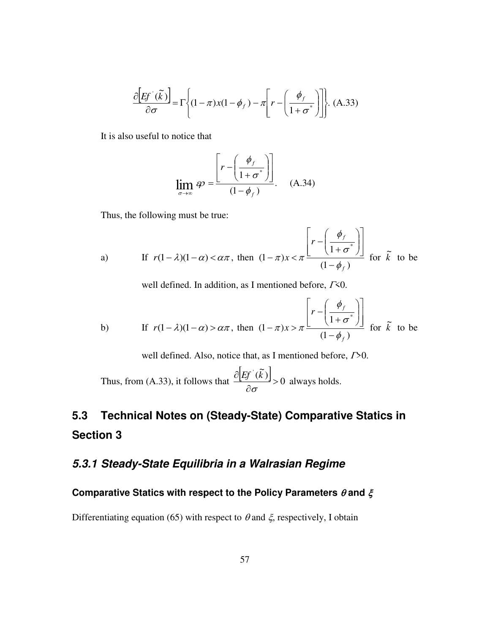$$
\frac{\partial [Ef'(\tilde{k})]}{\partial \sigma} = \Gamma \left\{ (1 - \pi)x(1 - \phi_f) - \pi \left[ r - \left( \frac{\phi_f}{1 + \sigma^*} \right) \right] \right\}.
$$
 (A.33)

It is also useful to notice that

$$
\lim_{\sigma \to \infty} \varphi = \frac{\left[r - \left(\frac{\phi_f}{1 + \sigma^*}\right)\right]}{(1 - \phi_f)}.\quad (A.34)
$$

Thus, the following must be true:

a) If 
$$
r(1-\lambda)(1-\alpha) < \alpha\pi
$$
, then  $(1-\pi)x < \pi \frac{\left[r - \left(\frac{\phi_f}{1+\sigma^*}\right)\right]}{(1-\phi_f)}$  for  $\tilde{k}$  to be

well defined. In addition, as I mentioned before,  $\Gamma \leq 0$ .

b) If 
$$
r(1-\lambda)(1-\alpha) > \alpha\pi
$$
, then  $(1-\pi)x > \pi \frac{\left[r-\left(\frac{\phi_f}{1+\sigma^*}\right)\right]}{(1-\phi_f)}$  for  $\tilde{k}$  to be

 $\mathbf{r}$ 

well defined. Also, notice that, as I mentioned before,  $\Gamma$ >0.

Thus, from (A.33), it follows that  $\frac{\partial [Ef^{\dagger}(\tilde{k})]}{\partial \tilde{k}} > 0$  $\partial$  $\partial$  $\sigma$  $\left[\frac{Ef'(k)}{2}\right] > 0$  always holds.

# **5.3 Technical Notes on (Steady-State) Comparative Statics in Section 3**

### *5.3.1 Steady-State Equilibria in a Walrasian Regime*

### **Comparative Statics with respect to the Policy Parameters**  $\theta$  **and**  $\xi$

Differentiating equation (65) with respect to  $\theta$  and  $\xi$ , respectively, I obtain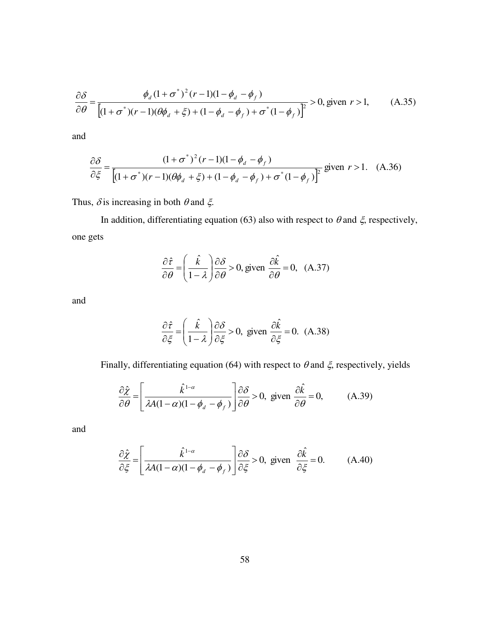$$
\frac{\partial \delta}{\partial \theta} = \frac{\phi_d (1 + \sigma^*)^2 (r - 1)(1 - \phi_d - \phi_f)}{[(1 + \sigma^*)(r - 1)(\theta \phi_d + \xi) + (1 - \phi_d - \phi_f) + \sigma^*(1 - \phi_f)]^2} > 0, \text{ given } r > 1,
$$
 (A.35)

and

$$
\frac{\partial \delta}{\partial \xi} = \frac{(1+\sigma^*)^2 (r-1)(1-\phi_d - \phi_f)}{\left[ (1+\sigma^*)(r-1)(\theta \phi_d + \xi) + (1-\phi_d - \phi_f) + \sigma^* (1-\phi_f) \right]^2} \text{ given } r > 1. \quad \text{(A.36)}
$$

Thus,  $\delta$  is increasing in both  $\theta$  and  $\xi$ .

In addition, differentiating equation (63) also with respect to  $\theta$  and  $\xi$ , respectively, one gets

$$
\frac{\partial \hat{\tau}}{\partial \theta} = \left(\frac{\hat{k}}{1 - \lambda}\right) \frac{\partial \delta}{\partial \theta} > 0, \text{ given } \frac{\partial \hat{k}}{\partial \theta} = 0, \text{ (A.37)}
$$

and

$$
\frac{\partial \hat{\tau}}{\partial \xi} = \left(\frac{\hat{k}}{1 - \lambda}\right) \frac{\partial \delta}{\partial \xi} > 0, \text{ given } \frac{\partial \hat{k}}{\partial \xi} = 0. \text{ (A.38)}
$$

Finally, differentiating equation (64) with respect to  $\theta$  and  $\xi$ , respectively, yields

$$
\frac{\partial \hat{\chi}}{\partial \theta} = \left[ \frac{\hat{k}^{1-\alpha}}{\lambda A (1-\alpha)(1-\phi_d - \phi_f)} \right] \frac{\partial \delta}{\partial \theta} > 0, \text{ given } \frac{\partial \hat{k}}{\partial \theta} = 0,
$$
 (A.39)

and

$$
\frac{\partial \hat{\chi}}{\partial \xi} = \left[ \frac{\hat{k}^{1-\alpha}}{\lambda A (1-\alpha)(1-\phi_d-\phi_f)} \right] \frac{\partial \delta}{\partial \xi} > 0, \text{ given } \frac{\partial \hat{k}}{\partial \xi} = 0. \quad (A.40)
$$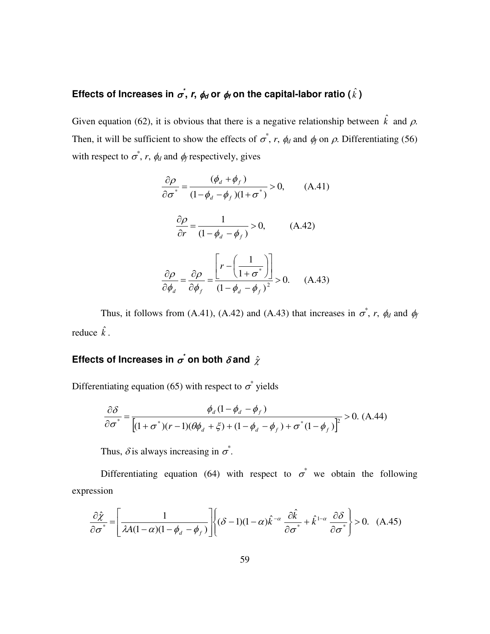### Effects of Increases in  $\vec{\sigma}$ ,  $\vec{r}$ ,  $\phi_d$  or  $\phi_f$  on the capital-labor ratio ( $\hat{k}$  )

Given equation (62), it is obvious that there is a negative relationship between  $\hat{k}$  and  $\rho$ . Then, it will be sufficient to show the effects of  $\sigma^*$ , r,  $\phi_d$  and  $\phi_f$  on  $\rho$ . Differentiating (56) with respect to  $\sigma^*$ , *r*,  $\phi_d$  and  $\phi_f$  respectively, gives

$$
\frac{\partial \rho}{\partial \sigma^*} = \frac{(\phi_d + \phi_f)}{(1 - \phi_d - \phi_f)(1 + \sigma^*)} > 0, \qquad (A.41)
$$

$$
\frac{\partial \rho}{\partial r} = \frac{1}{(1 - \phi_d - \phi_f)} > 0, \qquad (A.42)
$$

$$
\frac{\partial \rho}{\partial \phi_d} = \frac{\partial \rho}{\partial \phi_f} = \frac{\left[r - \left(\frac{1}{1 + \sigma^*}\right)\right]}{(1 - \phi_d - \phi_f)^2} > 0. \qquad (A.43)
$$

Thus, it follows from (A.41), (A.42) and (A.43) that increases in  $\sigma^*$ , r,  $\phi_d$  and  $\phi_f$ reduce  $\hat{k}$ .

### Effects of Increases in  $\vec{\sigma}$  on both  $\delta$  and  $\hat{\chi}$

Differentiating equation (65) with respect to  $\sigma^*$  yields

$$
\frac{\partial \delta}{\partial \sigma^*} = \frac{\phi_d (1 - \phi_d - \phi_f)}{\left[ (1 + \sigma^*)(r - 1)(\theta \phi_d + \xi) + (1 - \phi_d - \phi_f) + \sigma^*(1 - \phi_f) \right]^2} > 0. \text{ (A.44)}
$$

Thus,  $\delta$  is always increasing in  $\sigma^*$ .

Differentiating equation (64) with respect to  $\sigma^*$  we obtain the following expression

$$
\frac{\partial \hat{\chi}}{\partial \sigma^*} = \left[ \frac{1}{\lambda A (1 - \alpha) (1 - \phi_d - \phi_f)} \right] \left\{ (\delta - 1) (1 - \alpha) \hat{k}^{-\alpha} \frac{\partial \hat{k}}{\partial \sigma^*} + \hat{k}^{1 - \alpha} \frac{\partial \delta}{\partial \sigma^*} \right\} > 0. \quad (A.45)
$$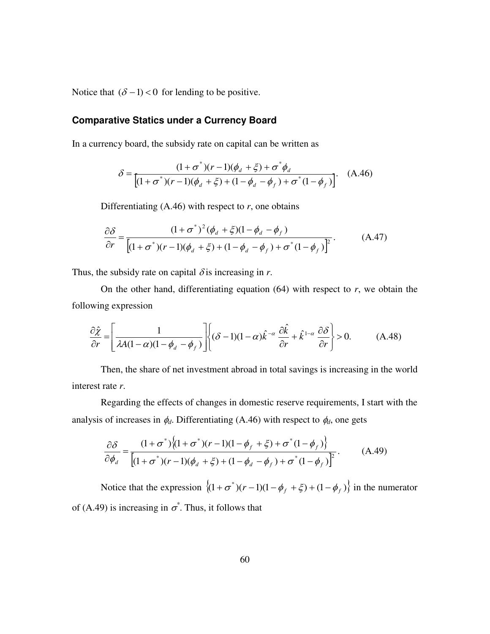Notice that  $(\delta-1)$  < 0 for lending to be positive.

#### **Comparative Statics under a Currency Board**

In a currency board, the subsidy rate on capital can be written as

$$
\delta = \frac{(1+\sigma^*)(r-1)(\phi_d + \xi) + \sigma^*\phi_d}{[(1+\sigma^*)(r-1)(\phi_d + \xi) + (1-\phi_d - \phi_f) + \sigma^*(1-\phi_f)]}.
$$
 (A.46)

Differentiating  $(A.46)$  with respect to  $r$ , one obtains

$$
\frac{\partial \delta}{\partial r} = \frac{(1 + \sigma^*)^2 (\phi_d + \xi)(1 - \phi_d - \phi_f)}{[(1 + \sigma^*)(r - 1)(\phi_d + \xi) + (1 - \phi_d - \phi_f) + \sigma^*(1 - \phi_f)]^2}.
$$
 (A.47)

Thus, the subsidy rate on capital  $\delta$  is increasing in *r*.

On the other hand, differentiating equation (64) with respect to *r*, we obtain the following expression

$$
\frac{\partial \hat{\chi}}{\partial r} = \left[ \frac{1}{\lambda A (1 - \alpha) (1 - \phi_d - \phi_f)} \right] \left\{ (\delta - 1) (1 - \alpha) \hat{k}^{-\alpha} \frac{\partial \hat{k}}{\partial r} + \hat{k}^{1 - \alpha} \frac{\partial \delta}{\partial r} \right\} > 0.
$$
 (A.48)

Then, the share of net investment abroad in total savings is increasing in the world interest rate *r*.

Regarding the effects of changes in domestic reserve requirements, I start with the analysis of increases in  $\phi_d$ . Differentiating (A.46) with respect to  $\phi_d$ , one gets

$$
\frac{\partial \delta}{\partial \phi_d} = \frac{(1+\sigma^*)\{(1+\sigma^*)(r-1)(1-\phi_f+\xi)+\sigma^*(1-\phi_f)\}}{[(1+\sigma^*)(r-1)(\phi_d+\xi)+(1-\phi_d-\phi_f)+\sigma^*(1-\phi_f)]^2}.
$$
 (A.49)

Notice that the expression  $\{(1 + \sigma^*)(r-1)(1 - \phi_f + \xi) + (1 - \phi_f)\}$  in the numerator of (A.49) is increasing in  $\sigma^*$ . Thus, it follows that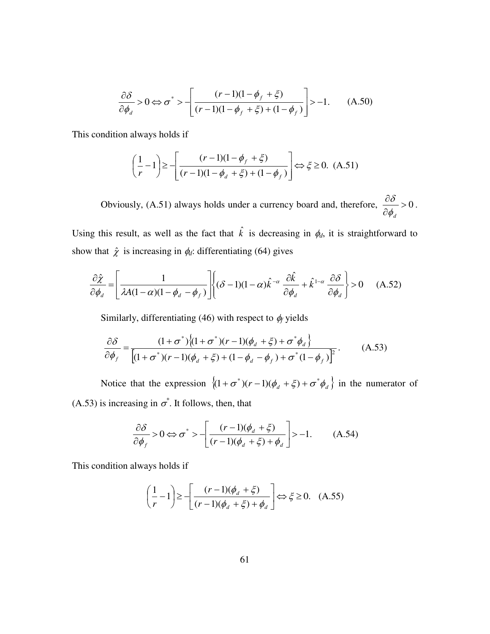$$
\frac{\partial \delta}{\partial \phi_d} > 0 \Leftrightarrow \sigma^* > -\left[ \frac{(r-1)(1-\phi_f + \xi)}{(r-1)(1-\phi_f + \xi) + (1-\phi_f)} \right] > -1. \tag{A.50}
$$

This condition always holds if

$$
\left(\frac{1}{r} - 1\right) \ge -\left[\frac{(r-1)(1-\phi_f + \xi)}{(r-1)(1-\phi_d + \xi) + (1-\phi_f)}\right] \Leftrightarrow \xi \ge 0. \tag{A.51}
$$

Obviously, (A.51) always holds under a currency board and, therefore,  $\frac{\partial v}{\partial t} > 0$  $\partial$  $\partial$  $\phi_{\scriptscriptstyle d}$  $\frac{\delta}{\epsilon} > 0$ .

Using this result, as well as the fact that  $\hat{k}$  is decreasing in  $\phi_d$ , it is straightforward to show that  $\hat{\chi}$  is increasing in  $\phi_d$ : differentiating (64) gives

$$
\frac{\partial \hat{\chi}}{\partial \phi_d} = \left[ \frac{1}{\lambda A (1 - \alpha) (1 - \phi_d - \phi_f)} \right] \left\{ (\delta - 1) (1 - \alpha) \hat{k}^{-\alpha} \frac{\partial \hat{k}}{\partial \phi_d} + \hat{k}^{1 - \alpha} \frac{\partial \delta}{\partial \phi_d} \right\} > 0 \quad (A.52)
$$

Similarly, differentiating (46) with respect to  $\phi_f$  yields

$$
\frac{\partial \delta}{\partial \phi_f} = \frac{(1+\sigma^*)\{(1+\sigma^*)(r-1)(\phi_d + \xi) + \sigma^*\phi_d\}}{[(1+\sigma^*)(r-1)(\phi_d + \xi) + (1-\phi_d - \phi_f) + \sigma^*(1-\phi_f)]^2}.
$$
 (A.53)

Notice that the expression  $\{(1+\sigma^*)(r-1)(\phi_d + \xi) + \sigma^* \phi_d\}$  in the numerator of (A.53) is increasing in  $\sigma^*$ . It follows, then, that

$$
\frac{\partial \delta}{\partial \phi_f} > 0 \Leftrightarrow \sigma^* > -\left[ \frac{(r-1)(\phi_d + \xi)}{(r-1)(\phi_d + \xi) + \phi_d} \right] > -1. \tag{A.54}
$$

This condition always holds if

$$
\left(\frac{1}{r} - 1\right) \ge -\left[\frac{(r-1)(\phi_d + \xi)}{(r-1)(\phi_d + \xi) + \phi_d}\right] \Leftrightarrow \xi \ge 0. \quad \text{(A.55)}
$$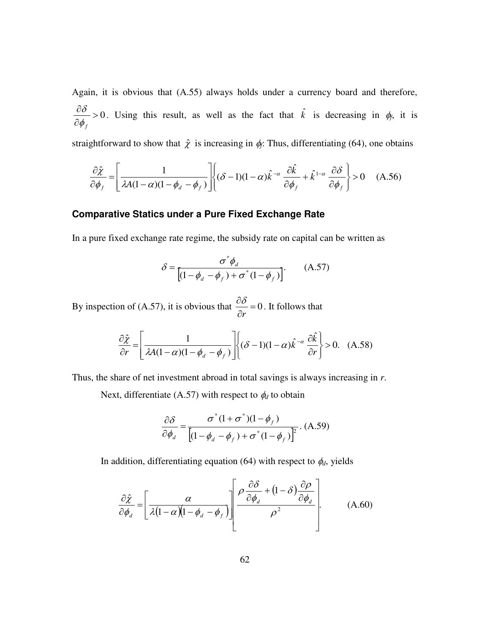Again, it is obvious that (A.55) always holds under a currency board and therefore,  $>0$  $\partial$  $\partial$  $\pmb{\phi}_f$  $\frac{\delta}{\delta}$  > 0. Using this result, as well as the fact that  $\hat{k}$  is decreasing in  $\phi_i$ , it is

straightforward to show that  $\hat{\chi}$  is increasing in  $\phi$ : Thus, differentiating (64), one obtains

$$
\frac{\partial \hat{\chi}}{\partial \phi_f} = \left[ \frac{1}{\lambda A (1 - \alpha) (1 - \phi_d - \phi_f)} \right] \left\{ (\delta - 1) (1 - \alpha) \hat{k}^{-\alpha} \frac{\partial \hat{k}}{\partial \phi_f} + \hat{k}^{1 - \alpha} \frac{\partial \delta}{\partial \phi_f} \right\} > 0 \quad (A.56)
$$

#### **Comparative Statics under a Pure Fixed Exchange Rate**

In a pure fixed exchange rate regime, the subsidy rate on capital can be written as

$$
\delta = \frac{\sigma^* \phi_d}{\left[ (1 - \phi_d - \phi_f) + \sigma^* (1 - \phi_f) \right]}.
$$
 (A.57)

By inspection of (A.57), it is obvious that  $\frac{\partial v}{\partial r} = 0$  $\partial$  $\partial$ *r*  $\frac{\delta}{\delta} = 0$ . It follows that

$$
\frac{\partial \hat{\chi}}{\partial r} = \left[ \frac{1}{\lambda A (1 - \alpha) (1 - \phi_d - \phi_f)} \right] \left\{ (\delta - 1) (1 - \alpha) \hat{k}^{-\alpha} \frac{\partial \hat{k}}{\partial r} \right\} > 0. \quad (A.58)
$$

Thus, the share of net investment abroad in total savings is always increasing in *r*.

Next, differentiate (A.57) with respect to  $\phi_d$  to obtain

$$
\frac{\partial \delta}{\partial \phi_d} = \frac{\sigma^*(1 + \sigma^*)(1 - \phi_f)}{\left[ (1 - \phi_d - \phi_f) + \sigma^*(1 - \phi_f) \right]^2}.
$$
 (A.59)

In addition, differentiating equation (64) with respect to  $\phi_d$ , yields

$$
\frac{\partial \hat{\chi}}{\partial \phi_d} = \left[ \frac{\alpha}{\lambda (1 - \alpha) (1 - \phi_d - \phi_f)} \right] \left[ \frac{\rho \frac{\partial \delta}{\partial \phi_d} + (1 - \delta) \frac{\partial \rho}{\partial \phi_d}}{\rho^2} \right].
$$
 (A.60)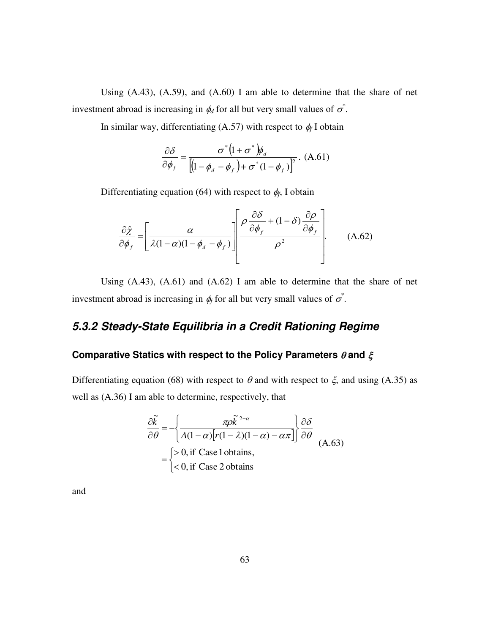Using (A.43), (A.59), and (A.60) I am able to determine that the share of net investment abroad is increasing in  $\phi_d$  for all but very small values of  $\sigma^*$ .

In similar way, differentiating  $(A.57)$  with respect to  $\phi_f$  I obtain

$$
\frac{\partial \delta}{\partial \phi_f} = \frac{\sigma^* (1 + \sigma^*) \phi_d}{\left[ \left( 1 - \phi_d - \phi_f \right) + \sigma^* (1 - \phi_f) \right]^2} .
$$
 (A.61)

Differentiating equation  $(64)$  with respect to  $\phi_f$ , I obtain

$$
\frac{\partial \hat{\chi}}{\partial \phi_f} = \left[ \frac{\alpha}{\lambda (1 - \alpha)(1 - \phi_d - \phi_f)} \right] \left[ \frac{\rho \frac{\partial \delta}{\partial \phi_f} + (1 - \delta) \frac{\partial \rho}{\partial \phi_f}}{\rho^2} \right].
$$
 (A.62)

Using  $(A.43)$ ,  $(A.61)$  and  $(A.62)$  I am able to determine that the share of net investment abroad is increasing in  $\phi_f$  for all but very small values of  $\sigma^*$ .

### *5.3.2 Steady-State Equilibria in a Credit Rationing Regime*

#### Comparative Statics with respect to the Policy Parameters  $\theta$  and  $\xi$

Differentiating equation (68) with respect to  $\theta$  and with respect to  $\xi$ , and using (A.35) as well as (A.36) I am able to determine, respectively, that

$$
\frac{\partial \widetilde{k}}{\partial \theta} = -\left\{ \frac{\pi \rho \widetilde{k}^{2-\alpha}}{A(1-\alpha)[r(1-\lambda)(1-\alpha)-\alpha\pi]} \right\} \frac{\partial \delta}{\partial \theta}
$$
\n
$$
= \begin{cases} > 0, \text{if Case 1 obtains,} \\ < 0, \text{if Case 2 obtains} \end{cases} (A.63)
$$

and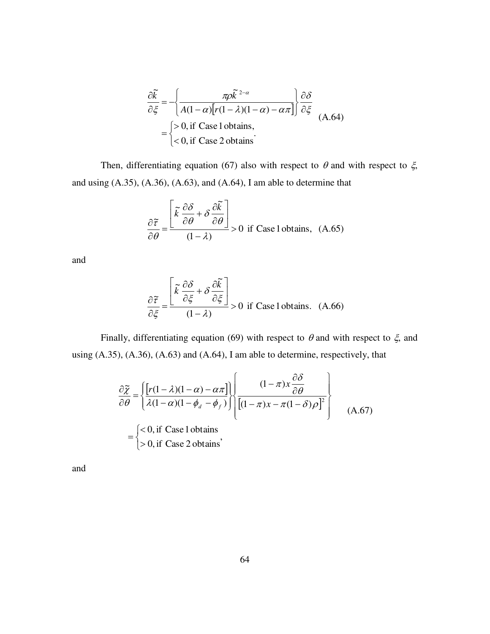$$
\frac{\partial \widetilde{k}}{\partial \xi} = -\left\{ \frac{\pi \rho \widetilde{k}^{2-\alpha}}{A(1-\alpha)[r(1-\lambda)(1-\alpha)-\alpha\pi]} \right\} \frac{\partial \delta}{\partial \xi}
$$
\n
$$
= \begin{cases} > 0, \text{ if Case 1 obtains,} \\ < 0, \text{ if Case 2 obtains} \end{cases} (A.64)
$$

Then, differentiating equation (67) also with respect to  $\theta$  and with respect to  $\xi$ , and using (A.35), (A.36), (A.63), and (A.64), I am able to determine that

$$
\frac{\partial \tilde{\tau}}{\partial \theta} = \frac{\left[\tilde{k}\frac{\partial \delta}{\partial \theta} + \delta \frac{\partial \tilde{k}}{\partial \theta}\right]}{(1 - \lambda)} > 0 \text{ if Case 1 obtains, (A.65)}
$$

and

$$
\frac{\partial \tilde{\tau}}{\partial \xi} = \frac{\left[\tilde{k}\frac{\partial \delta}{\partial \xi} + \delta \frac{\partial \tilde{k}}{\partial \xi}\right]}{(1-\lambda)} > 0 \text{ if Case 1 obtains. (A.66)}
$$

Finally, differentiating equation (69) with respect to  $\theta$  and with respect to  $\xi$ , and using (A.35), (A.36), (A.63) and (A.64), I am able to determine, respectively, that

$$
\frac{\partial \tilde{\chi}}{\partial \theta} = \left\{ \frac{\left[r(1-\lambda)(1-\alpha) - \alpha \pi\right]}{\lambda(1-\alpha)(1-\phi_d - \phi_f)} \right\} \left[ \frac{(1-\pi)x \frac{\partial \delta}{\partial \theta}}{\left[(1-\pi)x - \pi(1-\delta)\rho\right]^2} \right]
$$
\n(A.67)\n
$$
= \begin{cases}\n< 0, & \text{if } \text{Case 1 obtains} \\
> 0, & \text{if } \text{Case 2 obtains}\n\end{cases}
$$

and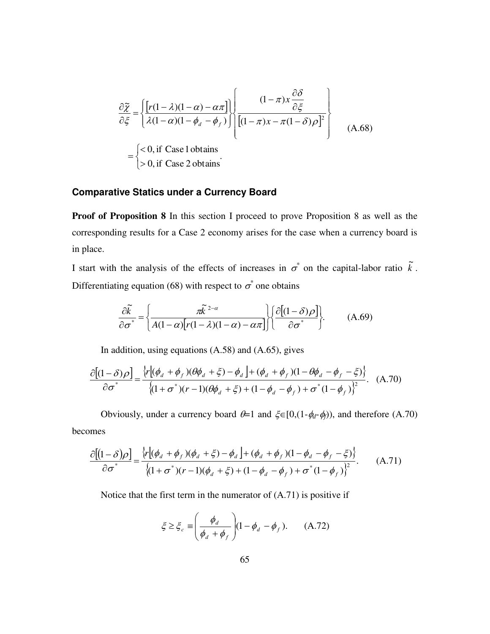$$
\frac{\partial \tilde{\chi}}{\partial \xi} = \left\{ \frac{\left[r(1-\lambda)(1-\alpha) - \alpha \pi\right]}{\lambda(1-\alpha)(1-\phi_a - \phi_f)} \right\} \left[ \frac{(1-\pi)x \frac{\partial \delta}{\partial \xi}}{\left[(1-\pi)x - \pi(1-\delta)\rho\right]^2} \right]
$$
\n(A.68)\n
$$
= \begin{cases}\n< 0, & \text{if } \text{Case 1 obtains} \\
> 0, & \text{if } \text{Case 2 obtains}\n\end{cases}
$$

### **Comparative Statics under a Currency Board**

**Proof of Proposition 8** In this section I proceed to prove Proposition 8 as well as the corresponding results for a Case 2 economy arises for the case when a currency board is in place.

I start with the analysis of the effects of increases in  $\sigma^*$  on the capital-labor ratio  $\tilde{k}$ . Differentiating equation (68) with respect to  $\sigma^*$  one obtains

$$
\frac{\partial \widetilde{k}}{\partial \sigma^*} = \left\{ \frac{\pi \widetilde{k}^{2-\alpha}}{A(1-\alpha)\left[r(1-\lambda)(1-\alpha) - \alpha \pi\right]} \right\} \left[ \frac{\partial \left[(1-\delta)\rho\right]}{\partial \sigma^*} \right]. \tag{A.69}
$$

In addition, using equations (A.58) and (A.65), gives

$$
\frac{\partial \left[ (1-\delta)\rho \right]}{\partial \sigma^*} = \frac{\left\{ r \left[ (\phi_d + \phi_f)(\theta \phi_d + \xi) - \phi_d \right] + (\phi_d + \phi_f)(1 - \theta \phi_d - \phi_f - \xi) \right\}}{\left\{ (1 + \sigma^*)(r - 1)(\theta \phi_d + \xi) + (1 - \phi_d - \phi_f) + \sigma^*(1 - \phi_f) \right\}^2}.
$$
 (A.70)

Obviously, under a currency board  $\theta = 1$  and  $\xi \in [0, (1-\phi_d-\phi_f))$ , and therefore (A.70) becomes

$$
\frac{\partial[(1-\delta)\rho]}{\partial \sigma^*} = \frac{\left\{r\left[(\phi_d + \phi_f)(\phi_d + \xi) - \phi_d\right] + (\phi_d + \phi_f)(1 - \phi_d - \phi_f - \xi)\right\}}{\left\{(1 + \sigma^*)(r - 1)(\phi_d + \xi) + (1 - \phi_d - \phi_f) + \sigma^*(1 - \phi_f)\right\}^2}.
$$
 (A.71)

Notice that the first term in the numerator of (A.71) is positive if

$$
\xi \ge \xi_c \equiv \left(\frac{\phi_d}{\phi_d + \phi_f}\right) (1 - \phi_d - \phi_f). \quad (A.72)
$$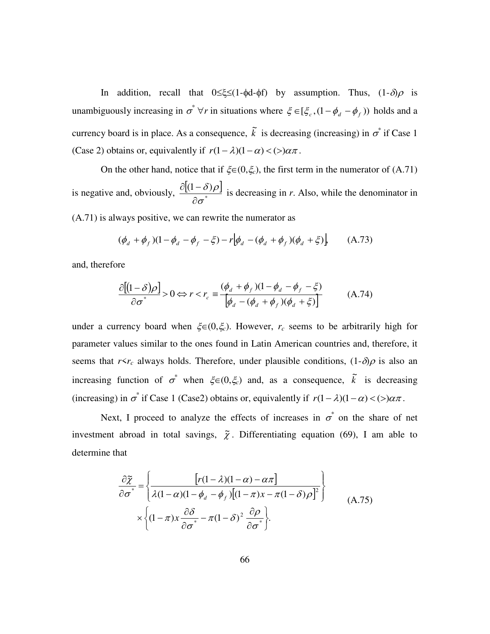In addition, recall that  $0 \le \xi \le (1 - \phi d - \phi f)$  by assumption. Thus,  $(1 - \delta)\rho$  is unambiguously increasing in  $\sigma^* \forall r$  in situations where  $\xi \in [\xi_c, (1 - \phi_d - \phi_f))$  holds and a currency board is in place. As a consequence,  $\tilde{k}$  is decreasing (increasing) in  $\sigma^*$  if Case 1 (Case 2) obtains or, equivalently if  $r(1 - \lambda)(1 - \alpha) < (>\varepsilon) \alpha \pi$ .

On the other hand, notice that if  $\xi \in (0,\xi_c)$ , the first term in the numerator of (A.71) is negative and, obviously,  $\frac{\partial [(1-\delta)\rho]}{\partial \sigma^*}$  $(1-\delta)$  $\sigma$  $\delta \rho$  $\partial$  $\partial |(1$  is decreasing in *r*. Also, while the denominator in (A.71) is always positive, we can rewrite the numerator as

$$
(\phi_d + \phi_f)(1 - \phi_d - \phi_f - \xi) - r[\phi_d - (\phi_d + \phi_f)(\phi_d + \xi)], \qquad (A.73)
$$

and, therefore

$$
\frac{\partial[(1-\delta)\rho]}{\partial \sigma^*} > 0 \Leftrightarrow r < r_c \equiv \frac{(\phi_d + \phi_f)(1 - \phi_d - \phi_f - \xi)}{[\phi_d - (\phi_d + \phi_f)(\phi_d + \xi)]} \tag{A.74}
$$

under a currency board when  $\xi \in (0,\xi_c)$ . However,  $r_c$  seems to be arbitrarily high for parameter values similar to the ones found in Latin American countries and, therefore, it seems that  $r \leq r_c$  always holds. Therefore, under plausible conditions,  $(1-\delta)\rho$  is also an increasing function of  $\sigma^*$  when  $\xi \in (0, \xi_c)$  and, as a consequence,  $\tilde{k}$  is decreasing (increasing) in  $\sigma^*$  if Case 1 (Case2) obtains or, equivalently if  $r(1 - \lambda)(1 - \alpha) < (>\alpha \pi)$ .

Next, I proceed to analyze the effects of increases in  $\sigma^*$  on the share of net investment abroad in total savings,  $\tilde{\chi}$ . Differentiating equation (69), I am able to determine that

$$
\frac{\partial \widetilde{\chi}}{\partial \sigma^*} = \left\{ \frac{\left[r(1-\lambda)(1-\alpha) - \alpha \pi\right]}{\lambda(1-\alpha)(1-\phi_d - \phi_f)\left[(1-\pi)x - \pi(1-\delta)\rho\right]^2} \right\} \times \left\{ (1-\pi)x \frac{\partial \delta}{\partial \sigma^*} - \pi(1-\delta)^2 \frac{\partial \rho}{\partial \sigma^*} \right\}.
$$
\n(A.75)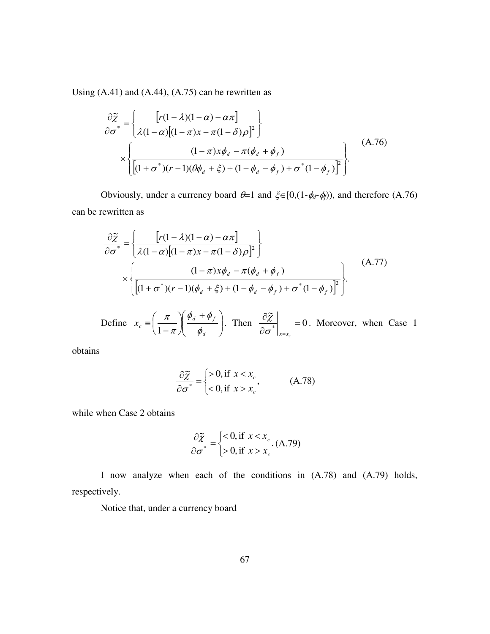Using  $(A.41)$  and  $(A.44)$ ,  $(A.75)$  can be rewritten as

$$
\frac{\partial \tilde{\chi}}{\partial \sigma^*} = \left\{ \frac{\left[r(1-\lambda)(1-\alpha) - \alpha \pi\right]}{\lambda(1-\alpha)\left[(1-\pi)x - \pi(1-\delta)\rho\right]^2} \right\}
$$
\n
$$
\times \left\{ \frac{(1-\pi)x\phi_d - \pi(\phi_d + \phi_f)}{\left[(1+\sigma^*)(r-1)(\theta\phi_d + \xi) + (1-\phi_d - \phi_f) + \sigma^*(1-\phi_f)\right]^2} \right\}.
$$
\n(A.76)

Obviously, under a currency board  $\theta = 1$  and  $\xi \in [0, (1-\phi_d-\phi_f))$ , and therefore (A.76) can be rewritten as

$$
\frac{\partial \tilde{\chi}}{\partial \sigma^*} = \left\{ \frac{\left[r(1-\lambda)(1-\alpha) - \alpha \pi\right]}{\lambda(1-\alpha)\left[(1-\pi)x - \pi(1-\delta)\rho\right]^2} \right\}
$$
\n
$$
\times \left\{ \frac{(1-\pi)x\phi_d - \pi(\phi_d + \phi_f)}{\left[(1+\sigma^*)(r-1)(\phi_d + \xi) + (1-\phi_d - \phi_f) + \sigma^*(1-\phi_f)\right]^2} \right\}.
$$
\n(A.77)

Define  $x_c \equiv \left( \frac{\lambda}{1 - \pi} \right) \left( \frac{\gamma_d + \gamma_f}{\phi} \right)$  $\bigg)$  $\setminus$  $\overline{\phantom{a}}$  $\setminus$  $(\phi_{d} +$  $\overline{\phantom{a}}$ J  $\left(\frac{\pi}{\pi}\right)$  $\setminus$ ſ  $\overline{a}$  $=$ *d*  $d$  <sup>*f*</sup>  $\psi$ <sub>f</sub>  $x_c$  $\phi$  $\phi_d + \phi$ π π 1 . Then  $\frac{v}{\lambda}$  = 0  $\tilde{v}$  $\left| \cdot \right|$  =  $\partial$  $\partial$  $\sigma$   $\vert_{x=x_c}$  $\frac{X}{X}$  = 0. Moreover, when Case 1

obtains

$$
\frac{\partial \tilde{\chi}}{\partial \sigma^*} = \begin{cases} >0, & \text{if } x < x_c \\ <0, & \text{if } x > x_c \end{cases}
$$
 (A.78)

while when Case 2 obtains

$$
\frac{\partial \widetilde{\chi}}{\partial \sigma^*} = \begin{cases} <0, & \text{if } x < x_c \\ >0, & \text{if } x > x_c \end{cases}.
$$
 (A.79)

I now analyze when each of the conditions in (A.78) and (A.79) holds, respectively.

Notice that, under a currency board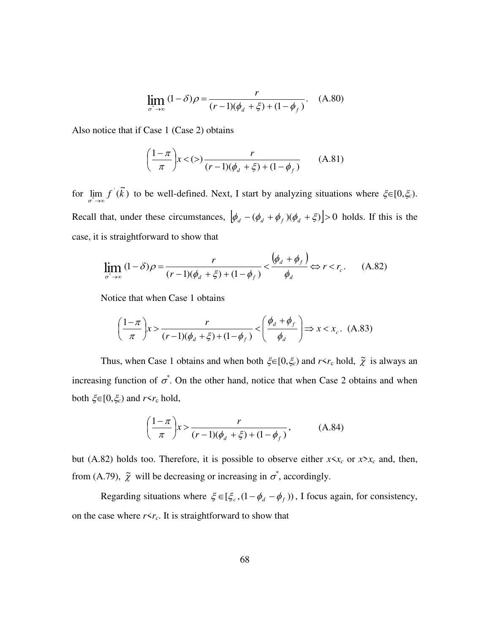$$
\lim_{\sigma^* \to \infty} (1 - \delta) \rho = \frac{r}{(r - 1)(\phi_d + \xi) + (1 - \phi_f)}.
$$
 (A.80)

Also notice that if Case 1 (Case 2) obtains

$$
\left(\frac{1-\pi}{\pi}\right)x < (>)\frac{r}{(r-1)(\phi_d + \xi) + (1-\phi_f)}
$$
 (A.81)

for  $\lim_{\sigma \to \infty} f(\vec{k})$  to be well-defined. Next, I start by analyzing situations where  $\xi \in [0, \xi_c)$ . Recall that, under these circumstances,  $[\phi_d - (\phi_d + \phi_f)(\phi_d + \xi)] > 0$  holds. If this is the case, it is straightforward to show that

$$
\lim_{\sigma \to \infty} (1 - \delta) \rho = \frac{r}{(r - 1)(\phi_d + \xi) + (1 - \phi_f)} < \frac{(\phi_d + \phi_f)}{\phi_d} \Leftrightarrow r < r_c.
$$
 (A.82)

Notice that when Case 1 obtains

$$
\left(\frac{1-\pi}{\pi}\right)x > \frac{r}{(r-1)(\phi_d + \xi) + (1-\phi_f)} < \left(\frac{\phi_d + \phi_f}{\phi_d}\right) \Rightarrow x < x_c. \quad \text{(A.83)}
$$

Thus, when Case 1 obtains and when both  $\xi \in [0, \xi_c)$  and  $r \leq r_c$  hold,  $\tilde{\chi}$  is always an increasing function of  $\sigma^*$ . On the other hand, notice that when Case 2 obtains and when both  $\xi \in [0, \xi_c)$  and  $r \leq r_c$  hold,

$$
\left(\frac{1-\pi}{\pi}\right)x > \frac{r}{(r-1)(\phi_d + \xi) + (1-\phi_f)},
$$
 (A.84)

but (A.82) holds too. Therefore, it is possible to observe either  $x \leq x_c$  or  $x \geq x_c$  and, then, from (A.79),  $\tilde{\chi}$  will be decreasing or increasing in  $\sigma^*$ , accordingly.

Regarding situations where  $\xi \in [\xi_c, (1 - \phi_d - \phi_f))$ , I focus again, for consistency, on the case where  $r \leq r_c$ . It is straightforward to show that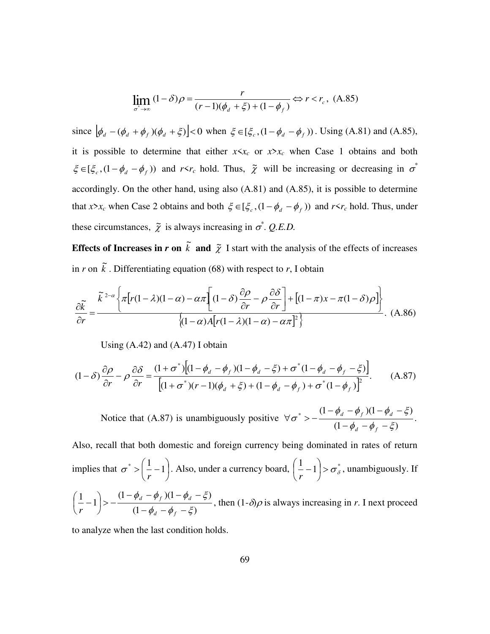$$
\lim_{\sigma^* \to \infty} (1 - \delta)\rho = \frac{r}{(r - 1)(\phi_d + \xi) + (1 - \phi_f)} \Leftrightarrow r < r_c, \text{ (A.85)}
$$

since  $[\phi_d - (\phi_d + \phi_f)(\phi_d + \xi)] < 0$  when  $\xi \in [\xi_c, (1 - \phi_d - \phi_f))$ . Using (A.81) and (A.85), it is possible to determine that either  $x \leq x_c$  or  $x \geq x_c$  when Case 1 obtains and both  $\xi \in [\xi_c, (1-\phi_d-\phi_f))$  and  $r \leq r_c$  hold. Thus,  $\tilde{\chi}$  will be increasing or decreasing in  $\sigma^*$ accordingly. On the other hand, using also (A.81) and (A.85), it is possible to determine that *x*>*x<sub>c</sub>* when Case 2 obtains and both  $\xi \in [\xi_c, (1 - \phi_d - \phi_f))$  and *r*<*r<sub>c</sub>* hold. Thus, under these circumstances,  $\tilde{\chi}$  is always increasing in  $\sigma^*$ . *Q.E.D.* 

**Effects of Increases in** *r* **on**  $\tilde{k}$  and  $\tilde{\chi}$  I start with the analysis of the effects of increases in *r* on  $\tilde{k}$ . Differentiating equation (68) with respect to *r*, I obtain

$$
\frac{\partial \widetilde{k}}{\partial r} = \frac{\widetilde{k}^{2-\alpha} \left\{ \pi \left[ r(1-\lambda)(1-\alpha) - \alpha \pi \left[ (1-\delta) \frac{\partial \rho}{\partial r} - \rho \frac{\partial \delta}{\partial r} \right] + \left[ (1-\pi)x - \pi (1-\delta) \rho \right] \right\}}{\left\{ (1-\alpha) A \left[ r(1-\lambda)(1-\alpha) - \alpha \pi \right]^2 \right\}}.
$$
(A.86)

Using  $(A.42)$  and  $(A.47)$  I obtain

$$
(1 - \delta) \frac{\partial \rho}{\partial r} - \rho \frac{\partial \delta}{\partial r} = \frac{(1 + \sigma^*) \left[ (1 - \phi_d - \phi_f)(1 - \phi_d - \xi) + \sigma^* (1 - \phi_d - \phi_f - \xi) \right]}{\left[ (1 + \sigma^*)(r - 1)(\phi_d + \xi) + (1 - \phi_d - \phi_f) + \sigma^* (1 - \phi_f) \right]^2}.
$$
 (A.87)

Notice that (A.87) is unambiguously positive  $\forall \sigma^* > -\frac{a^2 + a^2 + b^2}{2}$ .  $(1 - \phi_d - \phi_f - \xi)$  $(1 - \phi_d - \phi_f)(1 - \phi_d - \xi)$  $\phi_d - \phi_f - \xi$  $\sigma^* > -\frac{(1-\phi_d - \phi_f)(1-\phi_d - \xi)}{(1-\phi_d - \phi_f - \xi)}$  $-\phi_d - \phi_f(1-\phi_d \forall \sigma^* >$   $$ *d f* d  $\varphi_f \wedge \mathbf{1}$   $\varphi_d$ 

Also, recall that both domestic and foreign currency being dominated in rates of return implies that  $\sigma^* > |-1|$ J  $\left(\frac{1}{-1}\right)$  $\setminus$ \*  $>$  $\left( \frac{1}{-1} - 1 \right)$ *r*  $\sigma^* > \left( \begin{matrix} 1 & -1 \\ -1 & 1 \end{matrix} \right)$ . Also, under a currency board,  $\left( \begin{matrix} 1 & -1 \\ -1 & 1 \end{matrix} \right) > \sigma^*_{\delta}$ J  $\left(\frac{1}{-1}\right)$  $\setminus$  $\left(\frac{1}{-}\right)$ *r* , unambiguously. If  $(1 - \phi_d - \phi_f - \xi)$  $(1 - \phi_d - \phi_f)(1 - \phi_d - \xi)$  $\frac{1}{-1}$  $\phi_d - \phi_f - \xi$  $\phi_d - \phi_f(1-\phi_d - \xi)$  $-\phi_{d} - \phi_{f}$  –  $-\phi_{d} - \phi_{f}(1-\phi_{d} \vert$  > -J  $\left(\frac{1}{-1}\right)$  $\setminus$  $\begin{pmatrix} 1 \\ -1 \end{pmatrix}$ *d f* d  $\varphi_f \wedge \mathbf{1}$   $\varphi_d$ *r* , then  $(1-\delta)\rho$  is always increasing in *r*. I next proceed

to analyze when the last condition holds.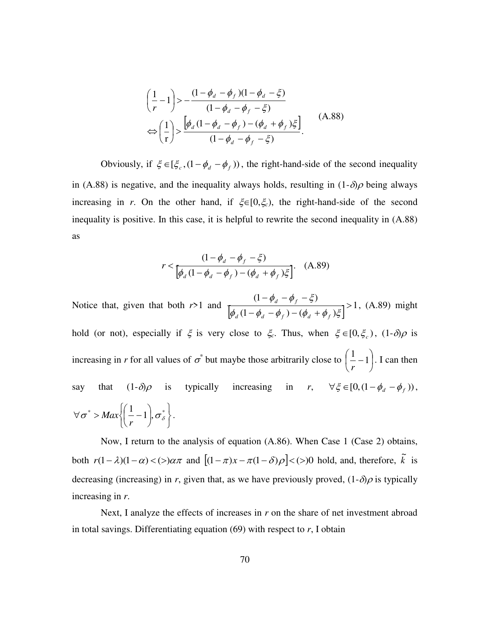$$
\left(\frac{1}{r}-1\right) > -\frac{(1-\phi_d-\phi_f)(1-\phi_d-\xi)}{(1-\phi_d-\phi_f-\xi)}
$$
\n
$$
\Leftrightarrow \left(\frac{1}{r}\right) > \frac{\left[\phi_d(1-\phi_d-\phi_f)-(\phi_d+\phi_f)\xi\right]}{(1-\phi_d-\phi_f-\xi)}.
$$
\n(A.88)

Obviously, if  $\xi \in [\xi_c, (1-\phi_d-\phi_f))$ , the right-hand-side of the second inequality in (A.88) is negative, and the inequality always holds, resulting in  $(1-\delta)\rho$  being always increasing in *r*. On the other hand, if  $\xi \in [0, \xi_c)$ , the right-hand-side of the second inequality is positive. In this case, it is helpful to rewrite the second inequality in (A.88) as

$$
r < \frac{(1 - \phi_d - \phi_f - \xi)}{[\phi_d (1 - \phi_d - \phi_f) - (\phi_d + \phi_f)\xi]}.
$$
 (A.89)

Notice that, given that both  $r > 1$  and  $\left[\phi_d(1 - \phi_d - \phi_f) - (\phi_d + \phi_f)\xi\right] > 1$  $(1 - \phi_d - \phi_f - \xi)$  $>$  $-\phi_d - \phi_f$ ) –  $(\phi_d +$  $-\phi_d - \phi_t$  –  $|\phi_d(1-\phi_d-\phi_f) - (\phi_d+\phi_f)\xi|$  $\phi_d - \phi_f - \xi$  $d \left( \begin{matrix} 1 & \psi_d & \psi_f \end{matrix} \right)$   $\left( \begin{matrix} \psi_d & \psi_f \end{matrix} \right)$  $\frac{d}{dx} \frac{\varphi_f}{\sqrt{1 + \frac{1}{x^2}}} > 1$ , (A.89) might hold (or not), especially if  $\xi$  is very close to  $\xi_c$ . Thus, when  $\xi \in [0, \xi_c)$ ,  $(1-\delta)\rho$  is increasing in *r* for all values of  $\sigma^*$  but maybe those arbitrarily close to  $\begin{pmatrix} 1 & -1 \\ -1 & 1 \end{pmatrix}$ J  $\left(\frac{1}{-1}\right)$  $\setminus$  $\left(\frac{1}{-1}\right)$ *r* . I can then say that  $(1-\delta)\rho$  is typically increasing in *r*,  $\forall \xi \in [0,(1-\phi_d-\phi_f))$ , J  $\left\{ \right\}$  $\mathbf{I}$  $\overline{\mathcal{L}}$ ⇃  $\left\lceil$  $\overline{\phantom{a}}$ J  $\left(\frac{1}{-1}\right)$  $\setminus$  $\forall \sigma^* > Max \left\{ \left( \frac{1}{r} - 1 \right), \sigma_{\delta}^* \right\}$  $\text{Max}\left\{ \left| \begin{array}{c} 1 \\ -1 \end{array} \right|, \sigma_{\delta}^* \right\}.$ 

Now, I return to the analysis of equation (A.86). When Case 1 (Case 2) obtains, both  $r(1-\lambda)(1-\alpha) < (>\varepsilon)\alpha\pi$  and  $[(1-\pi)x-\pi(1-\delta)\rho] < (>\varepsilon)0$  hold, and, therefore,  $\tilde{k}$  is decreasing (increasing) in *r*, given that, as we have previously proved,  $(1-\delta)\rho$  is typically increasing in *r*.

Next, I analyze the effects of increases in *r* on the share of net investment abroad in total savings. Differentiating equation (69) with respect to *r*, I obtain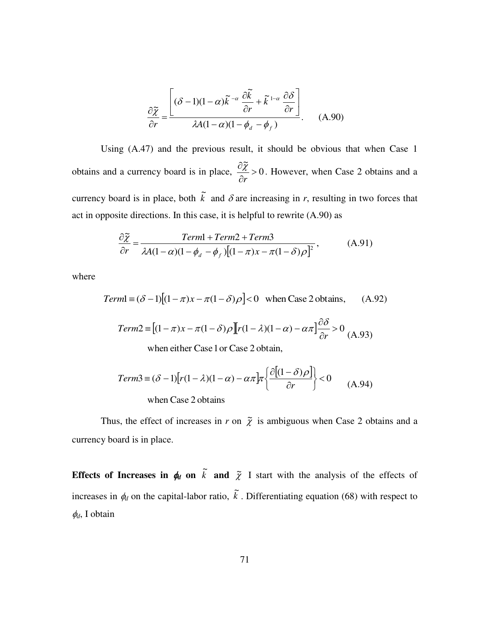$$
\frac{\partial \widetilde{\chi}}{\partial r} = \frac{\left[ (\delta - 1)(1 - \alpha)\widetilde{k}^{-\alpha} \frac{\partial \widetilde{k}}{\partial r} + \widetilde{k}^{1-\alpha} \frac{\partial \delta}{\partial r} \right]}{\lambda A(1 - \alpha)(1 - \phi_d - \phi_f)}.
$$
 (A.90)

Using (A.47) and the previous result, it should be obvious that when Case 1 obtains and a currency board is in place,  $\frac{6\lambda}{2} > 0$  $\tilde{v}$  $>$  $\partial$  $\partial$ *r*  $\frac{\chi}{\chi} > 0$ . However, when Case 2 obtains and a currency board is in place, both  $\tilde{k}$  and  $\delta$  are increasing in *r*, resulting in two forces that act in opposite directions. In this case, it is helpful to rewrite (A.90) as

$$
\frac{\partial \widetilde{\chi}}{\partial r} = \frac{Term1 + Term2 + Term3}{\lambda A(1 - \alpha)(1 - \phi_d - \phi_f)\left[ (1 - \pi)x - \pi(1 - \delta)\rho \right]^2},
$$
(A.91)

where

Term1 = 
$$
(\delta - 1)[(1 - \pi)x - \pi(1 - \delta)\rho] < 0
$$
 when Case 2 obtains, (A.92)

*Term*2 = 
$$
[(1 - \pi)x - \pi(1 - \delta)\rho][r(1 - \lambda)(1 - \alpha) - \alpha\pi]\frac{\partial\delta}{\partial r} > 0
$$
 (A.93)

when either Case 1 or Case 2 obtain,

*Term3* = 
$$
(\delta - 1)[r(1 - \lambda)(1 - \alpha) - \alpha \pi] \pi \left\{ \frac{\partial [(1 - \delta)\rho]}{\partial r} \right\} < 0
$$
 (A.94)  
when Case 2 obtains

Thus, the effect of increases in *r* on  $\tilde{\chi}$  is ambiguous when Case 2 obtains and a currency board is in place.

**Effects of Increases in**  $\phi_d$  **on**  $\tilde{k}$  **and**  $\tilde{\chi}$  **I start with the analysis of the effects of** increases in  $\phi_d$  on the capital-labor ratio,  $\tilde{k}$ . Differentiating equation (68) with respect to  $\phi_d$ , I obtain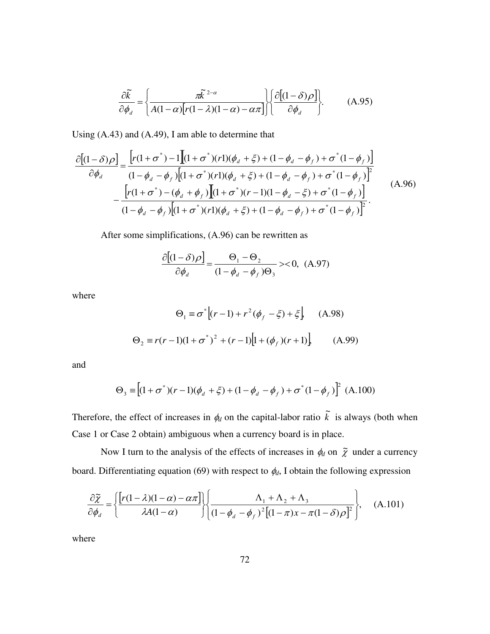$$
\frac{\partial \widetilde{k}}{\partial \phi_d} = \left\{ \frac{\pi \widetilde{k}^{2-\alpha}}{A(1-\alpha)\left[r(1-\lambda)(1-\alpha) - \alpha \pi\right]} \right\} \left[ \frac{\partial \left[(1-\delta)\rho\right]}{\partial \phi_d} \right].
$$
 (A.95)

Using (A.43) and (A.49), I am able to determine that

$$
\frac{\partial[(1-\delta)\rho]}{\partial\phi_d} = \frac{\left[r(1+\sigma^*)-1\right](1+\sigma^*)(r)(\phi_d+\xi)+(1-\phi_d-\phi_f)+\sigma^*(1-\phi_f)\right]}{(1-\phi_d-\phi_f)\left[(1+\sigma^*)(r)(\phi_d+\xi)+(1-\phi_d-\phi_f)+\sigma^*(1-\phi_f)\right]^2}
$$
\n
$$
-\frac{\left[r(1+\sigma^*)-(\phi_d+\phi_f)\right](1+\sigma^*)(r-1)(1-\phi_d-\xi)+\sigma^*(1-\phi_f)\right]}{(1-\phi_d-\phi_f)\left[(1+\sigma^*)(r)(\phi_d+\xi)+(1-\phi_d-\phi_f)+\sigma^*(1-\phi_f)\right]^2}.
$$
\n(A.96)

After some simplifications, (A.96) can be rewritten as

$$
\frac{\partial [(1 - \delta)\rho]}{\partial \phi_d} = \frac{\Theta_1 - \Theta_2}{(1 - \phi_d - \phi_f)\Theta_3} >< 0, \text{ (A.97)}
$$

where

$$
\Theta_1 \equiv \sigma^* \left[ (r - 1) + r^2 (\phi_f - \xi) + \xi \right] \quad (A.98)
$$
  

$$
\Theta_2 \equiv r(r - 1)(1 + \sigma^*)^2 + (r - 1)\left[1 + (\phi_f)(r + 1)\right] \quad (A.99)
$$

and

$$
\Theta_3 = [(1 + \sigma^*)(r - 1)(\phi_d + \xi) + (1 - \phi_d - \phi_f) + \sigma^*(1 - \phi_f)]^2
$$
 (A.100)

Therefore, the effect of increases in  $\phi_d$  on the capital-labor ratio  $\tilde{k}$  is always (both when Case 1 or Case 2 obtain) ambiguous when a currency board is in place.

Now I turn to the analysis of the effects of increases in  $\phi_d$  on  $\tilde{\chi}$  under a currency board. Differentiating equation (69) with respect to  $\phi_d$ , I obtain the following expression

$$
\frac{\partial \tilde{\chi}}{\partial \phi_d} = \left\{ \frac{\left[r(1-\lambda)(1-\alpha) - \alpha \pi\right]}{\lambda A(1-\alpha)} \right\} \left\{ \frac{\Lambda_1 + \Lambda_2 + \Lambda_3}{(1-\phi_d - \phi_f)^2 \left[(1-\pi)x - \pi(1-\delta)\rho\right]^2} \right\}, \quad \text{(A.101)}
$$

where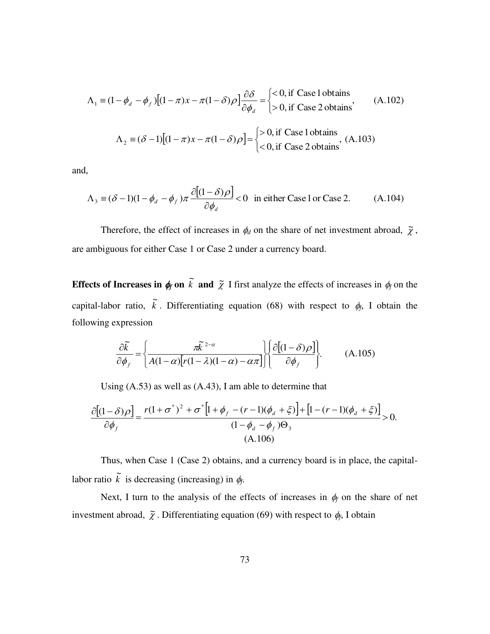$$
\Lambda_1 = (1 - \phi_d - \phi_f)[(1 - \pi)x - \pi(1 - \delta)\rho] \frac{\partial \delta}{\partial \phi_d} = \begin{cases} < 0, \text{if Case 1 obtains} \\ > 0, \text{if Case 2 obtains} \end{cases}
$$
\n
$$
\Lambda_2 = (\delta - 1)[(1 - \pi)x - \pi(1 - \delta)\rho] = \begin{cases} > 0, \text{if Case 1 obtains} \\ < 0, \text{if Case 2 obtains} \end{cases}
$$
\n(A.103)

and,

$$
\Lambda_3 \equiv (\delta - 1)(1 - \phi_d - \phi_f)\pi \frac{\partial [(1 - \delta)\rho]}{\partial \phi_d} < 0 \quad \text{in either Case 1 or Case 2.} \tag{A.104}
$$

Therefore, the effect of increases in  $\phi_d$  on the share of net investment abroad,  $\tilde{\chi}$ , are ambiguous for either Case 1 or Case 2 under a currency board.

**Effects of Increases in**  $\phi$  **on**  $\tilde{k}$  and  $\tilde{\chi}$  I first analyze the effects of increases in  $\phi$  on the capital-labor ratio,  $\tilde{k}$ . Differentiating equation (68) with respect to  $\phi_i$ , I obtain the following expression

$$
\frac{\partial \widetilde{k}}{\partial \phi_f} = \left\{ \frac{\pi \widetilde{k}^{2-\alpha}}{A(1-\alpha)\left[r(1-\lambda)(1-\alpha) - \alpha \pi\right]} \right\} \left[ \frac{\partial \left[(1-\delta)\rho\right]}{\partial \phi_f} \right].
$$
 (A.105)

Using (A.53) as well as (A.43), I am able to determine that

$$
\frac{\partial [(1-\delta)\rho]}{\partial \phi_f} = \frac{r(1+\sigma^*)^2 + \sigma^* [1+\phi_f - (r-1)(\phi_d + \xi)] + [1 - (r-1)(\phi_d + \xi)]}{(1-\phi_d - \phi_f)\Theta_3} > 0.
$$
\n(A.106)

Thus, when Case 1 (Case 2) obtains, and a currency board is in place, the capitallabor ratio  $\tilde{k}$  is decreasing (increasing) in  $\phi$ .

Next, I turn to the analysis of the effects of increases in  $\phi_f$  on the share of net investment abroad,  $\tilde{\chi}$ . Differentiating equation (69) with respect to  $\phi$ , I obtain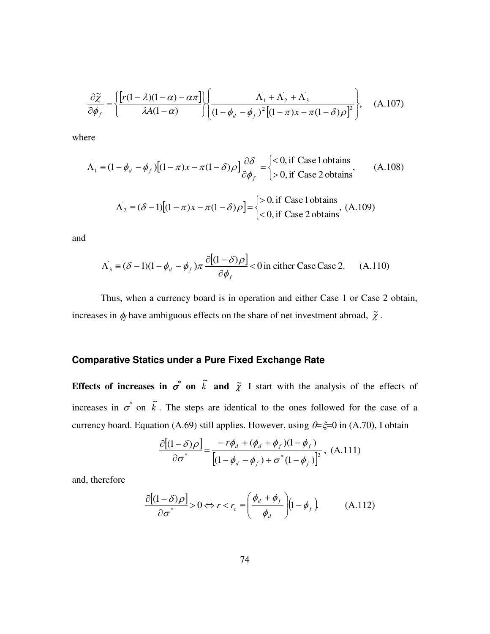$$
\frac{\partial \tilde{\chi}}{\partial \phi_f} = \left\{ \frac{\left[r(1-\lambda)(1-\alpha) - \alpha \pi\right]}{\lambda A(1-\alpha)} \right\} \left\{ \frac{\Lambda_1 + \Lambda_2 + \Lambda_3}{(1-\phi_d - \phi_f)^2 \left[(1-\pi)x - \pi(1-\delta)\rho\right]^2} \right\}, \quad (A.107)
$$

where

$$
\Lambda_1 = (1 - \phi_d - \phi_f) \left[ (1 - \pi)x - \pi(1 - \delta) \rho \right] \frac{\partial \delta}{\partial \phi_f} = \begin{cases} < 0, \text{if Case 1 obtains} \\ > 0, \text{if Case 2 obtains} \end{cases}
$$
\n(A.108)\n
$$
\Lambda_2 = (\delta - 1) \left[ (1 - \pi)x - \pi(1 - \delta) \rho \right] = \begin{cases} > 0, \text{if Case 1 obtains} \\ < 0, \text{if Case 2 obtains} \end{cases}
$$
\n(A.109)

and

$$
\Lambda_{3} = (\delta - 1)(1 - \phi_{d} - \phi_{f})\pi \frac{\partial [(1 - \delta)\rho]}{\partial \phi_{f}} < 0 \text{ in either Case Case 2.} \quad (A.110)
$$

Thus, when a currency board is in operation and either Case 1 or Case 2 obtain, increases in  $\phi_f$  have ambiguous effects on the share of net investment abroad,  $\tilde{\chi}$ .

## **Comparative Statics under a Pure Fixed Exchange Rate**

**Effects of increases in**  $\sigma^*$  **on**  $\tilde{k}$  **and**  $\tilde{\chi}$  **I start with the analysis of the effects of** increases in  $\sigma^*$  on  $\tilde{k}$ . The steps are identical to the ones followed for the case of a currency board. Equation (A.69) still applies. However, using  $\theta = \xi = 0$  in (A.70), I obtain

$$
\frac{\partial[(1-\delta)\rho]}{\partial \sigma^*} = \frac{-r\phi_d + (\phi_d + \phi_f)(1-\phi_f)}{[(1-\phi_d - \phi_f) + \sigma^*(1-\phi_f)]^2}, \text{ (A.111)}
$$

and, therefore

$$
\frac{\partial [(1-\delta)\rho]}{\partial \sigma^*} > 0 \Leftrightarrow r < r_c \equiv \left(\frac{\phi_d + \phi_f}{\phi_d}\right) (1 - \phi_f) \tag{A.112}
$$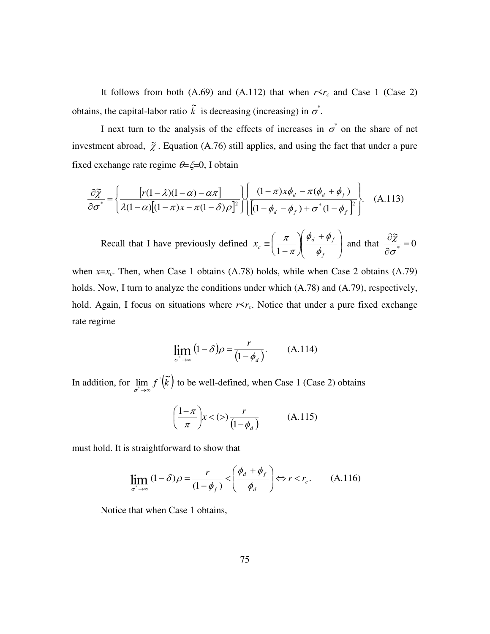It follows from both  $(A.69)$  and  $(A.112)$  that when  $r \leq r_c$  and Case 1 (Case 2) obtains, the capital-labor ratio  $\tilde{k}$  is decreasing (increasing) in  $\sigma^*$ .

I next turn to the analysis of the effects of increases in  $\sigma^*$  on the share of net investment abroad,  $\tilde{\chi}$ . Equation (A.76) still applies, and using the fact that under a pure fixed exchange rate regime  $\theta = \xi = 0$ , I obtain

$$
\frac{\partial \widetilde{\chi}}{\partial \sigma^*} = \left\{ \frac{\left[r(1-\lambda)(1-\alpha) - \alpha \pi\right]}{\lambda(1-\alpha)\left[(1-\pi)x - \pi(1-\delta)\rho\right]^2} \right\} \left[ \frac{(1-\pi)x\phi_d - \pi(\phi_d + \phi_f)}{\left[(1-\phi_d - \phi_f) + \sigma^*(1-\phi_f)\right]^2} \right].
$$
 (A.113)

Recall that I have previously defined  $x_c \equiv \left(\frac{\pi}{1-\pi}\right) \frac{\varphi_d + \varphi_f}{\phi_a}$  $\int$  $\setminus$  $\mathsf{I}$  $\mathsf{I}$  $\setminus$  $(\phi_{d} +$  $\overline{\phantom{a}}$ J  $\left(\frac{\pi}{\pi}\right)$  $\setminus$ ſ  $\overline{a}$  $=$ *f*  $d$  <sup>*f*</sup>  $\psi$ <sub>f</sub>  $x_c$  $\phi$  $\phi_d + \phi$ π π 1 and that  $\frac{6\lambda}{2} = 0$  $\tilde{v}$  $\frac{1}{\ast}$  =  $\partial$  $\partial$ σ χ

when  $x=x_c$ . Then, when Case 1 obtains (A.78) holds, while when Case 2 obtains (A.79) holds. Now, I turn to analyze the conditions under which (A.78) and (A.79), respectively, hold. Again, I focus on situations where  $r \leq r_c$ . Notice that under a pure fixed exchange rate regime

$$
\lim_{\sigma^* \to \infty} (1 - \delta)\rho = \frac{r}{(1 - \phi_d)}.
$$
 (A.114)

In addition, for  $\lim_{\sigma \to \infty} f'(\tilde{k})$  to be well-defined, when Case 1 (Case 2) obtains

$$
\left(\frac{1-\pi}{\pi}\right)x < \left(>\right) \frac{r}{\left(1-\phi_d\right)}\tag{A.115}
$$

must hold. It is straightforward to show that

$$
\lim_{\sigma \to \infty} (1 - \delta) \rho = \frac{r}{(1 - \phi_f)} < \left( \frac{\phi_d + \phi_f}{\phi_d} \right) \Leftrightarrow r < r_c.
$$
 (A.116)

Notice that when Case 1 obtains,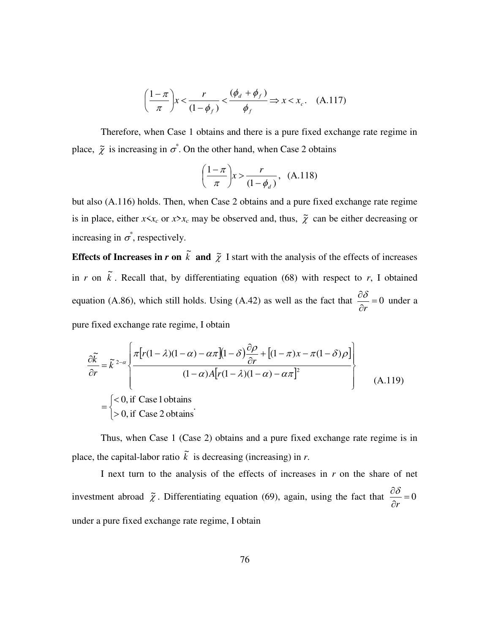$$
\left(\frac{1-\pi}{\pi}\right)x < \frac{r}{(1-\phi_f)} < \frac{(\phi_d + \phi_f)}{\phi_f} \Rightarrow x < x_c. \quad \text{(A.117)}
$$

Therefore, when Case 1 obtains and there is a pure fixed exchange rate regime in place,  $\tilde{\chi}$  is increasing in  $\sigma^*$ . On the other hand, when Case 2 obtains

$$
\left(\frac{1-\pi}{\pi}\right)x > \frac{r}{(1-\phi_d)}, \quad \text{(A.118)}
$$

but also (A.116) holds. Then, when Case 2 obtains and a pure fixed exchange rate regime is in place, either  $x \leq x_c$  or  $x \geq x_c$  may be observed and, thus,  $\tilde{\chi}$  can be either decreasing or increasing in  $\sigma^*$ , respectively.

**Effects of Increases in** *r* **on**  $\tilde{k}$  and  $\tilde{\chi}$  I start with the analysis of the effects of increases in *r* on  $\tilde{k}$ . Recall that, by differentiating equation (68) with respect to *r*, I obtained equation (A.86), which still holds. Using (A.42) as well as the fact that  $\frac{\partial b}{\partial z} = 0$  $\partial$  $\partial$ *r*  $\delta = 0$  under a pure fixed exchange rate regime, I obtain

$$
\frac{\partial \widetilde{k}}{\partial r} = \widetilde{k}^{2-\alpha} \left\{ \frac{\pi \left[ r(1-\lambda)(1-\alpha) - \alpha \pi \right] (1-\delta) \frac{\partial \rho}{\partial r} + \left[ (1-\pi)x - \pi (1-\delta) \rho \right]}{(1-\alpha)A[r(1-\lambda)(1-\alpha) - \alpha \pi]^2} \right\}
$$
\n(A.119)\n
$$
= \begin{cases}\n< 0, & \text{if } \text{Case 1 obtains} \\
> 0, & \text{if } \text{Case 2 obtains}\n\end{cases}
$$

Thus, when Case 1 (Case 2) obtains and a pure fixed exchange rate regime is in place, the capital-labor ratio  $\tilde{k}$  is decreasing (increasing) in *r*.

I next turn to the analysis of the effects of increases in *r* on the share of net investment abroad  $\tilde{\chi}$ . Differentiating equation (69), again, using the fact that  $\frac{\partial \phi}{\partial z} = 0$  $\partial$  $\partial$ *r* δ under a pure fixed exchange rate regime, I obtain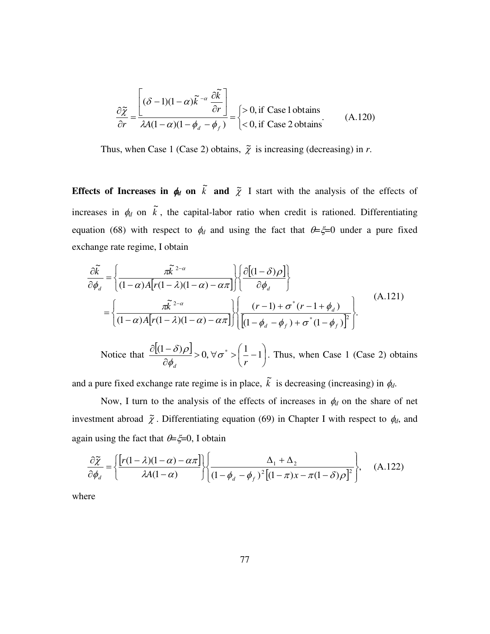$$
\frac{\partial \tilde{\chi}}{\partial r} = \frac{\left[ (\delta - 1)(1 - \alpha)\tilde{k}^{-\alpha} \frac{\partial \tilde{k}}{\partial r} \right]}{\lambda A (1 - \alpha)(1 - \phi_d - \phi_f)} = \begin{cases} > 0, & \text{if } \text{Case 1 obtains} \\ < 0, & \text{if } \text{Case 2 obtains} \end{cases}
$$
 (A.120)

Thus, when Case 1 (Case 2) obtains,  $\tilde{\chi}$  is increasing (decreasing) in *r*.

**Effects of Increases in**  $\phi_d$  **on**  $\tilde{k}$  **and**  $\tilde{\chi}$  **I start with the analysis of the effects of** increases in  $\phi_d$  on  $\tilde{k}$ , the capital-labor ratio when credit is rationed. Differentiating equation (68) with respect to  $\phi_d$  and using the fact that  $\theta = \xi = 0$  under a pure fixed exchange rate regime, I obtain

$$
\frac{\partial \widetilde{k}}{\partial \phi_d} = \left\{ \frac{\pi \widetilde{k}^{2-\alpha}}{(1-\alpha)A[r(1-\lambda)(1-\alpha)-\alpha\pi]} \right\} \left\{ \frac{\partial [(1-\delta)\rho]}{\partial \phi_d} \right\}
$$
\n
$$
= \left\{ \frac{\pi \widetilde{k}^{2-\alpha}}{(1-\alpha)A[r(1-\lambda)(1-\alpha)-\alpha\pi]} \right\} \left[ \frac{(r-1) + \sigma^*(r-1+\phi_d)}{[(1-\phi_d-\phi_f) + \sigma^*(1-\phi_f)]^2} \right].
$$
\n(A.121)

Notice that  $\frac{\partial [(1-\delta)\rho]}{\gamma} > 0, \forall \sigma^* > \left(\frac{1}{\sigma}-1\right)$ J  $\left(\frac{1}{-1}\right)$  $\setminus$  $> 0, \forall \sigma^* > \left(\frac{1}{1 - \sigma}\right)$  $\partial$  $\partial |(1 \left(\frac{(1-\delta)\rho}{\rho}\right) > 0, \forall \sigma^* > \left(\frac{1}{\rho}-1\right)$  $\frac{1}{\phi_d} > 0, \forall \sigma > \left(\frac{1}{r}\right)$  $\frac{\delta(\rho)}{\rho} > 0, \forall \sigma^* > \left( \frac{1}{\rho} - 1 \right)$ . Thus, when Case 1 (Case 2) obtains

and a pure fixed exchange rate regime is in place,  $\tilde{k}$  is decreasing (increasing) in  $\phi_d$ .

Now, I turn to the analysis of the effects of increases in  $\phi_d$  on the share of net investment abroad  $\tilde{\chi}$ . Differentiating equation (69) in Chapter I with respect to  $\phi_d$ , and again using the fact that  $\theta = \xi = 0$ , I obtain

$$
\frac{\partial \widetilde{\chi}}{\partial \phi_d} = \left\{ \frac{\left[r(1-\lambda)(1-\alpha) - \alpha \pi\right]}{\lambda A(1-\alpha)} \right\} \left[ \frac{\Delta_1 + \Delta_2}{\left(1 - \phi_d - \phi_f\right)^2 \left[(1-\pi)x - \pi(1-\delta)\rho\right]^2} \right], \quad \text{(A.122)}
$$

where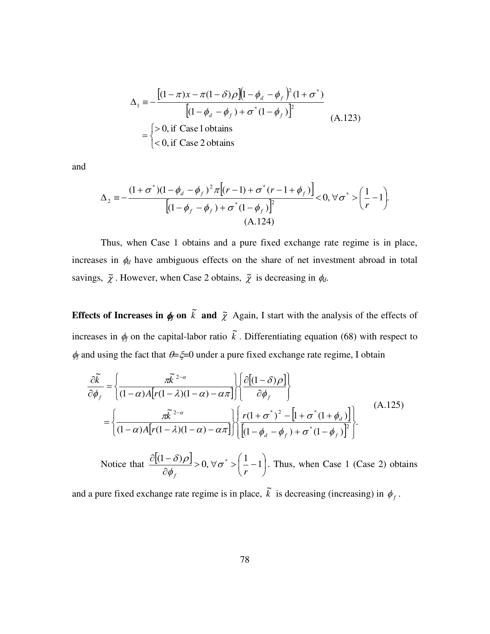$$
\Delta_1 = -\frac{\left[ (1 - \pi)x - \pi(1 - \delta)\rho \right] \left[ 1 - \phi_d - \phi_f \right]^2 (1 + \sigma^*)}{\left[ (1 - \phi_d - \phi_f) + \sigma^* (1 - \phi_f) \right]^2}
$$
\n
$$
= \begin{cases}\n> 0, & \text{if Case 1 obtains} \\
< 0, & \text{if Case 2 obtains}\n\end{cases} (A.123)
$$

and

$$
\Delta_2 = -\frac{(1+\sigma^*)(1-\phi_d-\phi_f)^2\pi[(r-1)+\sigma^*(r-1+\phi_f)]}{[(1-\phi_f-\phi_f)+\sigma^*(1-\phi_f)]^2} < 0, \forall \sigma^* > \left(\frac{1}{r}-1\right).
$$
\n(A.124)

Thus, when Case 1 obtains and a pure fixed exchange rate regime is in place, increases in  $\phi_d$  have ambiguous effects on the share of net investment abroad in total savings,  $\tilde{\chi}$ . However, when Case 2 obtains,  $\tilde{\chi}$  is decreasing in  $\phi_d$ .

**Effects of Increases in**  $\phi_f$  **on**  $\tilde{k}$  **and**  $\tilde{\chi}$  **Again, I start with the analysis of the effects of** increases in  $\phi_f$  on the capital-labor ratio  $\tilde{k}$ . Differentiating equation (68) with respect to  $\phi_f$  and using the fact that  $\theta = \xi = 0$  under a pure fixed exchange rate regime, I obtain

$$
\frac{\partial \widetilde{k}}{\partial \phi_f} = \left\{ \frac{\pi \widetilde{k}^{2-\alpha}}{(1-\alpha)A[r(1-\lambda)(1-\alpha)-\alpha\pi]} \right\} \left[ \frac{\partial [(1-\delta)\rho]}{\partial \phi_f} \right]
$$
\n
$$
= \left\{ \frac{\pi \widetilde{k}^{2-\alpha}}{(1-\alpha)A[r(1-\lambda)(1-\alpha)-\alpha\pi]} \right\} \left[ \frac{r(1+\sigma^*)^2 - [1+\sigma^*(1+\phi_d)]}{\left[(1-\phi_d-\phi_f)+\sigma^*(1-\phi_f)\right]^2} \right].
$$
\n(A.125)

Notice that  $\frac{\partial [(1-\delta)\rho]}{\gamma} > 0, \forall \sigma^* > \left(\frac{1}{\sigma}-1\right)$ J  $\left(\frac{1}{-1}\right)$  $\setminus$  $> 0, \forall \sigma^* > \boxed{\frac{1}{1-\sigma}}$  $\partial$  $\partial |(1 \left(\frac{(1-\delta)\rho}{\rho}\right) > 0, \forall \sigma^* > \left(\frac{1}{\rho}-1\right)$  $\frac{1}{\phi_f}$  > 0,  $\sigma$  >  $\frac{1}{r}$  $\frac{\delta(\rho)}{\rho} > 0, \forall \sigma^* > \left( \frac{1}{\rho} - 1 \right)$ . Thus, when Case 1 (Case 2) obtains

and a pure fixed exchange rate regime is in place,  $\tilde{k}$  is decreasing (increasing) in  $\phi_f$ .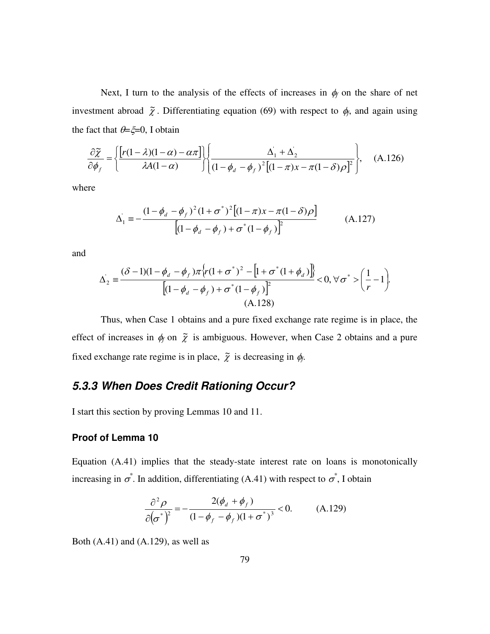Next, I turn to the analysis of the effects of increases in  $\phi_f$  on the share of net investment abroad  $\tilde{\chi}$ . Differentiating equation (69) with respect to  $\phi_f$ , and again using the fact that  $\theta = \xi = 0$ , I obtain

$$
\frac{\partial \tilde{\chi}}{\partial \phi_f} = \left\{ \frac{\left[r(1-\lambda)(1-\alpha) - \alpha \pi\right]}{\lambda A(1-\alpha)}\right\} \left\{ \frac{\Delta_1 + \Delta_2}{(1-\phi_d - \phi_f)^2 \left[(1-\pi)x - \pi(1-\delta)\rho\right]^2} \right\}, \quad \text{(A.126)}
$$

where

$$
\Delta_1 = -\frac{(1 - \phi_d - \phi_f)^2 (1 + \sigma^*)^2 [(1 - \pi)x - \pi (1 - \delta)\rho]}{[(1 - \phi_d - \phi_f) + \sigma^* (1 - \phi_f)]^2}
$$
(A.127)

and

$$
\Delta_2 = \frac{(\delta - 1)(1 - \phi_d - \phi_f)\pi \left(r(1 + \sigma^*)^2 - \left[1 + \sigma^*(1 + \phi_d)\right]\right)}{\left[(1 - \phi_d - \phi_f) + \sigma^*(1 - \phi_f)\right]^2} < 0, \forall \sigma^* > \left(\frac{1}{r} - 1\right).
$$
\n(A.128)

Thus, when Case 1 obtains and a pure fixed exchange rate regime is in place, the effect of increases in  $\phi_f$  on  $\tilde{\chi}$  is ambiguous. However, when Case 2 obtains and a pure fixed exchange rate regime is in place,  $\tilde{\chi}$  is decreasing in  $\phi_f$ .

# *5.3.3 When Does Credit Rationing Occur?*

I start this section by proving Lemmas 10 and 11.

### **Proof of Lemma 10**

Equation (A.41) implies that the steady-state interest rate on loans is monotonically increasing in  $\sigma^*$ . In addition, differentiating (A.41) with respect to  $\sigma^*$ , I obtain

$$
\frac{\partial^2 \rho}{\partial (\sigma^*)^2} = -\frac{2(\phi_d + \phi_f)}{(1 - \phi_f - \phi_f)(1 + \sigma^*)^3} < 0.
$$
 (A.129)

Both  $(A.41)$  and  $(A.129)$ , as well as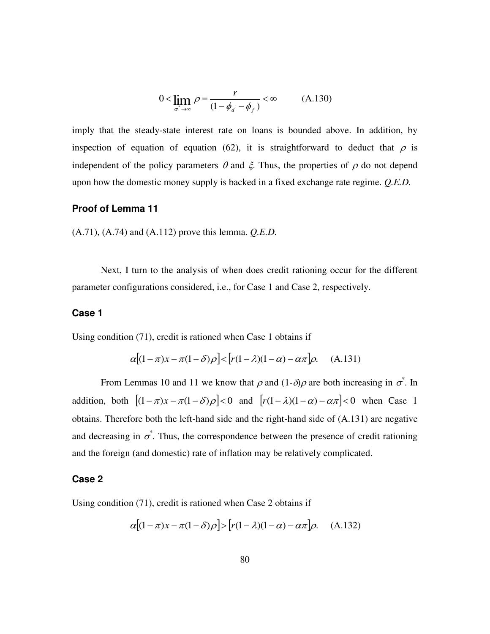$$
0 < \lim_{\sigma^* \to \infty} \rho = \frac{r}{(1 - \phi_d - \phi_f)} < \infty \tag{A.130}
$$

imply that the steady-state interest rate on loans is bounded above. In addition, by inspection of equation of equation (62), it is straightforward to deduct that  $\rho$  is independent of the policy parameters  $\theta$  and  $\xi$ . Thus, the properties of  $\rho$  do not depend upon how the domestic money supply is backed in a fixed exchange rate regime. *Q.E.D.*

## **Proof of Lemma 11**

$$
(A.71)
$$
,  $(A.74)$  and  $(A.112)$  prove this lemma. *Q.E.D.*

Next, I turn to the analysis of when does credit rationing occur for the different parameter configurations considered, i.e., for Case 1 and Case 2, respectively.

### **Case 1**

Using condition (71), credit is rationed when Case 1 obtains if

$$
\alpha[(1-\pi)x - \pi(1-\delta)\rho] < [r(1-\lambda)(1-\alpha) - \alpha\pi]\rho. \quad \text{(A.131)}
$$

From Lemmas 10 and 11 we know that  $\rho$  and  $(1-\delta)\rho$  are both increasing in  $\sigma^*$ . In addition, both  $[(1 - \pi)x - \pi(1 - \delta)\rho] < 0$  and  $[r(1 - \lambda)(1 - \alpha) - \alpha\pi] < 0$  when Case 1 obtains. Therefore both the left-hand side and the right-hand side of (A.131) are negative and decreasing in  $\sigma^*$ . Thus, the correspondence between the presence of credit rationing and the foreign (and domestic) rate of inflation may be relatively complicated.

### **Case 2**

Using condition (71), credit is rationed when Case 2 obtains if

$$
\alpha[(1-\pi)x - \pi(1-\delta)\rho] > [r(1-\lambda)(1-\alpha) - \alpha\pi]\rho. \quad (A.132)
$$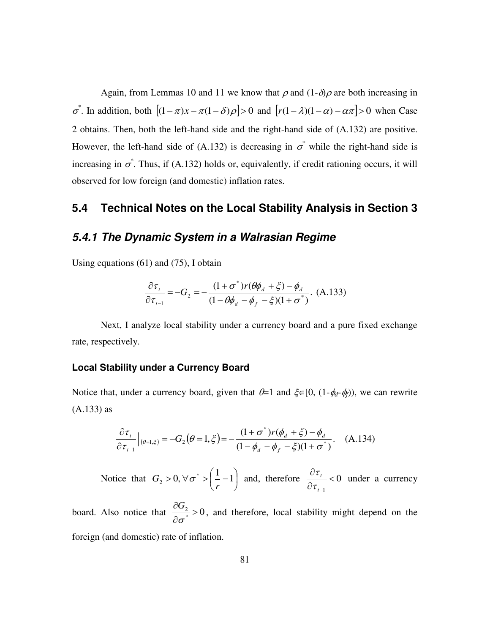Again, from Lemmas 10 and 11 we know that  $\rho$  and  $(1-\delta)\rho$  are both increasing in  $\sigma^*$ . In addition, both  $[(1 - \pi)x - \pi(1 - \delta)\rho] > 0$  and  $[r(1 - \lambda)(1 - \alpha) - \alpha\pi] > 0$  when Case 2 obtains. Then, both the left-hand side and the right-hand side of (A.132) are positive. However, the left-hand side of (A.132) is decreasing in  $\sigma^*$  while the right-hand side is increasing in  $\sigma^*$ . Thus, if (A.132) holds or, equivalently, if credit rationing occurs, it will observed for low foreign (and domestic) inflation rates.

# **5.4 Technical Notes on the Local Stability Analysis in Section 3**

## *5.4.1 The Dynamic System in a Walrasian Regime*

Using equations (61) and (75), I obtain

$$
\frac{\partial \tau_t}{\partial \tau_{t-1}} = -G_2 = -\frac{(1+\sigma^*)r(\theta \phi_d + \xi) - \phi_d}{(1-\theta \phi_d - \phi_f - \xi)(1+\sigma^*)}.
$$
 (A.133)

Next, I analyze local stability under a currency board and a pure fixed exchange rate, respectively.

## **Local Stability under a Currency Board**

Notice that, under a currency board, given that  $\theta =1$  and  $\xi \in [0, (1-\phi_d-\phi_f))$ , we can rewrite (A.133) as

$$
\frac{\partial \tau_t}{\partial \tau_{t-1}}|_{(\theta=1,\xi)} = -G_2(\theta=1,\xi) = -\frac{(1+\sigma^*)r(\phi_d+\xi) - \phi_d}{(1-\phi_d-\phi_f-\xi)(1+\sigma^*)}.
$$
 (A.134)

Notice that  $G_2 > 0, \forall \sigma^* > |-1|$ J  $\left(\frac{1}{-1}\right)$  $\setminus$  $>0, \forall \sigma^* > \left(\frac{1}{1}-1\right)$  $2 > 0, \ v \circ \sim \frac{1}{r}$  $G_2 > 0, \forall \sigma^* > |-1|$  and, therefore  $\frac{\sigma}{\sigma} < 0$ 1  $\lt$  $\partial$  $\partial$ *t t* τ  $\frac{\tau_t}{\tau}$  < 0 under a currency

board. Also notice that  $\frac{\partial G_2}{\partial \sigma^*} > 0$  $\partial$  $\partial$ σ *G* , and therefore, local stability might depend on the foreign (and domestic) rate of inflation.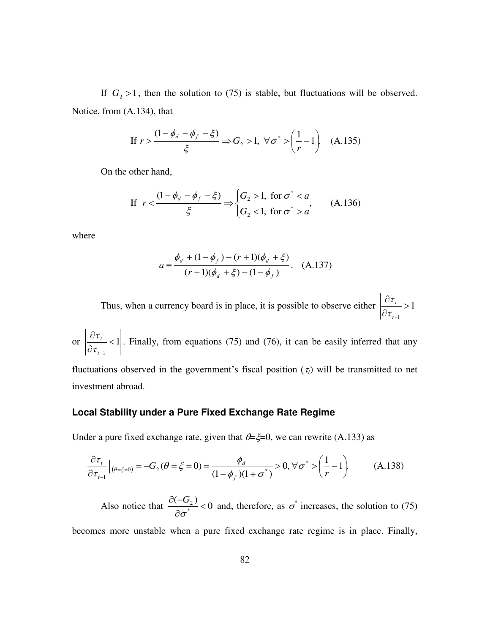If  $G_2 > 1$ , then the solution to (75) is stable, but fluctuations will be observed. Notice, from (A.134), that

If 
$$
r > \frac{(1 - \phi_d - \phi_f - \xi)}{\xi} \Rightarrow G_2 > 1, \forall \sigma^* > \left(\frac{1}{r} - 1\right)
$$
. (A.135)

On the other hand,

If 
$$
r < \frac{(1 - \phi_d - \phi_f - \xi)}{\xi} \Rightarrow \begin{cases} G_2 > 1, & \text{for } \sigma^* < a \\ G_2 < 1, & \text{for } \sigma^* > a \end{cases}
$$
 (A.136)

where

$$
a = \frac{\phi_d + (1 - \phi_f) - (r + 1)(\phi_d + \xi)}{(r + 1)(\phi_d + \xi) - (1 - \phi_f)}.
$$
 (A.137)

Thus, when a currency board is in place, it is possible to observe either  $\frac{1}{2}$  > 1 1  $>$  $\partial$  $\partial$ *t t* τ τ

or  $\frac{\sigma}{2}$  < 1 1  $\lt$  $\partial$  $\partial$ *t t* τ  $\left| \frac{\tau_i}{\tau} \right|$ . Finally, from equations (75) and (76), it can be easily inferred that any

fluctuations observed in the government's fiscal position  $(\tau_t)$  will be transmitted to net investment abroad.

#### **Local Stability under a Pure Fixed Exchange Rate Regime**

Under a pure fixed exchange rate, given that  $\theta = \xi = 0$ , we can rewrite (A.133) as

$$
\frac{\partial \tau_{t}}{\partial \tau_{t-1}}|_{(\theta=\xi=0)} = -G_2(\theta=\xi=0) = \frac{\phi_d}{(1-\phi_f)(1+\sigma^*)} > 0, \forall \sigma^* > \left(\frac{1}{r} - 1\right).
$$
 (A.138)

Also notice that  $\frac{6(-3.2)}{1.2} < 0$  $(-G_2)$ \*  $\frac{27}{ } <$  $\partial$  $\partial( \sigma$ *G* and, therefore, as  $\sigma^*$  increases, the solution to (75)

becomes more unstable when a pure fixed exchange rate regime is in place. Finally,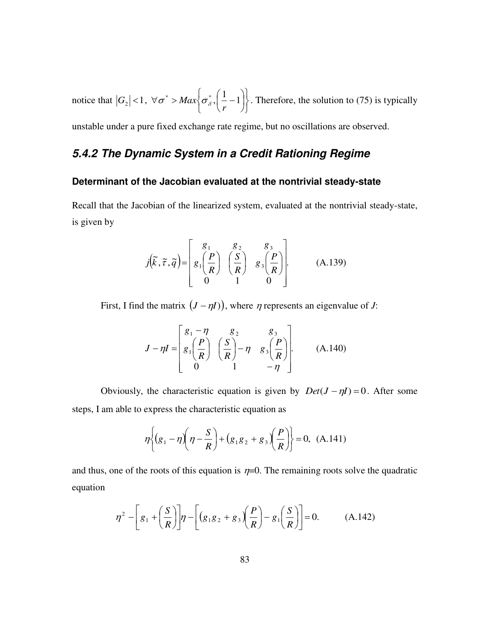notice that  $|G_2|$  < 1, J  $\left\{ \right\}$  $\mathcal{L}$  $\overline{\mathcal{L}}$ ┤  $\left\lceil$  $\overline{\phantom{a}}$ J  $\left(\frac{1}{-1}\right)$  $\setminus$  $\forall \sigma^* > Max \bigg\{\sigma_s^*, \bigg(1 - 1\bigg)$ *r*  $\sigma^*$  >  $Max\{\sigma^*_{\delta}, |-1|\}$ . Therefore, the solution to (75) is typically

unstable under a pure fixed exchange rate regime, but no oscillations are observed.

# *5.4.2 The Dynamic System in a Credit Rationing Regime*

## **Determinant of the Jacobian evaluated at the nontrivial steady-state**

Recall that the Jacobian of the linearized system, evaluated at the nontrivial steady-state, is given by

$$
j(\tilde{k}, \tilde{\tau}, \tilde{q}) = \begin{bmatrix} g_1 & g_2 & g_3 \\ g_1 \left(\frac{P}{R}\right) & \left(\frac{S}{R}\right) & g_3 \left(\frac{P}{R}\right) \\ 0 & 1 & 0 \end{bmatrix}.
$$
 (A.139)

First, I find the matrix  $(J - \eta I)$ , where  $\eta$  represents an eigenvalue of *J*:

$$
J - \eta I = \begin{bmatrix} g_1 - \eta & g_2 & g_3 \\ g_1 \left( \frac{P}{R} \right) & \left( \frac{S}{R} \right) - \eta & g_3 \left( \frac{P}{R} \right) \\ 0 & 1 & -\eta \end{bmatrix} .
$$
 (A.140)

Obviously, the characteristic equation is given by  $Det(J - \eta I) = 0$ . After some steps, I am able to express the characteristic equation as

$$
\eta \bigg\{ (g_1 - \eta) \bigg( \eta - \frac{S}{R} \bigg) + (g_1 g_2 + g_3) \bigg( \frac{P}{R} \bigg) \bigg\} = 0, \ (A.141)
$$

and thus, one of the roots of this equation is  $\eta=0$ . The remaining roots solve the quadratic equation

$$
\eta^2 - \left[ g_1 + \left( \frac{S}{R} \right) \right] \eta - \left[ \left( g_1 g_2 + g_3 \right) \left( \frac{P}{R} \right) - g_1 \left( \frac{S}{R} \right) \right] = 0. \tag{A.142}
$$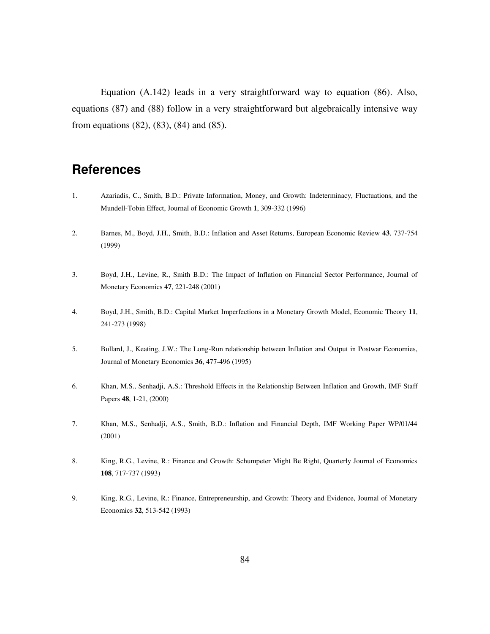Equation (A.142) leads in a very straightforward way to equation (86). Also, equations (87) and (88) follow in a very straightforward but algebraically intensive way from equations (82), (83), (84) and (85).

# **References**

- 1. Azariadis, C., Smith, B.D.: Private Information, Money, and Growth: Indeterminacy, Fluctuations, and the Mundell-Tobin Effect, Journal of Economic Growth **1**, 309-332 (1996)
- 2. Barnes, M., Boyd, J.H., Smith, B.D.: Inflation and Asset Returns, European Economic Review **43**, 737-754 (1999)
- 3. Boyd, J.H., Levine, R., Smith B.D.: The Impact of Inflation on Financial Sector Performance, Journal of Monetary Economics **47**, 221-248 (2001)
- 4. Boyd, J.H., Smith, B.D.: Capital Market Imperfections in a Monetary Growth Model, Economic Theory **11**, 241-273 (1998)
- 5. Bullard, J., Keating, J.W.: The Long-Run relationship between Inflation and Output in Postwar Economies, Journal of Monetary Economics **36**, 477-496 (1995)
- 6. Khan, M.S., Senhadji, A.S.: Threshold Effects in the Relationship Between Inflation and Growth, IMF Staff Papers **48**, 1-21, (2000)
- 7. Khan, M.S., Senhadji, A.S., Smith, B.D.: Inflation and Financial Depth, IMF Working Paper WP/01/44 (2001)
- 8. King, R.G., Levine, R.: Finance and Growth: Schumpeter Might Be Right, Quarterly Journal of Economics **108**, 717-737 (1993)
- 9. King, R.G., Levine, R.: Finance, Entrepreneurship, and Growth: Theory and Evidence, Journal of Monetary Economics **32**, 513-542 (1993)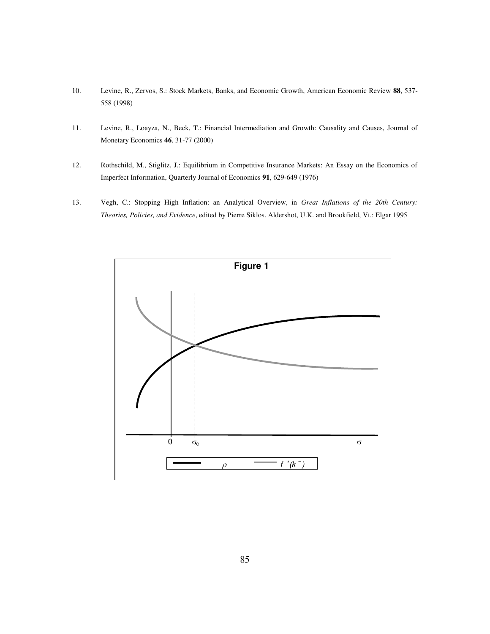- 10. Levine, R., Zervos, S.: Stock Markets, Banks, and Economic Growth, American Economic Review **88**, 537- 558 (1998)
- 11. Levine, R., Loayza, N., Beck, T.: Financial Intermediation and Growth: Causality and Causes, Journal of Monetary Economics **46**, 31-77 (2000)
- 12. Rothschild, M., Stiglitz, J.: Equilibrium in Competitive Insurance Markets: An Essay on the Economics of Imperfect Information, Quarterly Journal of Economics **91**, 629-649 (1976)
- 13. Vegh, C.: Stopping High Inflation: an Analytical Overview, in *Great Inflations of the 20th Century: Theories, Policies, and Evidence*, edited by Pierre Siklos. Aldershot, U.K. and Brookfield, Vt.: Elgar 1995

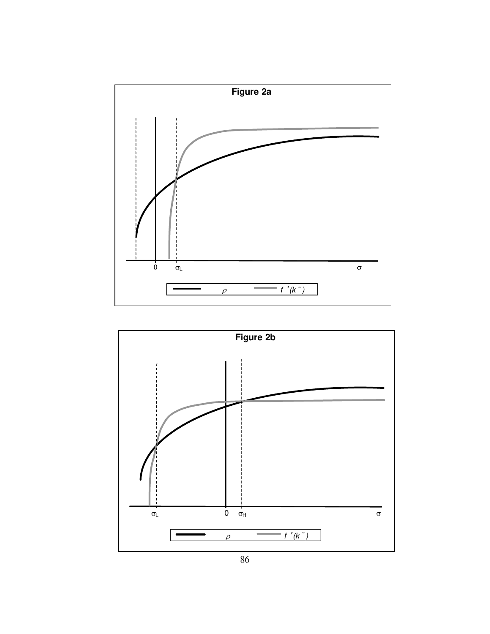



86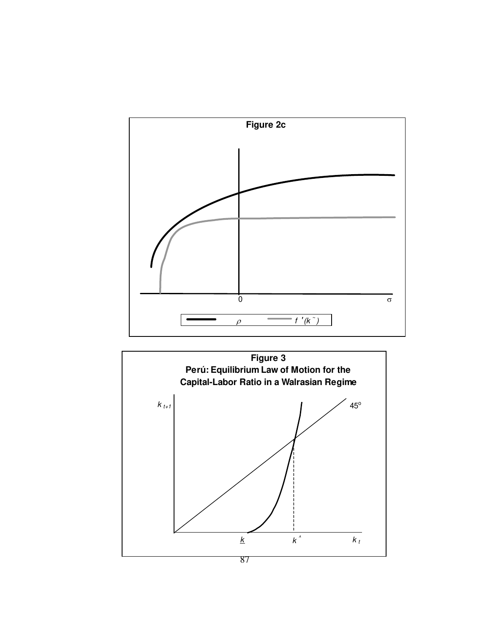

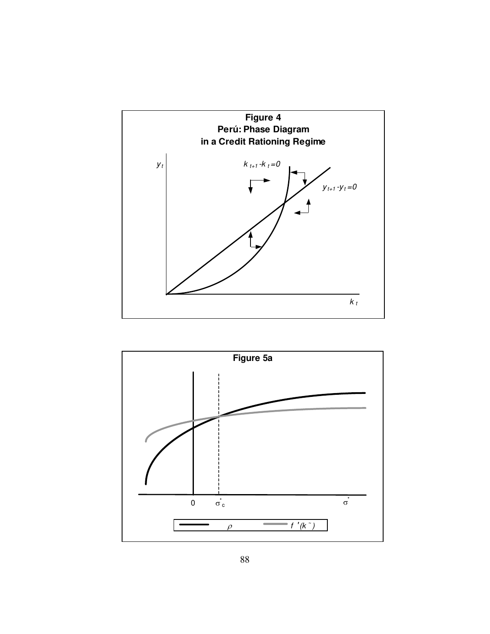

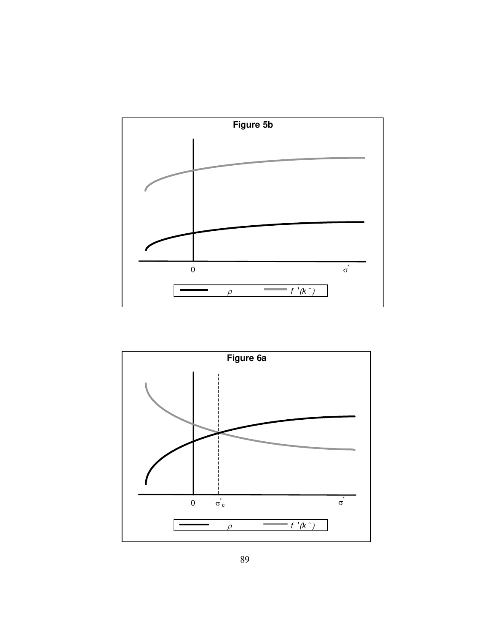